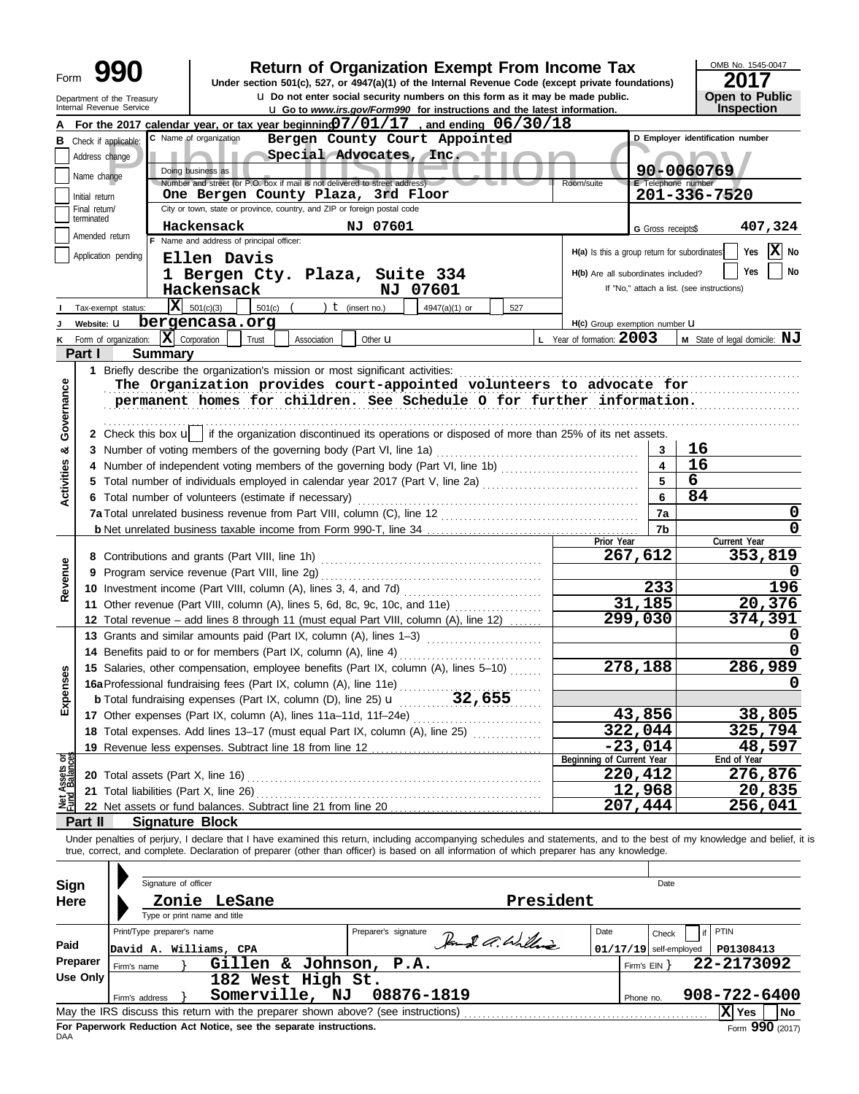| Form                                      |                                                                                                                                                                                                                                                                                                                                                        | Department of the Treasury                           |                                                                                                                                                                 |             |                      | <b>Return of Organization Exempt From Income Tax</b><br>Under section 501(c), 527, or 4947(a)(1) of the Internal Revenue Code (except private foundations)<br>u Do not enter social security numbers on this form as it may be made public.                                                                              |                                |                           |                                                                | OMB No. 1545-0047<br>2017<br><b>Open to Public</b> |  |  |  |
|-------------------------------------------|--------------------------------------------------------------------------------------------------------------------------------------------------------------------------------------------------------------------------------------------------------------------------------------------------------------------------------------------------------|------------------------------------------------------|-----------------------------------------------------------------------------------------------------------------------------------------------------------------|-------------|----------------------|--------------------------------------------------------------------------------------------------------------------------------------------------------------------------------------------------------------------------------------------------------------------------------------------------------------------------|--------------------------------|---------------------------|----------------------------------------------------------------|----------------------------------------------------|--|--|--|
|                                           |                                                                                                                                                                                                                                                                                                                                                        | Internal Revenue Service                             |                                                                                                                                                                 |             |                      | <b>u</b> Go to www.irs.gov/Form990 for instructions and the latest information.                                                                                                                                                                                                                                          |                                |                           |                                                                | Inspection                                         |  |  |  |
| в                                         | Address change<br>Name change<br>Initial return                                                                                                                                                                                                                                                                                                        | Check if applicable:                                 | C Name of organization<br>Doing business as<br>Number and street (or P.O. box if mail is not delivered to street address)<br>One Bergen County Plaza, 3rd Floor |             |                      | For the 2017 calendar year, or tax year beginning $07/01/17$ , and ending $06/30/18$<br>Bergen County Court Appointed<br>Special Advocates, Inc. + 1                                                                                                                                                                     | Room/suite                     | <b>E</b> Telephone number | D Employer identification number<br>90-0060769<br>201-336-7520 |                                                    |  |  |  |
|                                           | Final return/                                                                                                                                                                                                                                                                                                                                          |                                                      | City or town, state or province, country, and ZIP or foreign postal code                                                                                        |             |                      |                                                                                                                                                                                                                                                                                                                          |                                |                           |                                                                |                                                    |  |  |  |
|                                           | terminated                                                                                                                                                                                                                                                                                                                                             |                                                      | Hackensack                                                                                                                                                      |             | NJ 07601             |                                                                                                                                                                                                                                                                                                                          |                                | G Gross receipts\$        |                                                                | 407,324                                            |  |  |  |
|                                           | Amended return                                                                                                                                                                                                                                                                                                                                         |                                                      | F Name and address of principal officer:                                                                                                                        |             |                      |                                                                                                                                                                                                                                                                                                                          |                                |                           |                                                                |                                                    |  |  |  |
| Application pending<br>Tax-exempt status: | H(a) Is this a group return for subordinates<br>H(b) Are all subordinates included?<br>If "No," attach a list. (see instructions)                                                                                                                                                                                                                      | $ \mathbf{X} $ No<br>Yes<br>Yes<br>No                |                                                                                                                                                                 |             |                      |                                                                                                                                                                                                                                                                                                                          |                                |                           |                                                                |                                                    |  |  |  |
|                                           | Website: U                                                                                                                                                                                                                                                                                                                                             |                                                      | bergencasa.org                                                                                                                                                  |             |                      |                                                                                                                                                                                                                                                                                                                          | H(c) Group exemption number LI |                           |                                                                |                                                    |  |  |  |
| κ                                         |                                                                                                                                                                                                                                                                                                                                                        | Form of organization:                                | $ \mathbf{X} $ Corporation<br>Trust                                                                                                                             | Association | Other <b>u</b>       |                                                                                                                                                                                                                                                                                                                          | L Year of formation: 2003      |                           |                                                                | $M$ State of legal domicile: $NJ$                  |  |  |  |
|                                           | Part I                                                                                                                                                                                                                                                                                                                                                 | <b>Summary</b>                                       |                                                                                                                                                                 |             |                      |                                                                                                                                                                                                                                                                                                                          |                                |                           |                                                                |                                                    |  |  |  |
| Governance                                | 1 Briefly describe the organization's mission or most significant activities:<br>The Organization provides court-appointed volunteers to advocate for<br>permanent homes for children. See Schedule O for further information.<br>2 Check this box u   if the organization discontinued its operations or disposed of more than 25% of its net assets. |                                                      |                                                                                                                                                                 |             |                      |                                                                                                                                                                                                                                                                                                                          |                                |                           |                                                                |                                                    |  |  |  |
| ೲ                                         |                                                                                                                                                                                                                                                                                                                                                        |                                                      | 3 Number of voting members of the governing body (Part VI, line 1a)                                                                                             |             |                      |                                                                                                                                                                                                                                                                                                                          |                                | 3                         | 16                                                             |                                                    |  |  |  |
| <b>Activities</b>                         | 4                                                                                                                                                                                                                                                                                                                                                      |                                                      |                                                                                                                                                                 |             |                      | Number of independent voting members of the governing body (Part VI, line 1b)<br>Total number of individuals employed in calendar year 2017 (Part V, line 2a) [[[[[[[[[[[[[[[[[[[[[[[[[[[[[[[[                                                                                                                           |                                | 5                         | 16                                                             |                                                    |  |  |  |
|                                           | 5.                                                                                                                                                                                                                                                                                                                                                     | 6                                                    |                                                                                                                                                                 |             |                      |                                                                                                                                                                                                                                                                                                                          |                                |                           |                                                                |                                                    |  |  |  |
|                                           |                                                                                                                                                                                                                                                                                                                                                        | 6 Total number of volunteers (estimate if necessary) | 6                                                                                                                                                               | 84          |                      |                                                                                                                                                                                                                                                                                                                          |                                |                           |                                                                |                                                    |  |  |  |
|                                           |                                                                                                                                                                                                                                                                                                                                                        |                                                      | 7a                                                                                                                                                              |             | 0                    |                                                                                                                                                                                                                                                                                                                          |                                |                           |                                                                |                                                    |  |  |  |
|                                           |                                                                                                                                                                                                                                                                                                                                                        |                                                      |                                                                                                                                                                 |             |                      |                                                                                                                                                                                                                                                                                                                          |                                | 7b                        |                                                                | $\mathbf 0$                                        |  |  |  |
|                                           |                                                                                                                                                                                                                                                                                                                                                        |                                                      |                                                                                                                                                                 |             |                      |                                                                                                                                                                                                                                                                                                                          | Prior Year                     | 267,612                   |                                                                | Current Year<br>353,819                            |  |  |  |
| Revenue                                   |                                                                                                                                                                                                                                                                                                                                                        |                                                      |                                                                                                                                                                 |             |                      |                                                                                                                                                                                                                                                                                                                          |                                |                           |                                                                | O                                                  |  |  |  |
|                                           | 9<br>10 Investment income (Part VIII, column (A), lines 3, 4, and 7d)                                                                                                                                                                                                                                                                                  |                                                      |                                                                                                                                                                 |             |                      |                                                                                                                                                                                                                                                                                                                          |                                | 233                       |                                                                | 196                                                |  |  |  |
|                                           |                                                                                                                                                                                                                                                                                                                                                        |                                                      |                                                                                                                                                                 |             |                      | 11 Other revenue (Part VIII, column (A), lines 5, 6d, 8c, 9c, 10c, and 11e)                                                                                                                                                                                                                                              |                                | 31,185                    |                                                                | 20,376                                             |  |  |  |
|                                           |                                                                                                                                                                                                                                                                                                                                                        |                                                      |                                                                                                                                                                 |             |                      | 12 Total revenue - add lines 8 through 11 (must equal Part VIII, column (A), line 12)                                                                                                                                                                                                                                    | 299,030                        |                           | 374,391                                                        |                                                    |  |  |  |
|                                           |                                                                                                                                                                                                                                                                                                                                                        |                                                      | 13 Grants and similar amounts paid (Part IX, column (A), lines 1-3)                                                                                             |             |                      |                                                                                                                                                                                                                                                                                                                          |                                |                           |                                                                | O                                                  |  |  |  |
|                                           |                                                                                                                                                                                                                                                                                                                                                        |                                                      |                                                                                                                                                                 |             |                      | 14 Benefits paid to or for members (Part IX, column (A), line 4)                                                                                                                                                                                                                                                         |                                |                           |                                                                | 0                                                  |  |  |  |
|                                           |                                                                                                                                                                                                                                                                                                                                                        |                                                      |                                                                                                                                                                 |             |                      | 15 Salaries, other compensation, employee benefits (Part IX, column (A), lines 5-10)                                                                                                                                                                                                                                     |                                | 278,188                   |                                                                | 286,989                                            |  |  |  |
| Expenses                                  |                                                                                                                                                                                                                                                                                                                                                        |                                                      | 16a Professional fundraising fees (Part IX, column (A), line 11e)                                                                                               |             |                      |                                                                                                                                                                                                                                                                                                                          |                                |                           |                                                                |                                                    |  |  |  |
|                                           |                                                                                                                                                                                                                                                                                                                                                        |                                                      |                                                                                                                                                                 |             |                      | <b>b</b> Total fundraising expenses (Part IX, column (D), line 25) $\mathbf{u}$ ________ 32,655                                                                                                                                                                                                                          |                                |                           |                                                                |                                                    |  |  |  |
|                                           |                                                                                                                                                                                                                                                                                                                                                        |                                                      |                                                                                                                                                                 |             |                      |                                                                                                                                                                                                                                                                                                                          |                                | 43,856                    |                                                                | 38,805                                             |  |  |  |
|                                           |                                                                                                                                                                                                                                                                                                                                                        |                                                      |                                                                                                                                                                 |             |                      | 18 Total expenses. Add lines 13-17 (must equal Part IX, column (A), line 25) [                                                                                                                                                                                                                                           |                                | 322,044                   |                                                                | <u>325,794</u>                                     |  |  |  |
|                                           |                                                                                                                                                                                                                                                                                                                                                        |                                                      |                                                                                                                                                                 |             |                      |                                                                                                                                                                                                                                                                                                                          |                                | $-23,014$                 |                                                                | 48,597                                             |  |  |  |
|                                           |                                                                                                                                                                                                                                                                                                                                                        |                                                      |                                                                                                                                                                 |             |                      |                                                                                                                                                                                                                                                                                                                          | Beginning of Current Year      |                           |                                                                | End of Year                                        |  |  |  |
|                                           |                                                                                                                                                                                                                                                                                                                                                        |                                                      |                                                                                                                                                                 |             |                      |                                                                                                                                                                                                                                                                                                                          |                                | 220,412                   |                                                                | 276,876                                            |  |  |  |
| Net Assets or<br>Fund Balances            |                                                                                                                                                                                                                                                                                                                                                        | 21 Total liabilities (Part X, line 26)               |                                                                                                                                                                 |             |                      |                                                                                                                                                                                                                                                                                                                          |                                | 12,968                    |                                                                | 20,835                                             |  |  |  |
|                                           |                                                                                                                                                                                                                                                                                                                                                        |                                                      |                                                                                                                                                                 |             |                      |                                                                                                                                                                                                                                                                                                                          |                                | 207,444                   |                                                                | 256,041                                            |  |  |  |
|                                           | Part II                                                                                                                                                                                                                                                                                                                                                |                                                      | <b>Signature Block</b>                                                                                                                                          |             |                      |                                                                                                                                                                                                                                                                                                                          |                                |                           |                                                                |                                                    |  |  |  |
| <b>Sign</b>                               |                                                                                                                                                                                                                                                                                                                                                        | Signature of officer                                 |                                                                                                                                                                 |             |                      | Under penalties of perjury, I declare that I have examined this return, including accompanying schedules and statements, and to the best of my knowledge and belief, it is<br>true, correct, and complete. Declaration of preparer (other than officer) is based on all information of which preparer has any knowledge. |                                | Date                      |                                                                |                                                    |  |  |  |
| <b>Here</b>                               |                                                                                                                                                                                                                                                                                                                                                        |                                                      | Zonie LeSane                                                                                                                                                    |             |                      |                                                                                                                                                                                                                                                                                                                          | President                      |                           |                                                                |                                                    |  |  |  |
|                                           |                                                                                                                                                                                                                                                                                                                                                        |                                                      | Type or print name and title                                                                                                                                    |             |                      |                                                                                                                                                                                                                                                                                                                          |                                |                           |                                                                |                                                    |  |  |  |
|                                           |                                                                                                                                                                                                                                                                                                                                                        | Print/Type preparer's name                           |                                                                                                                                                                 |             | Preparer's signature |                                                                                                                                                                                                                                                                                                                          | Date                           | Check                     | PTIN<br>if                                                     |                                                    |  |  |  |
| Paid                                      |                                                                                                                                                                                                                                                                                                                                                        |                                                      | David A. Williams, CPA                                                                                                                                          |             |                      | Road a. Williams                                                                                                                                                                                                                                                                                                         |                                | $01/17/19$ self-employed  |                                                                | P01308413                                          |  |  |  |
|                                           | Preparer                                                                                                                                                                                                                                                                                                                                               | Firm's name                                          | Gillen & Johnson, P.A.                                                                                                                                          |             |                      |                                                                                                                                                                                                                                                                                                                          |                                | Firm's $EIN$ }            |                                                                | 22-2173092                                         |  |  |  |
|                                           | <b>Use Only</b>                                                                                                                                                                                                                                                                                                                                        |                                                      | 182 West High St.                                                                                                                                               |             |                      |                                                                                                                                                                                                                                                                                                                          |                                |                           |                                                                |                                                    |  |  |  |
|                                           |                                                                                                                                                                                                                                                                                                                                                        | Firm's address                                       | Somerville, NJ                                                                                                                                                  |             | 08876-1819           |                                                                                                                                                                                                                                                                                                                          |                                | Phone no.                 |                                                                | 908-722-6400                                       |  |  |  |
|                                           |                                                                                                                                                                                                                                                                                                                                                        |                                                      |                                                                                                                                                                 |             |                      |                                                                                                                                                                                                                                                                                                                          |                                |                           |                                                                | X Yes<br>No                                        |  |  |  |

| <b>USC ONLY</b> |                |                                                                                   |  |           |                 |      |
|-----------------|----------------|-----------------------------------------------------------------------------------|--|-----------|-----------------|------|
|                 | Firm's address | Somerville, NJ 08876-1819                                                         |  | Phone no. | 908-722-6400    |      |
|                 |                | May the IRS discuss this return with the preparer shown above? (see instructions) |  |           | ∣X∣ Yes         | l No |
| DAA             |                | For Paperwork Reduction Act Notice, see the separate instructions.                |  |           | Form 990 (2017) |      |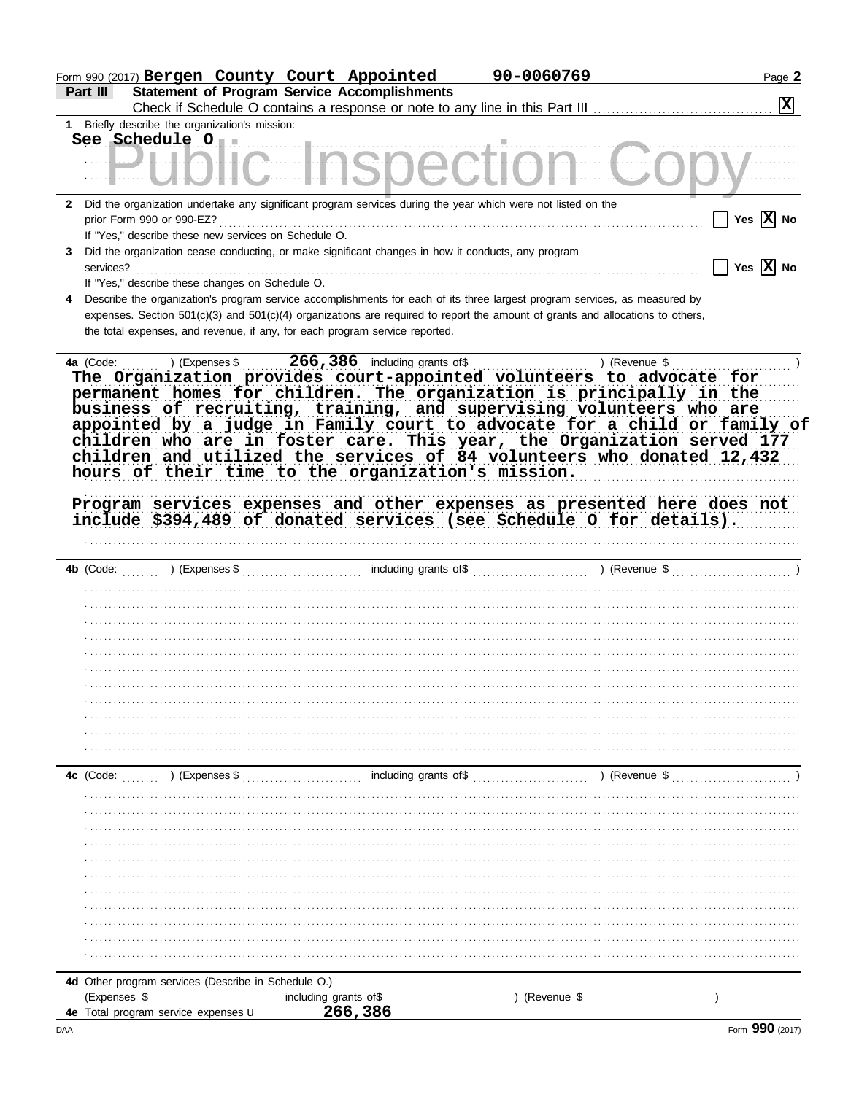|                                                                     |                | Form 990 (2017) Bergen County Court Appointed                                                                                                                                                                 | 90-0060769  |               | Page 2                |
|---------------------------------------------------------------------|----------------|---------------------------------------------------------------------------------------------------------------------------------------------------------------------------------------------------------------|-------------|---------------|-----------------------|
| Part III                                                            |                | <b>Statement of Program Service Accomplishments</b>                                                                                                                                                           |             |               |                       |
|                                                                     |                |                                                                                                                                                                                                               |             |               | 図                     |
| 1 Briefly describe the organization's mission:                      |                |                                                                                                                                                                                                               |             |               |                       |
|                                                                     |                |                                                                                                                                                                                                               |             |               |                       |
|                                                                     |                | <u> ULIALIA LIAAAAATIAK</u>                                                                                                                                                                                   |             |               |                       |
|                                                                     |                |                                                                                                                                                                                                               |             |               |                       |
| $\mathbf{2}$                                                        |                | Did the organization undertake any significant program services during the year which were not listed on the                                                                                                  |             |               |                       |
|                                                                     |                |                                                                                                                                                                                                               |             |               | Yes $ X $ No          |
| If "Yes," describe these new services on Schedule O.                |                |                                                                                                                                                                                                               |             |               |                       |
| 3                                                                   |                | Did the organization cease conducting, or make significant changes in how it conducts, any program                                                                                                            |             |               |                       |
| services?                                                           |                |                                                                                                                                                                                                               |             |               | Yes $\overline{X}$ No |
| If "Yes," describe these changes on Schedule O.                     |                |                                                                                                                                                                                                               |             |               |                       |
| 4                                                                   |                | Describe the organization's program service accomplishments for each of its three largest program services, as measured by                                                                                    |             |               |                       |
|                                                                     |                | expenses. Section 501(c)(3) and 501(c)(4) organizations are required to report the amount of grants and allocations to others,<br>the total expenses, and revenue, if any, for each program service reported. |             |               |                       |
|                                                                     |                |                                                                                                                                                                                                               |             |               |                       |
|                                                                     |                |                                                                                                                                                                                                               |             |               |                       |
|                                                                     |                | The Organization provides court-appointed volunteers to advocate for                                                                                                                                          |             |               |                       |
|                                                                     |                | permanent homes for children. The organization is principally in the                                                                                                                                          |             |               |                       |
|                                                                     |                | business of recruiting, training, and supervising volunteers who are                                                                                                                                          |             |               |                       |
|                                                                     |                | appointed by a judge in Family court to advocate for a child or family of                                                                                                                                     |             |               |                       |
|                                                                     |                | children who are in foster care. This year, the Organization served 177                                                                                                                                       |             |               |                       |
|                                                                     |                | children and utilized the services of 84 volunteers who donated 12,432                                                                                                                                        |             |               |                       |
|                                                                     |                | hours of their time to the organization's mission.                                                                                                                                                            |             |               |                       |
|                                                                     |                |                                                                                                                                                                                                               |             |               |                       |
|                                                                     |                | Program services expenses and other expenses as presented here does not                                                                                                                                       |             |               |                       |
|                                                                     |                | include \$394,489 of donated services (see Schedule O for details).                                                                                                                                           |             |               |                       |
|                                                                     |                |                                                                                                                                                                                                               |             |               |                       |
|                                                                     |                |                                                                                                                                                                                                               |             |               |                       |
|                                                                     |                |                                                                                                                                                                                                               |             |               |                       |
|                                                                     |                |                                                                                                                                                                                                               |             |               |                       |
|                                                                     |                |                                                                                                                                                                                                               |             |               |                       |
|                                                                     |                |                                                                                                                                                                                                               |             |               |                       |
|                                                                     |                |                                                                                                                                                                                                               |             |               |                       |
|                                                                     |                |                                                                                                                                                                                                               |             |               |                       |
|                                                                     |                |                                                                                                                                                                                                               |             |               |                       |
|                                                                     |                |                                                                                                                                                                                                               |             |               |                       |
|                                                                     |                |                                                                                                                                                                                                               |             |               |                       |
|                                                                     |                |                                                                                                                                                                                                               |             |               |                       |
|                                                                     |                |                                                                                                                                                                                                               |             |               |                       |
| 4c (Code:                                                           | ) (Expenses \$ | including grants of \$                                                                                                                                                                                        |             | ) (Revenue \$ |                       |
|                                                                     |                |                                                                                                                                                                                                               |             |               |                       |
|                                                                     |                |                                                                                                                                                                                                               |             |               |                       |
|                                                                     |                |                                                                                                                                                                                                               |             |               |                       |
|                                                                     |                |                                                                                                                                                                                                               |             |               |                       |
|                                                                     |                |                                                                                                                                                                                                               |             |               |                       |
|                                                                     |                |                                                                                                                                                                                                               |             |               |                       |
|                                                                     |                |                                                                                                                                                                                                               |             |               |                       |
|                                                                     |                |                                                                                                                                                                                                               |             |               |                       |
|                                                                     |                |                                                                                                                                                                                                               |             |               |                       |
|                                                                     |                |                                                                                                                                                                                                               |             |               |                       |
|                                                                     |                |                                                                                                                                                                                                               |             |               |                       |
|                                                                     |                |                                                                                                                                                                                                               |             |               |                       |
| 4d Other program services (Describe in Schedule O.)<br>(Expenses \$ |                |                                                                                                                                                                                                               |             |               |                       |
| 4e Total program service expenses u                                 |                | including grants of\$<br>266,386                                                                                                                                                                              | (Revenue \$ |               |                       |
|                                                                     |                |                                                                                                                                                                                                               |             |               |                       |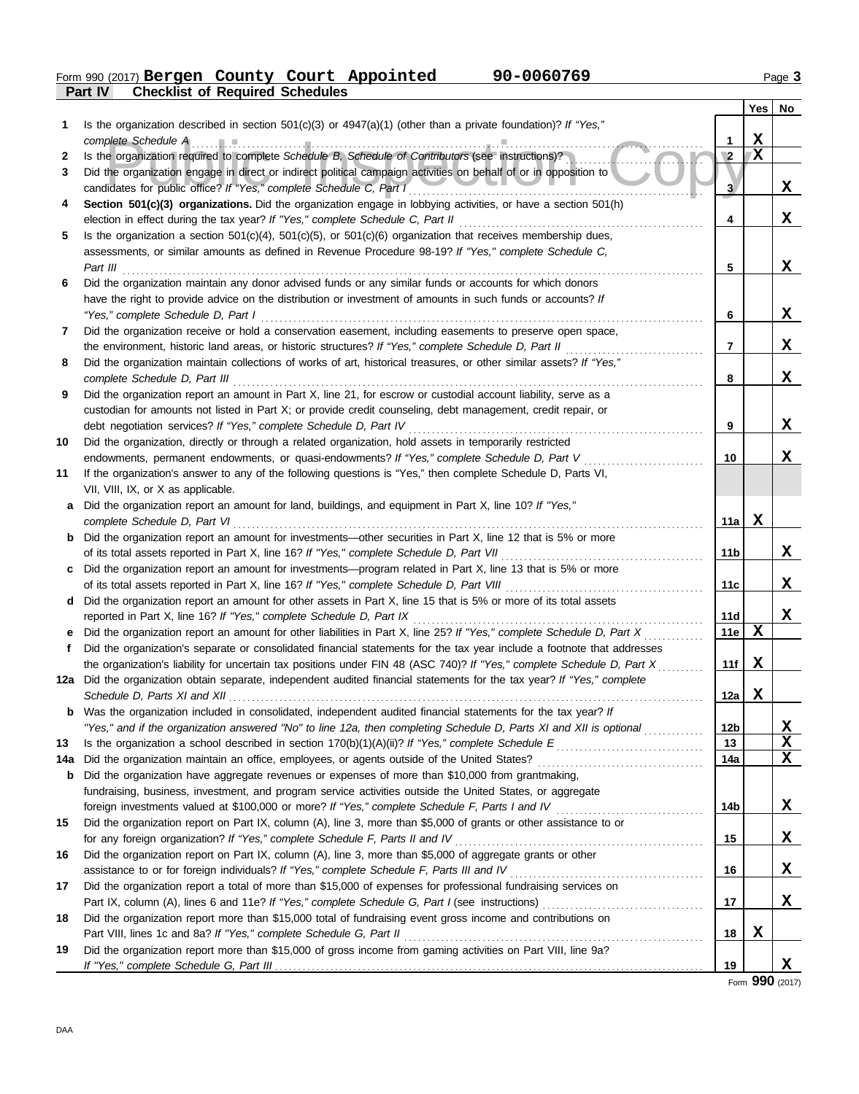**Part IV Checklist of Required Schedules** Form 990 (2017) Page **3 Bergen County Court Appointed 90-0060769**

|     |                                                                                                                         |                | <b>Yes</b>  | No          |
|-----|-------------------------------------------------------------------------------------------------------------------------|----------------|-------------|-------------|
| 1   | Is the organization described in section $501(c)(3)$ or $4947(a)(1)$ (other than a private foundation)? If "Yes,"       |                |             |             |
|     |                                                                                                                         | 1              | X           |             |
| 2   | Is the organization required to complete Schedule B, Schedule of Contributors (see instructions)?                       | $\overline{2}$ | X           |             |
| 3   | Did the organization engage in direct or indirect political campaign activities on behalf of or in opposition to        |                |             |             |
|     | candidates for public office? If "Yes," complete Schedule C, Part I                                                     | 3.             |             | X           |
| 4   | Section 501(c)(3) organizations. Did the organization engage in lobbying activities, or have a section 501(h)           |                |             |             |
|     |                                                                                                                         | 4              |             | X           |
| 5   | Is the organization a section $501(c)(4)$ , $501(c)(5)$ , or $501(c)(6)$ organization that receives membership dues,    |                |             |             |
|     | assessments, or similar amounts as defined in Revenue Procedure 98-19? If "Yes," complete Schedule C,                   |                |             |             |
|     |                                                                                                                         | 5              |             | X           |
| 6   | Did the organization maintain any donor advised funds or any similar funds or accounts for which donors                 |                |             |             |
|     | have the right to provide advice on the distribution or investment of amounts in such funds or accounts? If             |                |             |             |
|     | "Yes," complete Schedule D, Part I                                                                                      | 6              |             | X           |
| 7   | Did the organization receive or hold a conservation easement, including easements to preserve open space,               |                |             |             |
|     | the environment, historic land areas, or historic structures? If "Yes," complete Schedule D, Part II                    | $\overline{7}$ |             | X           |
| 8   | Did the organization maintain collections of works of art, historical treasures, or other similar assets? If "Yes,"     |                |             |             |
|     |                                                                                                                         | 8              |             | X           |
| 9   | Did the organization report an amount in Part X, line 21, for escrow or custodial account liability, serve as a         |                |             |             |
|     | custodian for amounts not listed in Part X; or provide credit counseling, debt management, credit repair, or            |                |             |             |
|     | debt negotiation services? If "Yes," complete Schedule D, Part IV                                                       | 9              |             | X           |
| 10  | Did the organization, directly or through a related organization, hold assets in temporarily restricted                 |                |             |             |
|     | endowments, permanent endowments, or quasi-endowments? If "Yes," complete Schedule D, Part V                            | 10             |             | X           |
| 11  | If the organization's answer to any of the following questions is "Yes," then complete Schedule D, Parts VI,            |                |             |             |
|     | VII, VIII, IX, or X as applicable.                                                                                      |                |             |             |
| a   | Did the organization report an amount for land, buildings, and equipment in Part X, line 10? If "Yes,"                  |                |             |             |
|     | complete Schedule D, Part VI                                                                                            | 11a            | X           |             |
|     | <b>b</b> Did the organization report an amount for investments—other securities in Part X, line 12 that is 5% or more   |                |             |             |
|     | of its total assets reported in Part X, line 16? If "Yes," complete Schedule D, Part VII                                | 11b            |             | X           |
| c   | Did the organization report an amount for investments—program related in Part X, line 13 that is 5% or more             |                |             |             |
|     |                                                                                                                         | 11c            |             | X           |
| d   | Did the organization report an amount for other assets in Part X, line 15 that is 5% or more of its total assets        |                |             |             |
|     | reported in Part X, line 16? If "Yes," complete Schedule D, Part IX                                                     | 11d            |             | X           |
| е   | Did the organization report an amount for other liabilities in Part X, line 25? If "Yes," complete Schedule D, Part X   | 11e            | $\mathbf x$ |             |
| f   | Did the organization's separate or consolidated financial statements for the tax year include a footnote that addresses |                |             |             |
|     | the organization's liability for uncertain tax positions under FIN 48 (ASC 740)? If "Yes," complete Schedule D, Part X  | 11f            | X           |             |
|     | 12a Did the organization obtain separate, independent audited financial statements for the tax year? If "Yes," complete |                |             |             |
|     |                                                                                                                         | 12a            | Х           |             |
| b   | Was the organization included in consolidated, independent audited financial statements for the tax year? If            |                |             |             |
|     | "Yes," and if the organization answered "No" to line 12a, then completing Schedule D, Parts XI and XII is optional      | 12b            |             | X           |
| 13  |                                                                                                                         | 13             |             | $\mathbf x$ |
| 14a |                                                                                                                         | 14a            |             | X           |
| b   | Did the organization have aggregate revenues or expenses of more than \$10,000 from grantmaking,                        |                |             |             |
|     | fundraising, business, investment, and program service activities outside the United States, or aggregate               |                |             |             |
|     |                                                                                                                         | 14b            |             | X           |
| 15  | Did the organization report on Part IX, column (A), line 3, more than \$5,000 of grants or other assistance to or       |                |             |             |
|     | for any foreign organization? If "Yes," complete Schedule F, Parts II and IV                                            | 15             |             | X           |
| 16  | Did the organization report on Part IX, column (A), line 3, more than \$5,000 of aggregate grants or other              |                |             |             |
|     |                                                                                                                         | 16             |             | X           |
| 17  | Did the organization report a total of more than \$15,000 of expenses for professional fundraising services on          |                |             |             |
|     |                                                                                                                         | 17             |             | X           |
| 18  | Did the organization report more than \$15,000 total of fundraising event gross income and contributions on             |                |             |             |
|     | Part VIII, lines 1c and 8a? If "Yes," complete Schedule G, Part II                                                      | 18             | X           |             |
| 19  | Did the organization report more than \$15,000 of gross income from gaming activities on Part VIII, line 9a?            |                |             | X           |
|     |                                                                                                                         | 19             |             |             |

Form **990** (2017)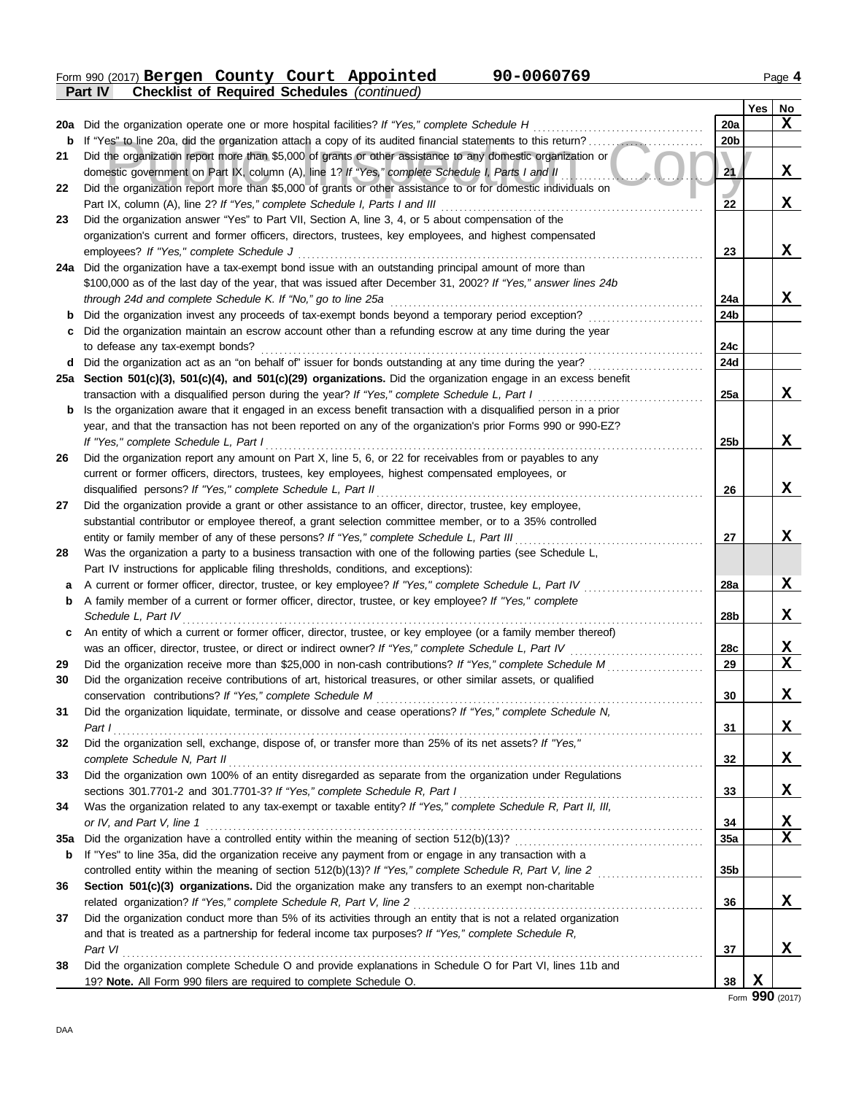Form 990 (2017) Page **4 Part IV Checklist of Required Schedules** *(continued)* **Bergen County Court Appointed 90-0060769**

|     | ган н<br>$\mathbf C$ reckrist of Required Scriedules ( $\mathbf C$ <i>oridinaed)</i>                             |                 |     |             |
|-----|------------------------------------------------------------------------------------------------------------------|-----------------|-----|-------------|
|     |                                                                                                                  |                 | Yes | No          |
| 20a | Did the organization operate one or more hospital facilities? If "Yes," complete Schedule H                      | <b>20a</b>      |     | X           |
| b   |                                                                                                                  | 20 <sub>b</sub> |     |             |
| 21  | Did the organization report more than \$5,000 of grants or other assistance to any domestic organization or      |                 |     |             |
|     | domestic government on Part IX, column (A), line 1? If "Yes," complete Schedule I, Parts I and II                | 21              |     | X           |
| 22  | Did the organization report more than \$5,000 of grants or other assistance to or for domestic individuals on    |                 |     |             |
|     | Part IX, column (A), line 2? If "Yes," complete Schedule I, Parts I and III                                      | 22              |     | X           |
| 23  | Did the organization answer "Yes" to Part VII, Section A, line 3, 4, or 5 about compensation of the              |                 |     |             |
|     | organization's current and former officers, directors, trustees, key employees, and highest compensated          |                 |     |             |
|     | employees? If "Yes," complete Schedule J                                                                         | 23              |     | X           |
|     | 24a Did the organization have a tax-exempt bond issue with an outstanding principal amount of more than          |                 |     |             |
|     | \$100,000 as of the last day of the year, that was issued after December 31, 2002? If "Yes," answer lines 24b    |                 |     |             |
|     | through 24d and complete Schedule K. If "No," go to line 25a                                                     | 24a             |     | x           |
| b   | Did the organization invest any proceeds of tax-exempt bonds beyond a temporary period exception?                | 24b             |     |             |
| c   | Did the organization maintain an escrow account other than a refunding escrow at any time during the year        |                 |     |             |
|     | to defease any tax-exempt bonds?                                                                                 | 24c             |     |             |
| d   | Did the organization act as an "on behalf of" issuer for bonds outstanding at any time during the year?          | 24d             |     |             |
|     | 25a Section 501(c)(3), 501(c)(4), and 501(c)(29) organizations. Did the organization engage in an excess benefit |                 |     |             |
|     | transaction with a disqualified person during the year? If "Yes," complete Schedule L, Part I                    | 25a             |     | X           |
| b   | Is the organization aware that it engaged in an excess benefit transaction with a disqualified person in a prior |                 |     |             |
|     | year, and that the transaction has not been reported on any of the organization's prior Forms 990 or 990-EZ?     |                 |     |             |
|     | If "Yes," complete Schedule L, Part I                                                                            | 25 <sub>b</sub> |     | X           |
| 26  | Did the organization report any amount on Part X, line 5, 6, or 22 for receivables from or payables to any       |                 |     |             |
|     | current or former officers, directors, trustees, key employees, highest compensated employees, or                |                 |     |             |
|     | disqualified persons? If "Yes," complete Schedule L, Part II                                                     | 26              |     | X           |
| 27  | Did the organization provide a grant or other assistance to an officer, director, trustee, key employee,         |                 |     |             |
|     | substantial contributor or employee thereof, a grant selection committee member, or to a 35% controlled          |                 |     |             |
|     | entity or family member of any of these persons? If "Yes," complete Schedule L, Part III                         | 27              |     | X           |
| 28  | Was the organization a party to a business transaction with one of the following parties (see Schedule L,        |                 |     |             |
|     | Part IV instructions for applicable filing thresholds, conditions, and exceptions):                              |                 |     |             |
| а   | A current or former officer, director, trustee, or key employee? If "Yes," complete Schedule L, Part IV          | 28a             |     | X           |
| b   | A family member of a current or former officer, director, trustee, or key employee? If "Yes," complete           |                 |     |             |
|     | Schedule L, Part IV                                                                                              | 28b             |     | X           |
| c   | An entity of which a current or former officer, director, trustee, or key employee (or a family member thereof)  |                 |     |             |
|     | was an officer, director, trustee, or direct or indirect owner? If "Yes," complete Schedule L, Part IV           | 28c             |     | X           |
| 29  | Did the organization receive more than \$25,000 in non-cash contributions? If "Yes," complete Schedule M         | 29              |     | X           |
| 30  | Did the organization receive contributions of art, historical treasures, or other similar assets, or qualified   |                 |     |             |
|     | conservation contributions? If "Yes," complete Schedule M                                                        | 30              |     | X           |
| 31  | Did the organization liquidate, terminate, or dissolve and cease operations? If "Yes," complete Schedule N,      |                 |     |             |
|     | Part I                                                                                                           | 31              |     | X           |
| 32  | Did the organization sell, exchange, dispose of, or transfer more than 25% of its net assets? If "Yes,"          |                 |     |             |
|     | complete Schedule N, Part II                                                                                     | 32              |     | X           |
| 33  | Did the organization own 100% of an entity disregarded as separate from the organization under Regulations       |                 |     |             |
|     | sections 301.7701-2 and 301.7701-3? If "Yes," complete Schedule R, Part I                                        | 33              |     | X           |
| 34  | Was the organization related to any tax-exempt or taxable entity? If "Yes," complete Schedule R, Part II, III,   |                 |     |             |
|     | or IV, and Part V, line 1                                                                                        | 34              |     | X           |
| 35a | Did the organization have a controlled entity within the meaning of section 512(b)(13)?                          | 35a             |     | $\mathbf x$ |
| b   | If "Yes" to line 35a, did the organization receive any payment from or engage in any transaction with a          |                 |     |             |
|     |                                                                                                                  | 35 <sub>b</sub> |     |             |
| 36  | Section 501(c)(3) organizations. Did the organization make any transfers to an exempt non-charitable             |                 |     |             |
|     | related organization? If "Yes," complete Schedule R, Part V, line 2                                              | 36              |     | X           |
| 37  | Did the organization conduct more than 5% of its activities through an entity that is not a related organization |                 |     |             |
|     | and that is treated as a partnership for federal income tax purposes? If "Yes," complete Schedule R,             |                 |     |             |
|     | Part VI                                                                                                          | 37              |     | x           |
| 38  | Did the organization complete Schedule O and provide explanations in Schedule O for Part VI, lines 11b and       |                 |     |             |
|     | 19? Note. All Form 990 filers are required to complete Schedule O.                                               | 38              | X   |             |
|     |                                                                                                                  |                 |     |             |

Form **990** (2017)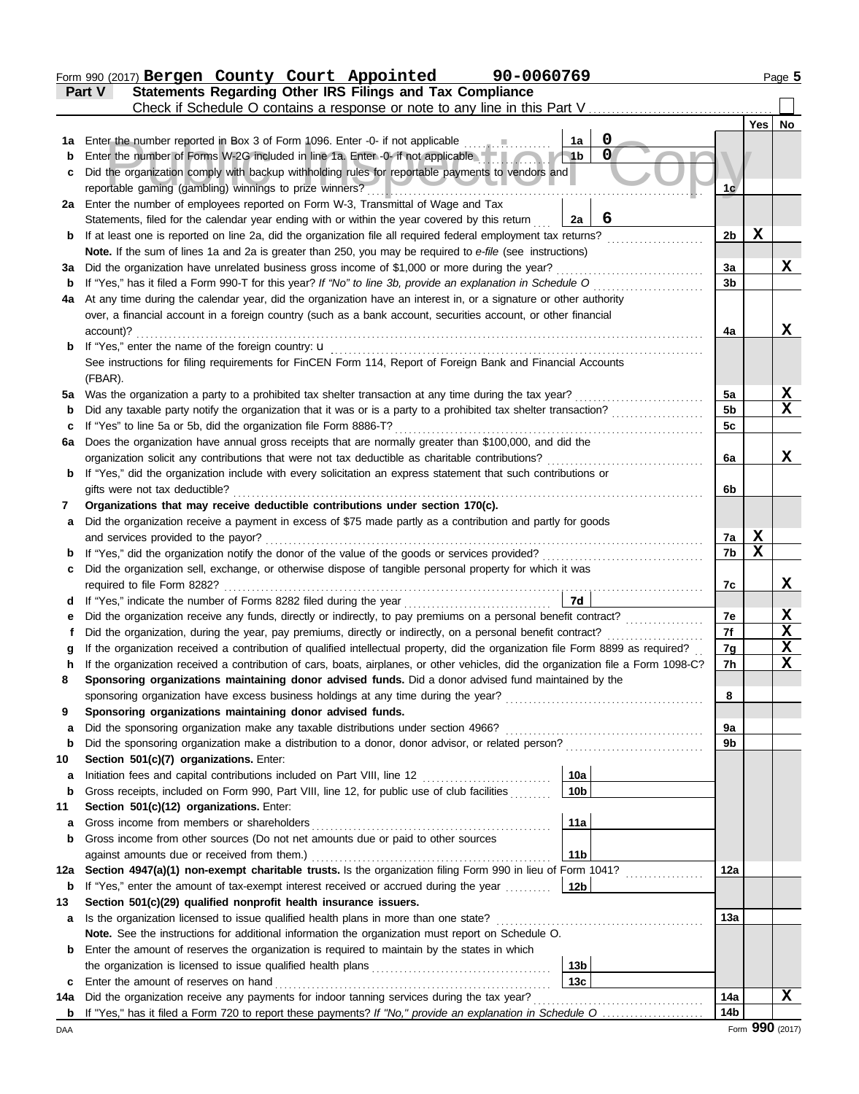|             | 90-0060769<br>Form 990 (2017) Bergen County Court Appointed                                                                                                                                                |                 |        | Page 5          |
|-------------|------------------------------------------------------------------------------------------------------------------------------------------------------------------------------------------------------------|-----------------|--------|-----------------|
|             | Statements Regarding Other IRS Filings and Tax Compliance<br>Part V                                                                                                                                        |                 |        |                 |
|             | Check if Schedule O contains a response or note to any line in this Part V                                                                                                                                 |                 |        |                 |
|             |                                                                                                                                                                                                            |                 | Yes    | No              |
| 1а          | 0<br>Enter the number reported in Box 3 of Form 1096. Enter -0- if not applicable<br>1a                                                                                                                    |                 |        |                 |
| $\mathbf b$ | $\mathbf 0$<br>Enter the number of Forms W-2G included in line 1a. Enter -0- if not applicable<br>1 <sub>b</sub>                                                                                           |                 |        |                 |
| с           | Did the organization comply with backup withholding rules for reportable payments to vendors and                                                                                                           |                 |        |                 |
|             | reportable gaming (gambling) winnings to prize winners?                                                                                                                                                    | 1c              |        |                 |
|             | 2a Enter the number of employees reported on Form W-3, Transmittal of Wage and Tax                                                                                                                         |                 |        |                 |
|             | 6<br>Statements, filed for the calendar year ending with or within the year covered by this return<br>2a                                                                                                   | 2 <sub>b</sub>  | X      |                 |
| b           | If at least one is reported on line 2a, did the organization file all required federal employment tax returns?                                                                                             |                 |        |                 |
| За          | Note. If the sum of lines 1a and 2a is greater than 250, you may be required to e-file (see instructions)<br>Did the organization have unrelated business gross income of \$1,000 or more during the year? | 3a              |        | X               |
| $\mathbf b$ | If "Yes," has it filed a Form 990-T for this year? If "No" to line 3b, provide an explanation in Schedule O                                                                                                | 3b              |        |                 |
| 4a          | At any time during the calendar year, did the organization have an interest in, or a signature or other authority                                                                                          |                 |        |                 |
|             | over, a financial account in a foreign country (such as a bank account, securities account, or other financial                                                                                             |                 |        |                 |
|             | account)?                                                                                                                                                                                                  | 4a              |        | X               |
| b           | If "Yes," enter the name of the foreign country: u                                                                                                                                                         |                 |        |                 |
|             | See instructions for filing requirements for FinCEN Form 114, Report of Foreign Bank and Financial Accounts                                                                                                |                 |        |                 |
|             | (FBAR).                                                                                                                                                                                                    |                 |        |                 |
| 5а          | Was the organization a party to a prohibited tax shelter transaction at any time during the tax year?                                                                                                      | 5a              |        | x               |
| b           | Did any taxable party notify the organization that it was or is a party to a prohibited tax shelter transaction?                                                                                           | 5 <sub>b</sub>  |        | X               |
|             | If "Yes" to line 5a or 5b, did the organization file Form 8886-T?                                                                                                                                          | 5c              |        |                 |
| 6a          | Does the organization have annual gross receipts that are normally greater than \$100,000, and did the                                                                                                     |                 |        |                 |
|             | organization solicit any contributions that were not tax deductible as charitable contributions?                                                                                                           | 6a              |        | X.              |
| b           | If "Yes," did the organization include with every solicitation an express statement that such contributions or                                                                                             |                 |        |                 |
|             | gifts were not tax deductible?                                                                                                                                                                             | 6b              |        |                 |
| 7           | Organizations that may receive deductible contributions under section 170(c).                                                                                                                              |                 |        |                 |
| а           | Did the organization receive a payment in excess of \$75 made partly as a contribution and partly for goods                                                                                                |                 |        |                 |
|             | and services provided to the payor?                                                                                                                                                                        | 7a              | X<br>X |                 |
| b           | If "Yes," did the organization notify the donor of the value of the goods or services provided?                                                                                                            | 7b              |        |                 |
| c           | Did the organization sell, exchange, or otherwise dispose of tangible personal property for which it was                                                                                                   | 7c              |        | X               |
|             | If "Yes," indicate the number of Forms 8282 filed during the year<br>7d                                                                                                                                    |                 |        |                 |
|             | Did the organization receive any funds, directly or indirectly, to pay premiums on a personal benefit contract?                                                                                            | 7е              |        | <u>x</u>        |
|             | Did the organization, during the year, pay premiums, directly or indirectly, on a personal benefit contract?                                                                                               | 7f              |        | X               |
|             | If the organization received a contribution of qualified intellectual property, did the organization file Form 8899 as required?                                                                           | 7g              |        | X               |
| n           | If the organization received a contribution of cars, boats, airplanes, or other vehicles, did the organization file a Form 1098-C?                                                                         | 7 <sub>h</sub>  |        | X               |
| 8           | Sponsoring organizations maintaining donor advised funds. Did a donor advised fund maintained by the                                                                                                       |                 |        |                 |
|             | sponsoring organization have excess business holdings at any time during the year?                                                                                                                         | 8               |        |                 |
| 9           | Sponsoring organizations maintaining donor advised funds.                                                                                                                                                  |                 |        |                 |
| a           | Did the sponsoring organization make any taxable distributions under section 4966?                                                                                                                         | 9а              |        |                 |
| b           | Did the sponsoring organization make a distribution to a donor, donor advisor, or related person?                                                                                                          | 9b              |        |                 |
| 10          | Section 501(c)(7) organizations. Enter:                                                                                                                                                                    |                 |        |                 |
| а           | 10a<br>Initiation fees and capital contributions included on Part VIII, line 12                                                                                                                            |                 |        |                 |
| b           | Gross receipts, included on Form 990, Part VIII, line 12, for public use of club facilities<br>10 <sub>b</sub>                                                                                             |                 |        |                 |
| 11          | Section 501(c)(12) organizations. Enter:                                                                                                                                                                   |                 |        |                 |
| a           | 11a<br>Gross income from members or shareholders                                                                                                                                                           |                 |        |                 |
| b           | Gross income from other sources (Do not net amounts due or paid to other sources                                                                                                                           |                 |        |                 |
|             | 11 <sub>b</sub><br>against amounts due or received from them.)<br>Section 4947(a)(1) non-exempt charitable trusts. Is the organization filing Form 990 in lieu of Form 1041?                               | 12a             |        |                 |
| 12a         | If "Yes," enter the amount of tax-exempt interest received or accrued during the year<br>12b                                                                                                               |                 |        |                 |
| b<br>13     | Section 501(c)(29) qualified nonprofit health insurance issuers.                                                                                                                                           |                 |        |                 |
| a           | Is the organization licensed to issue qualified health plans in more than one state?                                                                                                                       | 13а             |        |                 |
|             | Note. See the instructions for additional information the organization must report on Schedule O.                                                                                                          |                 |        |                 |
| b           | Enter the amount of reserves the organization is required to maintain by the states in which                                                                                                               |                 |        |                 |
|             | 13 <sub>b</sub>                                                                                                                                                                                            |                 |        |                 |
| c           | 13 <sub>c</sub><br>Enter the amount of reserves on hand                                                                                                                                                    |                 |        |                 |
| 14a         | Did the organization receive any payments for indoor tanning services during the tax year?                                                                                                                 | 14a             |        | x               |
| b           |                                                                                                                                                                                                            | 14 <sub>b</sub> |        |                 |
| DAA         |                                                                                                                                                                                                            |                 |        | Form 990 (2017) |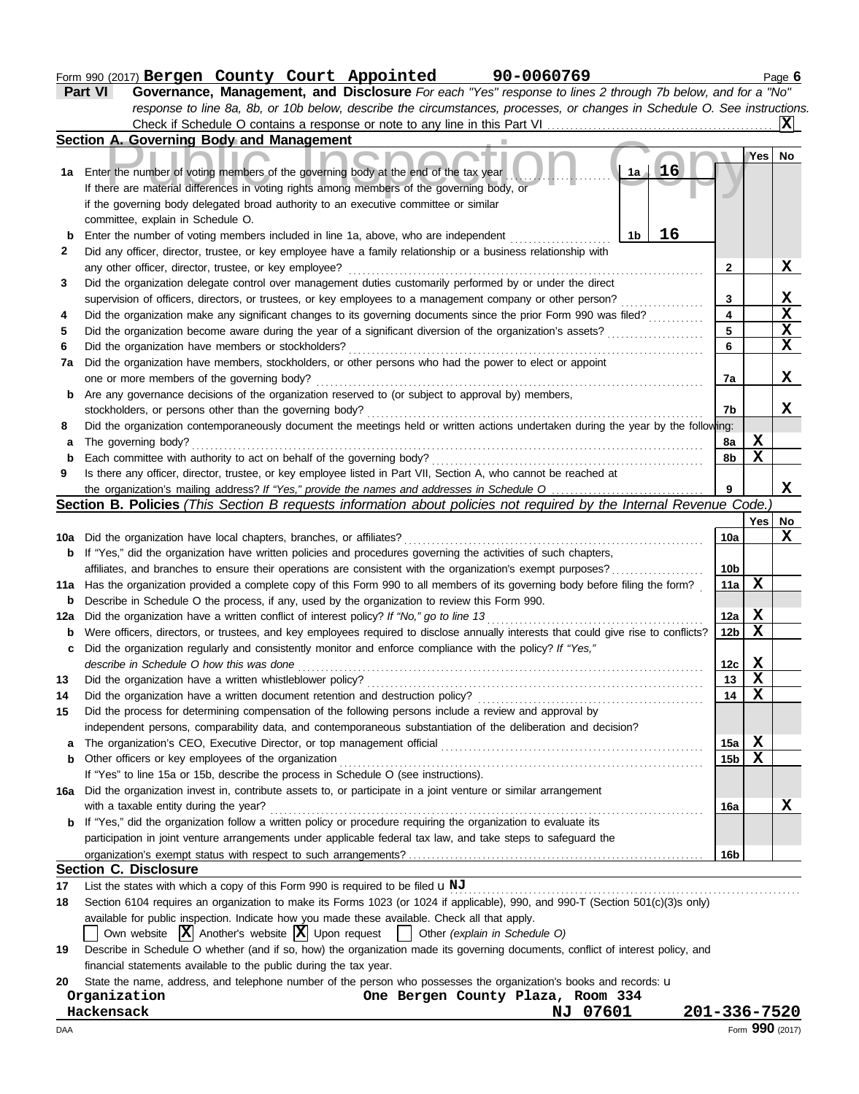|     | Form 990 (2017) Bergen County Court Appointed 90-0060769                                                                                                                                                                       |                         |                         | Page 6                  |  |  |  |  |  |  |  |  |  |
|-----|--------------------------------------------------------------------------------------------------------------------------------------------------------------------------------------------------------------------------------|-------------------------|-------------------------|-------------------------|--|--|--|--|--|--|--|--|--|
|     | Governance, Management, and Disclosure For each "Yes" response to lines 2 through 7b below, and for a "No"<br>Part VI                                                                                                          |                         |                         |                         |  |  |  |  |  |  |  |  |  |
|     | response to line 8a, 8b, or 10b below, describe the circumstances, processes, or changes in Schedule O. See instructions.                                                                                                      |                         |                         |                         |  |  |  |  |  |  |  |  |  |
|     |                                                                                                                                                                                                                                |                         |                         | X                       |  |  |  |  |  |  |  |  |  |
|     | Section A. Governing Body and Management                                                                                                                                                                                       |                         |                         |                         |  |  |  |  |  |  |  |  |  |
|     |                                                                                                                                                                                                                                |                         | Yes                     | No                      |  |  |  |  |  |  |  |  |  |
|     | <b>16</b><br>1a Enter the number of voting members of the governing body at the end of the tax year<br>1a                                                                                                                      |                         |                         |                         |  |  |  |  |  |  |  |  |  |
|     | If there are material differences in voting rights among members of the governing body, or                                                                                                                                     |                         |                         |                         |  |  |  |  |  |  |  |  |  |
|     | if the governing body delegated broad authority to an executive committee or similar                                                                                                                                           |                         |                         |                         |  |  |  |  |  |  |  |  |  |
|     | committee, explain in Schedule O.                                                                                                                                                                                              |                         |                         |                         |  |  |  |  |  |  |  |  |  |
| b   | 16<br>Enter the number of voting members included in line 1a, above, who are independent<br>1b                                                                                                                                 |                         |                         |                         |  |  |  |  |  |  |  |  |  |
| 2   | Did any officer, director, trustee, or key employee have a family relationship or a business relationship with                                                                                                                 |                         |                         |                         |  |  |  |  |  |  |  |  |  |
|     |                                                                                                                                                                                                                                | $\mathbf{2}$            |                         | X                       |  |  |  |  |  |  |  |  |  |
| 3   | Did the organization delegate control over management duties customarily performed by or under the direct                                                                                                                      |                         |                         |                         |  |  |  |  |  |  |  |  |  |
|     | supervision of officers, directors, or trustees, or key employees to a management company or other person?                                                                                                                     | 3                       |                         | X                       |  |  |  |  |  |  |  |  |  |
| 4   | Did the organization make any significant changes to its governing documents since the prior Form 990 was filed?                                                                                                               | $\overline{\mathbf{4}}$ |                         | $\overline{\textbf{x}}$ |  |  |  |  |  |  |  |  |  |
| 5   | Did the organization become aware during the year of a significant diversion of the organization's assets?                                                                                                                     |                         |                         |                         |  |  |  |  |  |  |  |  |  |
| 6   |                                                                                                                                                                                                                                |                         |                         |                         |  |  |  |  |  |  |  |  |  |
| 7a  | Did the organization have members, stockholders, or other persons who had the power to elect or appoint                                                                                                                        |                         |                         |                         |  |  |  |  |  |  |  |  |  |
|     | one or more members of the governing body?                                                                                                                                                                                     |                         |                         |                         |  |  |  |  |  |  |  |  |  |
|     | Are any governance decisions of the organization reserved to (or subject to approval by) members,                                                                                                                              |                         |                         |                         |  |  |  |  |  |  |  |  |  |
| b   |                                                                                                                                                                                                                                |                         |                         |                         |  |  |  |  |  |  |  |  |  |
| 8   | Did the organization contemporaneously document the meetings held or written actions undertaken during the year by the following:                                                                                              | 7b                      |                         | X                       |  |  |  |  |  |  |  |  |  |
| а   | The governing body?                                                                                                                                                                                                            | 8a                      | X                       |                         |  |  |  |  |  |  |  |  |  |
| b   |                                                                                                                                                                                                                                | 8b                      | $\overline{\mathbf{X}}$ |                         |  |  |  |  |  |  |  |  |  |
| 9   | Is there any officer, director, trustee, or key employee listed in Part VII, Section A, who cannot be reached at                                                                                                               |                         |                         |                         |  |  |  |  |  |  |  |  |  |
|     |                                                                                                                                                                                                                                | 9                       |                         | X                       |  |  |  |  |  |  |  |  |  |
|     | Section B. Policies (This Section B requests information about policies not required by the Internal Revenue Code.)                                                                                                            |                         |                         |                         |  |  |  |  |  |  |  |  |  |
|     |                                                                                                                                                                                                                                |                         | Yes                     | No                      |  |  |  |  |  |  |  |  |  |
|     |                                                                                                                                                                                                                                | 10a                     |                         | X                       |  |  |  |  |  |  |  |  |  |
|     | If "Yes," did the organization have written policies and procedures governing the activities of such chapters,                                                                                                                 |                         |                         |                         |  |  |  |  |  |  |  |  |  |
| b   | affiliates, and branches to ensure their operations are consistent with the organization's exempt purposes?                                                                                                                    | 10 <sub>b</sub>         |                         |                         |  |  |  |  |  |  |  |  |  |
|     | 11a Has the organization provided a complete copy of this Form 990 to all members of its governing body before filing the form?                                                                                                | 11a                     | X                       |                         |  |  |  |  |  |  |  |  |  |
|     | Describe in Schedule O the process, if any, used by the organization to review this Form 990.                                                                                                                                  |                         |                         |                         |  |  |  |  |  |  |  |  |  |
| b   |                                                                                                                                                                                                                                |                         | X                       |                         |  |  |  |  |  |  |  |  |  |
| 12a | Did the organization have a written conflict of interest policy? If "No," go to line 13<br>Were officers, directors, or trustees, and key employees required to disclose annually interests that could give rise to conflicts? | 12a<br>12 <sub>b</sub>  | $\mathbf X$             |                         |  |  |  |  |  |  |  |  |  |
| b   |                                                                                                                                                                                                                                |                         |                         |                         |  |  |  |  |  |  |  |  |  |
| c   | Did the organization regularly and consistently monitor and enforce compliance with the policy? If "Yes,"                                                                                                                      |                         | X                       |                         |  |  |  |  |  |  |  |  |  |
|     | describe in Schedule O how this was done                                                                                                                                                                                       | 12c<br>13               | X                       |                         |  |  |  |  |  |  |  |  |  |
| 13  | Did the organization have a written document retention and destruction policy?                                                                                                                                                 | 14                      | $\mathbf x$             |                         |  |  |  |  |  |  |  |  |  |
| 14  | Did the process for determining compensation of the following persons include a review and approval by                                                                                                                         |                         |                         |                         |  |  |  |  |  |  |  |  |  |
| 15  |                                                                                                                                                                                                                                |                         |                         |                         |  |  |  |  |  |  |  |  |  |
|     | independent persons, comparability data, and contemporaneous substantiation of the deliberation and decision?                                                                                                                  |                         |                         |                         |  |  |  |  |  |  |  |  |  |

#### **Section C. Disclosure**

**17** List the states with which a copy of this Form 990 is required to be filed  $\bf{u}$  NJ metables contains and consequences with which a copy of this Form 990 is required to be filed  $\bf{u}$  NJ

organization's exempt status with respect to such arrangements?

**18** Section 6104 requires an organization to make its Forms 1023 (or 1024 if applicable), 990, and 990-T (Section 501(c)(3)s only)

a The organization's CEO, Executive Director, or top management official *communical* content content content content of the organization's CEO, Executive Director, or top management official content content content of the

available for public inspection. Indicate how you made these available. Check all that apply.

|  |  |  |  |  |  | Own website $ \mathbf{X} $ Another's website $ \mathbf{X} $ Upon request $\Box$ Other (explain in Schedule O) |  |  |  |  |  |
|--|--|--|--|--|--|---------------------------------------------------------------------------------------------------------------|--|--|--|--|--|
|--|--|--|--|--|--|---------------------------------------------------------------------------------------------------------------|--|--|--|--|--|

**16a** Did the organization invest in, contribute assets to, or participate in a joint venture or similar arrangement

Other officers or key employees of the organization . . . . . . . . . . . . . . . . . . . . . . . . . . . . . . . . . . . . . . . . . . . . . . . . . . . . . . . . . . . . . . . . . . . . . . . . . . . . . . .

If "Yes" to line 15a or 15b, describe the process in Schedule O (see instructions).

with a taxable entity during the year? . . . . . . . . . . . . . . . . . . . . . . . . . . . . . . . . . . . . . . . . . . . . . . . . . . . . . . . . . . . . . . . . . . . . . . . . . . . . . . . . . . . . . . . . . . . . . .

**b** If "Yes," did the organization follow a written policy or procedure requiring the organization to evaluate its

participation in joint venture arrangements under applicable federal tax law, and take steps to safeguard the

**19** Describe in Schedule O whether (and if so, how) the organization made its governing documents, conflict of interest policy, and financial statements available to the public during the tax year.

**20** State the name, address, and telephone number of the person who possesses the organization's books and records: u

| Organization | One Bergen County Plaza, Room 334 |              |
|--------------|-----------------------------------|--------------|
| Hackensack   | NJ 07601                          | 201-336-7520 |

**b**

**15a 15b** **X X**

**X**

**16a**

**16b**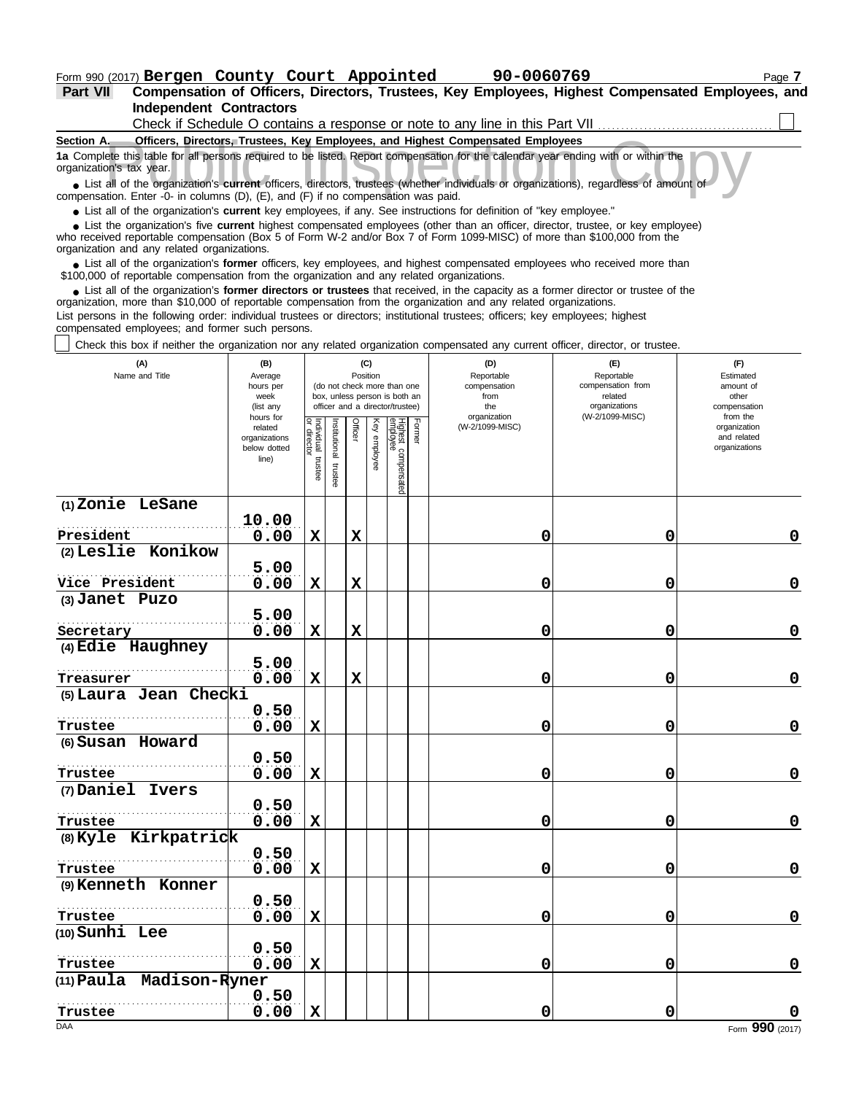**Part VII Compensation of Officers, Directors, Trustees, Key Employees, Highest Compensated Employees, and Independent Contractors**<br>Check if Schedule O contain  $\Box$ 

| Check if Schedule O contains a response or note to any line in this Part VII                                                                                                                                                                                |
|-------------------------------------------------------------------------------------------------------------------------------------------------------------------------------------------------------------------------------------------------------------|
| Section A.<br>Officers, Directors, Trustees, Key Employees, and Highest Compensated Employees                                                                                                                                                               |
| 1a Complete this table for all persons required to be listed. Report compensation for the calendar year ending with or within the<br>organization's tax year.                                                                                               |
| • List all of the organization's current officers, directors, trustees (whether individuals or organizations), regardless of amount of<br>compensation. Enter -0- in columns (D), (E), and (F) if no compensation was paid.                                 |
| • List all of the organization's current key employees, if any. See instructions for definition of "key employee."                                                                                                                                          |
| • List the organization's five current highest compensated employees (other than an officer, director, trustee, or key employee)<br>who received reportable compensation (Box 5 of Form W-2 and/or Box 7 of Form 1000-MISC) of more than \$100,000 from the |

who received reportable compensation (Box 5 of Form W-2 and/or Box 7 of Form 1099-MISC) of more than \$100,000 from the organization and any related organizations.

■ List all of the organization's **former** officers, key employees, and highest compensated employees who received more than<br>00,000 of reportable compensation from the organization and any related organizations \$100,000 of reportable compensation from the organization and any related organizations.

• List all of the organization's **former directors or trustees** that received, in the capacity as a former director or trustee of the prization more than \$10,000 of reportable compensation from the organization and any rel organization, more than \$10,000 of reportable compensation from the organization and any related organizations.

List persons in the following order: individual trustees or directors; institutional trustees; officers; key employees; highest compensated employees; and former such persons.

 $\overline{\phantom{a}}$ Check this box if neither the organization nor any related organization compensated any current officer, director, or trustee.

| (A)<br>(B)<br>Name and Title<br>Average<br>hours per<br>week<br>(list any<br>hours for |                                                   |                                   |                         | Position    | (C)             | (do not check more than one<br>box, unless person is both an<br>officer and a director/trustee) |        | (D)<br>Reportable<br>compensation<br>from<br>the<br>organization | (F)<br>Reportable<br>compensation from<br>related<br>organizations<br>(W-2/1099-MISC) | (F)<br>Estimated<br>amount of<br>other<br>compensation<br>from the |  |  |
|----------------------------------------------------------------------------------------|---------------------------------------------------|-----------------------------------|-------------------------|-------------|-----------------|-------------------------------------------------------------------------------------------------|--------|------------------------------------------------------------------|---------------------------------------------------------------------------------------|--------------------------------------------------------------------|--|--|
|                                                                                        | related<br>organizations<br>below dotted<br>line) | Individual trustee<br>or director | nstitutional<br>trustee | Officer     | Key<br>employee | Highest compensated<br>employee                                                                 | Former | (W-2/1099-MISC)                                                  |                                                                                       | organization<br>and related<br>organizations                       |  |  |
| (1) Zonie LeSane                                                                       | 10.00                                             |                                   |                         |             |                 |                                                                                                 |        |                                                                  |                                                                                       |                                                                    |  |  |
| President                                                                              | 0.00                                              | X                                 |                         | $\mathbf x$ |                 |                                                                                                 |        | 0                                                                | 0                                                                                     | $\pmb{0}$                                                          |  |  |
| (2) Leslie Konikow                                                                     |                                                   |                                   |                         |             |                 |                                                                                                 |        |                                                                  |                                                                                       |                                                                    |  |  |
| Vice President                                                                         | 5.00<br>0.00                                      | $\mathbf X$                       |                         | $\mathbf x$ |                 |                                                                                                 |        | 0                                                                | 0                                                                                     | $\mathbf 0$                                                        |  |  |
| (3) Janet Puzo                                                                         |                                                   |                                   |                         |             |                 |                                                                                                 |        |                                                                  |                                                                                       |                                                                    |  |  |
| Secretary                                                                              | 5.00<br>0.00                                      | $\mathbf X$                       |                         | $\mathbf x$ |                 |                                                                                                 |        | 0                                                                | 0                                                                                     | 0                                                                  |  |  |
| (4) Edie Haughney                                                                      |                                                   |                                   |                         |             |                 |                                                                                                 |        |                                                                  |                                                                                       |                                                                    |  |  |
|                                                                                        | 5.00<br>0.00                                      | $\mathbf x$                       |                         | $\mathbf x$ |                 |                                                                                                 |        | 0                                                                | 0                                                                                     | $\mathbf 0$                                                        |  |  |
| Treasurer<br>(5) Laura Jean Checki                                                     |                                                   |                                   |                         |             |                 |                                                                                                 |        |                                                                  |                                                                                       |                                                                    |  |  |
| Trustee                                                                                | 0.50<br>0.00                                      | $\mathbf x$                       |                         |             |                 |                                                                                                 |        | 0                                                                | 0                                                                                     | $\mathbf 0$                                                        |  |  |
| (6) Susan Howard                                                                       |                                                   |                                   |                         |             |                 |                                                                                                 |        |                                                                  |                                                                                       |                                                                    |  |  |
|                                                                                        | 0.50                                              |                                   |                         |             |                 |                                                                                                 |        |                                                                  |                                                                                       |                                                                    |  |  |
| Trustee                                                                                | 0.00                                              | $\mathbf x$                       |                         |             |                 |                                                                                                 |        | 0                                                                | 0                                                                                     | $\mathbf 0$                                                        |  |  |
| (7) Daniel Ivers                                                                       |                                                   |                                   |                         |             |                 |                                                                                                 |        |                                                                  |                                                                                       |                                                                    |  |  |
| Trustee                                                                                | 0.50<br>0.00                                      | X                                 |                         |             |                 |                                                                                                 |        | 0                                                                | 0                                                                                     | $\mathbf 0$                                                        |  |  |
| (8) Kyle Kirkpatrick                                                                   |                                                   |                                   |                         |             |                 |                                                                                                 |        |                                                                  |                                                                                       |                                                                    |  |  |
|                                                                                        | 0.50                                              |                                   |                         |             |                 |                                                                                                 |        |                                                                  |                                                                                       |                                                                    |  |  |
| Trustee                                                                                | 0.00                                              | $\mathbf x$                       |                         |             |                 |                                                                                                 |        | 0                                                                | 0                                                                                     | $\mathbf 0$                                                        |  |  |
| (9) Kenneth Konner                                                                     |                                                   |                                   |                         |             |                 |                                                                                                 |        |                                                                  |                                                                                       |                                                                    |  |  |
|                                                                                        | 0.50                                              |                                   |                         |             |                 |                                                                                                 |        |                                                                  |                                                                                       | $\mathbf 0$                                                        |  |  |
| Trustee<br>(10) Sunhi Lee                                                              | 0.00                                              | $\mathbf x$                       |                         |             |                 |                                                                                                 |        | 0                                                                | 0                                                                                     |                                                                    |  |  |
|                                                                                        | 0.50                                              |                                   |                         |             |                 |                                                                                                 |        |                                                                  |                                                                                       |                                                                    |  |  |
| Trustee                                                                                | 0.00                                              | $\mathbf x$                       |                         |             |                 |                                                                                                 |        | 0                                                                | 0                                                                                     | $\mathbf 0$                                                        |  |  |
| (11) Paula Madison-Ryner                                                               | 0.50                                              |                                   |                         |             |                 |                                                                                                 |        |                                                                  |                                                                                       |                                                                    |  |  |
| Trustee                                                                                | 0.00                                              | $\mathbf x$                       |                         |             |                 |                                                                                                 |        | 0                                                                | 0                                                                                     |                                                                    |  |  |
| <b>DAA</b>                                                                             |                                                   |                                   |                         |             |                 |                                                                                                 |        |                                                                  |                                                                                       | Form 990 (2017)                                                    |  |  |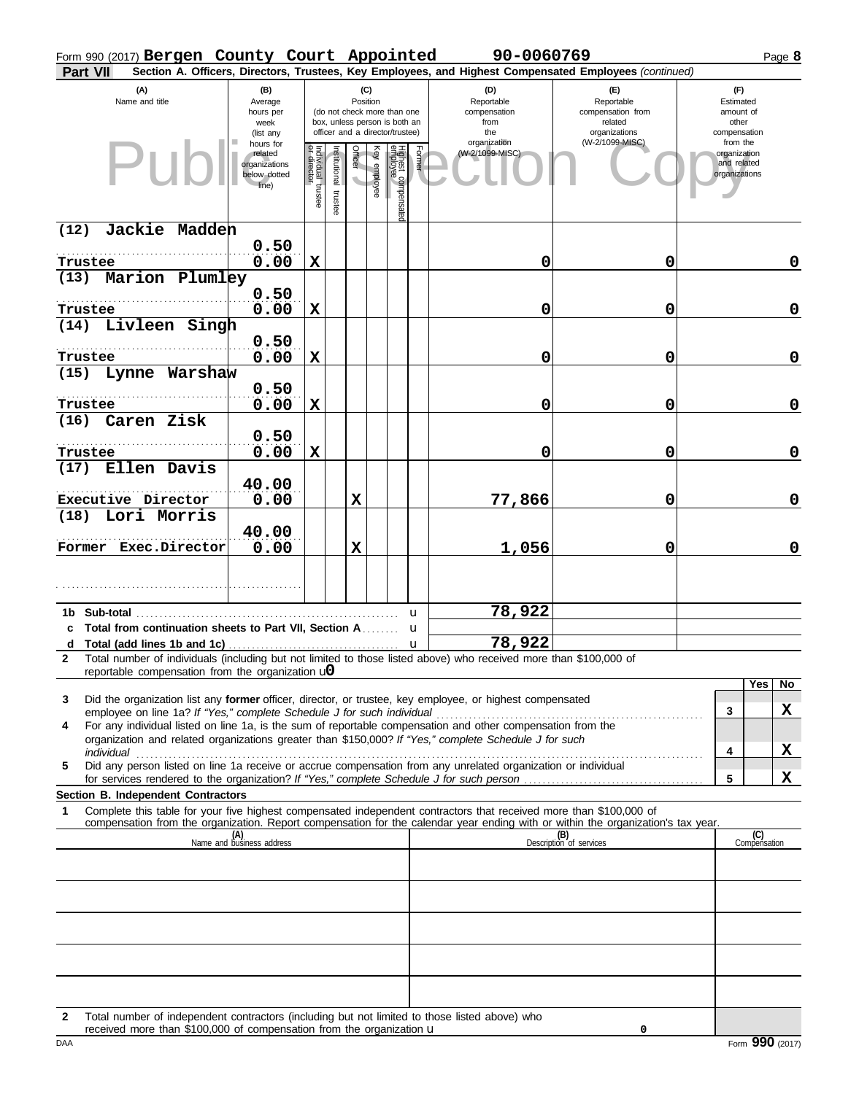| Form 990 (2017) Bergen County Court Appointed                                                                   |                                                               |                                   |                          |                 |              |                                                                                                 |        | 90-0060769                                                                                                         |                                                                                                                                  |                                                                    |     | Page 8      |
|-----------------------------------------------------------------------------------------------------------------|---------------------------------------------------------------|-----------------------------------|--------------------------|-----------------|--------------|-------------------------------------------------------------------------------------------------|--------|--------------------------------------------------------------------------------------------------------------------|----------------------------------------------------------------------------------------------------------------------------------|--------------------------------------------------------------------|-----|-------------|
| Part VII                                                                                                        |                                                               |                                   |                          |                 |              |                                                                                                 |        |                                                                                                                    | Section A. Officers, Directors, Trustees, Key Employees, and Highest Compensated Employees (continued)                           |                                                                    |     |             |
| (A)<br>Name and title                                                                                           | (B)<br>Average<br>hours per<br>week<br>(list any<br>hours for |                                   |                          | (C)<br>Position |              | (do not check more than one<br>box, unless person is both an<br>officer and a director/trustee) |        | (D)<br>Reportable<br>compensation<br>from<br>the<br>organization                                                   | (E)<br>Reportable<br>compensation from<br>related<br>organizations<br>(W-2/1099-MISC)                                            | (F)<br>Estimated<br>amount of<br>other<br>compensation<br>from the |     |             |
| Pu                                                                                                              | related<br>organizations<br>below dotted<br>line)             | Individual trustee<br>or director | Institutional<br>trustee | Officer         | Key employee | Highest compensate<br>employee                                                                  | Former | (W-2/1099-MISC)                                                                                                    |                                                                                                                                  | organization<br>and related<br>organizations                       |     |             |
| Jackie Madden<br>(12)                                                                                           |                                                               |                                   |                          |                 |              |                                                                                                 |        |                                                                                                                    |                                                                                                                                  |                                                                    |     |             |
| Trustee                                                                                                         | 0.50<br>0.00                                                  | $\mathbf X$                       |                          |                 |              |                                                                                                 |        | 0                                                                                                                  | 0                                                                                                                                |                                                                    |     | 0           |
| (13) Marion Plumley                                                                                             |                                                               |                                   |                          |                 |              |                                                                                                 |        |                                                                                                                    |                                                                                                                                  |                                                                    |     |             |
|                                                                                                                 | 0.50                                                          |                                   |                          |                 |              |                                                                                                 |        |                                                                                                                    |                                                                                                                                  |                                                                    |     |             |
| Trustee                                                                                                         | 0.00                                                          | $\mathbf X$                       |                          |                 |              |                                                                                                 |        | 0                                                                                                                  | 0                                                                                                                                |                                                                    |     | $\mathbf 0$ |
| (14) Livleen Singh                                                                                              |                                                               |                                   |                          |                 |              |                                                                                                 |        |                                                                                                                    |                                                                                                                                  |                                                                    |     |             |
| Trustee                                                                                                         | 0.50<br>0.00                                                  | $\mathbf X$                       |                          |                 |              |                                                                                                 |        | 0                                                                                                                  | 0                                                                                                                                |                                                                    |     | $\mathbf 0$ |
| (15) Lynne Warshaw                                                                                              |                                                               |                                   |                          |                 |              |                                                                                                 |        |                                                                                                                    |                                                                                                                                  |                                                                    |     |             |
|                                                                                                                 | 0.50                                                          |                                   |                          |                 |              |                                                                                                 |        |                                                                                                                    |                                                                                                                                  |                                                                    |     |             |
| Trustee                                                                                                         | 0.00                                                          | $\mathbf X$                       |                          |                 |              |                                                                                                 |        | 0                                                                                                                  | 0                                                                                                                                |                                                                    |     | $\mathbf 0$ |
| (16)<br>Caren Zisk                                                                                              |                                                               |                                   |                          |                 |              |                                                                                                 |        |                                                                                                                    |                                                                                                                                  |                                                                    |     |             |
|                                                                                                                 | 0.50                                                          |                                   |                          |                 |              |                                                                                                 |        |                                                                                                                    |                                                                                                                                  |                                                                    |     |             |
| Trustee<br>Ellen Davis<br>(17)                                                                                  | 0.00                                                          | $\mathbf X$                       |                          |                 |              |                                                                                                 |        | 0                                                                                                                  | 0                                                                                                                                |                                                                    |     | $\mathbf 0$ |
|                                                                                                                 | 40.00                                                         |                                   |                          |                 |              |                                                                                                 |        |                                                                                                                    |                                                                                                                                  |                                                                    |     |             |
| Executive Director                                                                                              | 0.00                                                          |                                   |                          | $\mathbf x$     |              |                                                                                                 |        | 77,866                                                                                                             | 0                                                                                                                                |                                                                    |     | $\mathbf 0$ |
| $(18)$ Lori Morris                                                                                              |                                                               |                                   |                          |                 |              |                                                                                                 |        |                                                                                                                    |                                                                                                                                  |                                                                    |     |             |
|                                                                                                                 | 40.00                                                         |                                   |                          |                 |              |                                                                                                 |        |                                                                                                                    |                                                                                                                                  |                                                                    |     |             |
| Former Exec.Director                                                                                            | 0.00                                                          |                                   |                          | X               |              |                                                                                                 |        | 1,056                                                                                                              | 0                                                                                                                                |                                                                    |     | $\mathbf 0$ |
|                                                                                                                 |                                                               |                                   |                          |                 |              |                                                                                                 |        |                                                                                                                    |                                                                                                                                  |                                                                    |     |             |
|                                                                                                                 |                                                               |                                   |                          |                 |              |                                                                                                 |        |                                                                                                                    |                                                                                                                                  |                                                                    |     |             |
| 1b Sub-total and the state of the state of the state of the state of the state of the state of the state of the |                                                               |                                   |                          |                 |              | u                                                                                               |        | 78,922                                                                                                             |                                                                                                                                  |                                                                    |     |             |
| c Total from continuation sheets to Part VII, Section A                                                         |                                                               |                                   |                          |                 |              | u                                                                                               |        | 78,922                                                                                                             |                                                                                                                                  |                                                                    |     |             |
| 2                                                                                                               |                                                               |                                   |                          |                 |              |                                                                                                 |        | Total number of individuals (including but not limited to those listed above) who received more than \$100,000 of  |                                                                                                                                  |                                                                    |     |             |
| reportable compensation from the organization $\mathbf{u}$                                                      |                                                               |                                   |                          |                 |              |                                                                                                 |        |                                                                                                                    |                                                                                                                                  |                                                                    |     |             |
| 3                                                                                                               |                                                               |                                   |                          |                 |              |                                                                                                 |        | Did the organization list any former officer, director, or trustee, key employee, or highest compensated           |                                                                                                                                  |                                                                    | Yes | No          |
|                                                                                                                 |                                                               |                                   |                          |                 |              |                                                                                                 |        |                                                                                                                    |                                                                                                                                  | 3                                                                  |     | X           |
| 4                                                                                                               |                                                               |                                   |                          |                 |              |                                                                                                 |        | For any individual listed on line 1a, is the sum of reportable compensation and other compensation from the        |                                                                                                                                  |                                                                    |     |             |
|                                                                                                                 |                                                               |                                   |                          |                 |              |                                                                                                 |        | organization and related organizations greater than \$150,000? If "Yes," complete Schedule J for such              |                                                                                                                                  | 4                                                                  |     | X           |
| 5                                                                                                               |                                                               |                                   |                          |                 |              |                                                                                                 |        | Did any person listed on line 1a receive or accrue compensation from any unrelated organization or individual      |                                                                                                                                  |                                                                    |     |             |
|                                                                                                                 |                                                               |                                   |                          |                 |              |                                                                                                 |        |                                                                                                                    |                                                                                                                                  | 5                                                                  |     | X           |
| Section B. Independent Contractors<br>1                                                                         |                                                               |                                   |                          |                 |              |                                                                                                 |        | Complete this table for your five highest compensated independent contractors that received more than \$100,000 of |                                                                                                                                  |                                                                    |     |             |
|                                                                                                                 |                                                               |                                   |                          |                 |              |                                                                                                 |        |                                                                                                                    | compensation from the organization. Report compensation for the calendar year ending with or within the organization's tax year. |                                                                    |     |             |
|                                                                                                                 | (A)<br>Name and business address                              |                                   |                          |                 |              |                                                                                                 |        |                                                                                                                    | (B)<br>Description of services                                                                                                   | (C)<br>Compensation                                                |     |             |
|                                                                                                                 |                                                               |                                   |                          |                 |              |                                                                                                 |        |                                                                                                                    |                                                                                                                                  |                                                                    |     |             |
|                                                                                                                 |                                                               |                                   |                          |                 |              |                                                                                                 |        |                                                                                                                    |                                                                                                                                  |                                                                    |     |             |
|                                                                                                                 |                                                               |                                   |                          |                 |              |                                                                                                 |        |                                                                                                                    |                                                                                                                                  |                                                                    |     |             |
|                                                                                                                 |                                                               |                                   |                          |                 |              |                                                                                                 |        |                                                                                                                    |                                                                                                                                  |                                                                    |     |             |
|                                                                                                                 |                                                               |                                   |                          |                 |              |                                                                                                 |        |                                                                                                                    |                                                                                                                                  |                                                                    |     |             |
|                                                                                                                 |                                                               |                                   |                          |                 |              |                                                                                                 |        |                                                                                                                    |                                                                                                                                  |                                                                    |     |             |
|                                                                                                                 |                                                               |                                   |                          |                 |              |                                                                                                 |        |                                                                                                                    |                                                                                                                                  |                                                                    |     |             |
|                                                                                                                 |                                                               |                                   |                          |                 |              |                                                                                                 |        |                                                                                                                    |                                                                                                                                  |                                                                    |     |             |
| 2                                                                                                               |                                                               |                                   |                          |                 |              |                                                                                                 |        | Total number of independent contractors (including but not limited to those listed above) who                      |                                                                                                                                  |                                                                    |     |             |

**0**

received more than \$100,000 of compensation from the organization u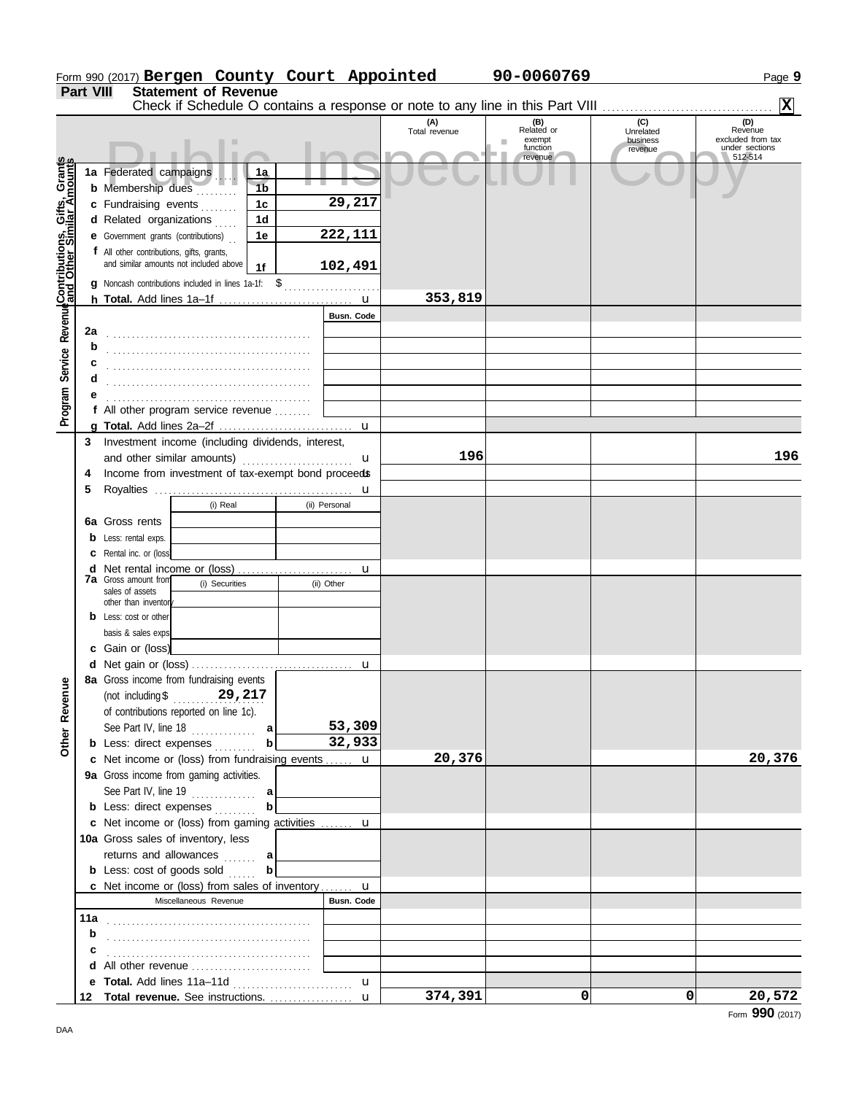|                                                             |                  | Form 990 (2017) Bergen County Court Appointed                                 |                      |                   |                      | 90-0060769                                   |                                         | Page 9                                                |
|-------------------------------------------------------------|------------------|-------------------------------------------------------------------------------|----------------------|-------------------|----------------------|----------------------------------------------|-----------------------------------------|-------------------------------------------------------|
|                                                             | <b>Part VIII</b> | <b>Statement of Revenue</b>                                                   |                      |                   |                      |                                              |                                         |                                                       |
|                                                             |                  | Check if Schedule O contains a response or note to any line in this Part VIII |                      |                   |                      |                                              |                                         | $\vert x \vert$                                       |
|                                                             |                  |                                                                               |                      |                   | (A)<br>Total revenue | (B)<br>Related or<br>exempt<br>٠<br>function | (C)<br>Unrelated<br>business<br>revenue | (D)<br>Revenue<br>excluded from tax<br>under sections |
|                                                             |                  |                                                                               |                      |                   |                      | revenue                                      |                                         | 512-514                                               |
|                                                             |                  | 1a Federated campaigns<br><b>b</b> Membership dues                            | 1a<br>1 <sub>b</sub> |                   |                      |                                              |                                         |                                                       |
|                                                             |                  | c Fundraising events                                                          | 1 <sub>c</sub>       | 29,217            |                      |                                              |                                         |                                                       |
|                                                             |                  | d Related organizations                                                       | 1 <sub>d</sub>       |                   |                      |                                              |                                         |                                                       |
| Program Service Revenue <b>Contributions, Gifts, Grants</b> |                  | <b>e</b> Government grants (contributions)                                    | 1e                   | 222,111           |                      |                                              |                                         |                                                       |
|                                                             |                  | f All other contributions, gifts, grants,                                     |                      |                   |                      |                                              |                                         |                                                       |
|                                                             |                  | and similar amounts not included above                                        | 1f                   | 102,491           |                      |                                              |                                         |                                                       |
|                                                             |                  | g Noncash contributions included in lines 1a-1f: \$                           |                      |                   |                      |                                              |                                         |                                                       |
|                                                             |                  |                                                                               |                      |                   | 353,819              |                                              |                                         |                                                       |
|                                                             |                  |                                                                               |                      | <b>Busn. Code</b> |                      |                                              |                                         |                                                       |
|                                                             | 2a               |                                                                               |                      |                   |                      |                                              |                                         |                                                       |
|                                                             |                  |                                                                               |                      |                   |                      |                                              |                                         |                                                       |
|                                                             |                  |                                                                               |                      |                   |                      |                                              |                                         |                                                       |
|                                                             |                  |                                                                               |                      |                   |                      |                                              |                                         |                                                       |
|                                                             |                  |                                                                               |                      |                   |                      |                                              |                                         |                                                       |
|                                                             |                  | f All other program service revenue                                           |                      |                   |                      |                                              |                                         |                                                       |
|                                                             |                  |                                                                               |                      |                   |                      |                                              |                                         |                                                       |
|                                                             | 3                | Investment income (including dividends, interest,                             |                      |                   |                      |                                              |                                         |                                                       |
|                                                             |                  | and other similar amounts)                                                    |                      | u                 | 196                  |                                              |                                         | 196                                                   |
|                                                             | 4                | Income from investment of tax-exempt bond proceeds                            |                      |                   |                      |                                              |                                         |                                                       |
|                                                             | 5                |                                                                               |                      | u                 |                      |                                              |                                         |                                                       |
|                                                             |                  | (i) Real                                                                      |                      | (ii) Personal     |                      |                                              |                                         |                                                       |
|                                                             |                  | 6a Gross rents                                                                |                      |                   |                      |                                              |                                         |                                                       |
|                                                             | b                | Less: rental exps.                                                            |                      |                   |                      |                                              |                                         |                                                       |
|                                                             |                  | Rental inc. or (loss)                                                         |                      |                   |                      |                                              |                                         |                                                       |
|                                                             | d                | Net rental income or (loss)                                                   |                      | u                 |                      |                                              |                                         |                                                       |
|                                                             |                  | 7a Gross amount from<br>(i) Securities                                        |                      | (ii) Other        |                      |                                              |                                         |                                                       |
|                                                             |                  | sales of assets<br>other than inventory                                       |                      |                   |                      |                                              |                                         |                                                       |
|                                                             |                  | Less: cost or other                                                           |                      |                   |                      |                                              |                                         |                                                       |
|                                                             |                  | basis & sales exps.                                                           |                      |                   |                      |                                              |                                         |                                                       |
|                                                             |                  | c Gain or (loss)                                                              |                      |                   |                      |                                              |                                         |                                                       |
|                                                             |                  | d Net gain or (loss)                                                          |                      |                   |                      |                                              |                                         |                                                       |
|                                                             |                  | 8a Gross income from fundraising events                                       |                      |                   |                      |                                              |                                         |                                                       |
|                                                             |                  | (not including \$29, $217$                                                    |                      |                   |                      |                                              |                                         |                                                       |
|                                                             |                  | of contributions reported on line 1c).                                        |                      |                   |                      |                                              |                                         |                                                       |
|                                                             |                  | See Part IV, line $18$                                                        | a                    | 53,309            |                      |                                              |                                         |                                                       |
| Other Revenue                                               |                  | <b>b</b> Less: direct expenses                                                | $\mathbf b$          | 32,933            |                      |                                              |                                         |                                                       |
|                                                             |                  | c Net income or (loss) from fundraising events  u                             |                      |                   | 20,376               |                                              |                                         | 20,376                                                |
|                                                             |                  | 9a Gross income from gaming activities.                                       |                      |                   |                      |                                              |                                         |                                                       |
|                                                             |                  |                                                                               |                      |                   |                      |                                              |                                         |                                                       |
|                                                             |                  | <b>b</b> Less: direct expenses                                                |                      |                   |                      |                                              |                                         |                                                       |
|                                                             |                  | c Net income or (loss) from gaming activities  u                              |                      |                   |                      |                                              |                                         |                                                       |
|                                                             |                  | 10a Gross sales of inventory, less                                            |                      |                   |                      |                                              |                                         |                                                       |
|                                                             |                  | returns and allowances  a                                                     |                      |                   |                      |                                              |                                         |                                                       |
|                                                             |                  | <b>b</b> Less: cost of goods sold                                             | $\mathbf b$          |                   |                      |                                              |                                         |                                                       |
|                                                             |                  | <b>c</b> Net income or (loss) from sales of inventory                         |                      | $\mathbf{u}$      |                      |                                              |                                         |                                                       |
|                                                             |                  | Miscellaneous Revenue                                                         |                      | Busn. Code        |                      |                                              |                                         |                                                       |
|                                                             |                  |                                                                               |                      |                   |                      |                                              |                                         |                                                       |
|                                                             | b                |                                                                               |                      |                   |                      |                                              |                                         |                                                       |
|                                                             |                  |                                                                               |                      |                   |                      |                                              |                                         |                                                       |
|                                                             |                  |                                                                               |                      |                   |                      |                                              |                                         |                                                       |
|                                                             |                  |                                                                               |                      | $\mathbf{u}$      |                      | 0                                            | 0                                       |                                                       |
|                                                             | 12               |                                                                               |                      |                   | 374,391              |                                              |                                         | 20,572                                                |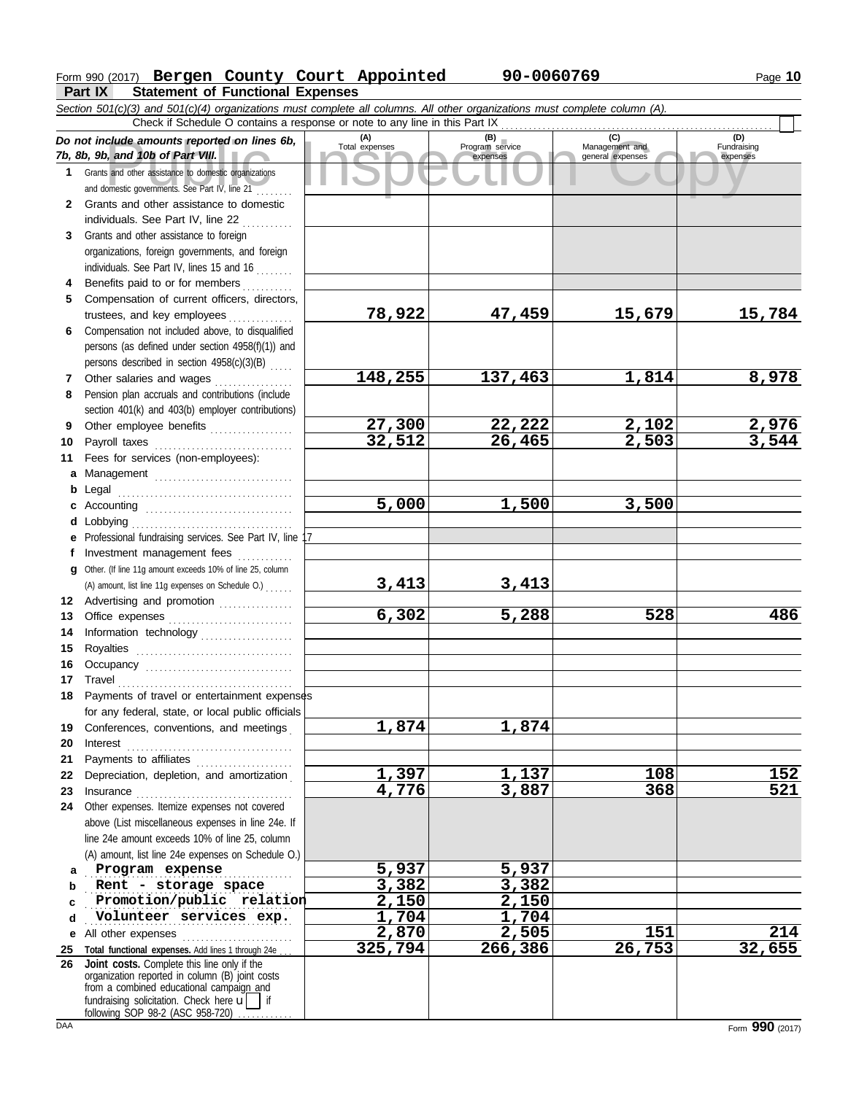# Form 990 (2017) Page **10 Bergen County Court Appointed 90-0060769**

**Part IX Statement of Functional Expenses**

|              | Section 501(c)(3) and 501(c)(4) organizations must complete all columns. All other organizations must complete column (A).                                                                                                                                                                                                                                                                                                                                                                                                  |                       |                                    |                                           |                         |
|--------------|-----------------------------------------------------------------------------------------------------------------------------------------------------------------------------------------------------------------------------------------------------------------------------------------------------------------------------------------------------------------------------------------------------------------------------------------------------------------------------------------------------------------------------|-----------------------|------------------------------------|-------------------------------------------|-------------------------|
|              | Check if Schedule O contains a response or note to any line in this Part IX                                                                                                                                                                                                                                                                                                                                                                                                                                                 |                       |                                    |                                           | (D)                     |
|              | Do not include amounts reported on lines 6b,<br>7b, 8b, 9b, and 10b of Part VIII.                                                                                                                                                                                                                                                                                                                                                                                                                                           | (A)<br>Total expenses | (B)<br>Program service<br>expenses | (C)<br>Management and<br>general expenses | Fundraising<br>expenses |
| $\mathbf 1$  | Grants and other assistance to domestic organizations<br>and domestic governments. See Part IV, line 21                                                                                                                                                                                                                                                                                                                                                                                                                     |                       |                                    |                                           |                         |
| $\mathbf{2}$ | Grants and other assistance to domestic                                                                                                                                                                                                                                                                                                                                                                                                                                                                                     |                       |                                    |                                           |                         |
|              | individuals. See Part IV, line 22                                                                                                                                                                                                                                                                                                                                                                                                                                                                                           |                       |                                    |                                           |                         |
| 3            | Grants and other assistance to foreign                                                                                                                                                                                                                                                                                                                                                                                                                                                                                      |                       |                                    |                                           |                         |
|              | organizations, foreign governments, and foreign                                                                                                                                                                                                                                                                                                                                                                                                                                                                             |                       |                                    |                                           |                         |
|              | individuals. See Part IV, lines 15 and 16                                                                                                                                                                                                                                                                                                                                                                                                                                                                                   |                       |                                    |                                           |                         |
| 4            | Benefits paid to or for members                                                                                                                                                                                                                                                                                                                                                                                                                                                                                             |                       |                                    |                                           |                         |
| 5            | Compensation of current officers, directors,                                                                                                                                                                                                                                                                                                                                                                                                                                                                                |                       |                                    |                                           |                         |
|              | trustees, and key employees                                                                                                                                                                                                                                                                                                                                                                                                                                                                                                 | 78,922                | 47,459                             | 15,679                                    | 15,784                  |
| 6            | Compensation not included above, to disqualified                                                                                                                                                                                                                                                                                                                                                                                                                                                                            |                       |                                    |                                           |                         |
|              | persons (as defined under section 4958(f)(1)) and                                                                                                                                                                                                                                                                                                                                                                                                                                                                           |                       |                                    |                                           |                         |
|              | persons described in section 4958(c)(3)(B)                                                                                                                                                                                                                                                                                                                                                                                                                                                                                  | 148,255               | 137,463                            | 1,814                                     | 8,978                   |
| 7<br>8       | Other salaries and wages<br>Pension plan accruals and contributions (include                                                                                                                                                                                                                                                                                                                                                                                                                                                |                       |                                    |                                           |                         |
|              | section 401(k) and 403(b) employer contributions)                                                                                                                                                                                                                                                                                                                                                                                                                                                                           |                       |                                    |                                           |                         |
| 9            | Other employee benefits                                                                                                                                                                                                                                                                                                                                                                                                                                                                                                     | 27,300                | 22,222                             | 2,102                                     | 2,976                   |
| 10           |                                                                                                                                                                                                                                                                                                                                                                                                                                                                                                                             | 32,512                | 26,465                             | 2,503                                     | 3,544                   |
| 11           | Fees for services (non-employees):                                                                                                                                                                                                                                                                                                                                                                                                                                                                                          |                       |                                    |                                           |                         |
| a            | Management                                                                                                                                                                                                                                                                                                                                                                                                                                                                                                                  |                       |                                    |                                           |                         |
| b            | Legal                                                                                                                                                                                                                                                                                                                                                                                                                                                                                                                       |                       |                                    |                                           |                         |
| c            |                                                                                                                                                                                                                                                                                                                                                                                                                                                                                                                             | 5,000                 | 1,500                              | 3,500                                     |                         |
| d            | Lobbying                                                                                                                                                                                                                                                                                                                                                                                                                                                                                                                    |                       |                                    |                                           |                         |
| е            | Professional fundraising services. See Part IV, line 17                                                                                                                                                                                                                                                                                                                                                                                                                                                                     |                       |                                    |                                           |                         |
| t.           | Investment management fees                                                                                                                                                                                                                                                                                                                                                                                                                                                                                                  |                       |                                    |                                           |                         |
| a            | Other. (If line 11g amount exceeds 10% of line 25, column                                                                                                                                                                                                                                                                                                                                                                                                                                                                   |                       |                                    |                                           |                         |
|              | (A) amount, list line 11g expenses on Schedule O.)                                                                                                                                                                                                                                                                                                                                                                                                                                                                          | 3,413                 | 3,413                              |                                           |                         |
|              | 12 Advertising and promotion                                                                                                                                                                                                                                                                                                                                                                                                                                                                                                |                       |                                    |                                           |                         |
| 13           |                                                                                                                                                                                                                                                                                                                                                                                                                                                                                                                             | 6,302                 | 5,288                              | 528                                       | 486                     |
| 14           | Information technology                                                                                                                                                                                                                                                                                                                                                                                                                                                                                                      |                       |                                    |                                           |                         |
| 15           |                                                                                                                                                                                                                                                                                                                                                                                                                                                                                                                             |                       |                                    |                                           |                         |
| 16           | Occupancy                                                                                                                                                                                                                                                                                                                                                                                                                                                                                                                   |                       |                                    |                                           |                         |
| 17           | $\begin{minipage}[c]{0.9\linewidth} \begin{tabular}{l} \textbf{Travel} \end{tabular} \end{minipage} \end{minipage} \begin{minipage}[c]{0.9\linewidth} \begin{tabular}{l} \textbf{True} \end{tabular} \end{minipage} \end{minipage} \begin{minipage}[c]{0.9\linewidth} \begin{tabular}{l} \textbf{True} \end{tabular} \end{minipage} \end{minipage} \begin{minipage}[c]{0.9\linewidth} \begin{tabular}{l} \textbf{True} \end{tabular} \end{minipage} \end{minipage} \begin{minipage}[c]{0.9\linewidth} \begin{tabular}{l} \$ |                       |                                    |                                           |                         |
| 18           | Payments of travel or entertainment expenses                                                                                                                                                                                                                                                                                                                                                                                                                                                                                |                       |                                    |                                           |                         |
|              | for any federal, state, or local public officials                                                                                                                                                                                                                                                                                                                                                                                                                                                                           |                       |                                    |                                           |                         |
| 19           | Conferences, conventions, and meetings                                                                                                                                                                                                                                                                                                                                                                                                                                                                                      | 1,874                 | 1,874                              |                                           |                         |
| 20<br>21     | Payments to affiliates [11] production of the symmetric state of the symmetric state of the symmetric state of the symmetric state of the symmetric state of the symmetric state of the symmetric state of the symmetric state                                                                                                                                                                                                                                                                                              |                       |                                    |                                           |                         |
| 22           | Depreciation, depletion, and amortization                                                                                                                                                                                                                                                                                                                                                                                                                                                                                   | 1,397                 | <u>1,137</u>                       | 108                                       | <u> 152 </u>            |
| 23           |                                                                                                                                                                                                                                                                                                                                                                                                                                                                                                                             | 4,776                 | 3,887                              | 368                                       | $\overline{521}$        |
| 24           | Other expenses. Itemize expenses not covered                                                                                                                                                                                                                                                                                                                                                                                                                                                                                |                       |                                    |                                           |                         |
|              | above (List miscellaneous expenses in line 24e. If                                                                                                                                                                                                                                                                                                                                                                                                                                                                          |                       |                                    |                                           |                         |
|              | line 24e amount exceeds 10% of line 25, column                                                                                                                                                                                                                                                                                                                                                                                                                                                                              |                       |                                    |                                           |                         |
|              | (A) amount, list line 24e expenses on Schedule O.)                                                                                                                                                                                                                                                                                                                                                                                                                                                                          |                       |                                    |                                           |                         |
| a            | Program expense                                                                                                                                                                                                                                                                                                                                                                                                                                                                                                             | 5,937                 | 5,937                              |                                           |                         |
| b            | Rent - storage space                                                                                                                                                                                                                                                                                                                                                                                                                                                                                                        | 3,382                 | 3,382                              |                                           |                         |
| C            | Promotion/public relation                                                                                                                                                                                                                                                                                                                                                                                                                                                                                                   | 2,150                 | 2,150                              |                                           |                         |
| d            | Volunteer services exp.                                                                                                                                                                                                                                                                                                                                                                                                                                                                                                     | 1,704                 | 1,704                              |                                           |                         |
| е            | All other expenses                                                                                                                                                                                                                                                                                                                                                                                                                                                                                                          | 2,870                 | 2,505                              | 151                                       | 214                     |
| 25           | Total functional expenses. Add lines 1 through 24e                                                                                                                                                                                                                                                                                                                                                                                                                                                                          | 325,794               | 266,386                            | 26,753                                    | 32,655                  |
| 26           | Joint costs. Complete this line only if the<br>organization reported in column (B) joint costs<br>from a combined educational campaign and<br>fundraising solicitation. Check here $\mathbf{u}$ if<br>following SOP 98-2 (ASC 958-720)                                                                                                                                                                                                                                                                                      |                       |                                    |                                           |                         |

|  |  | m 990 (2017) Bergen County Court Appc   |  |
|--|--|-----------------------------------------|--|
|  |  | art IX Statement of Functional Expenses |  |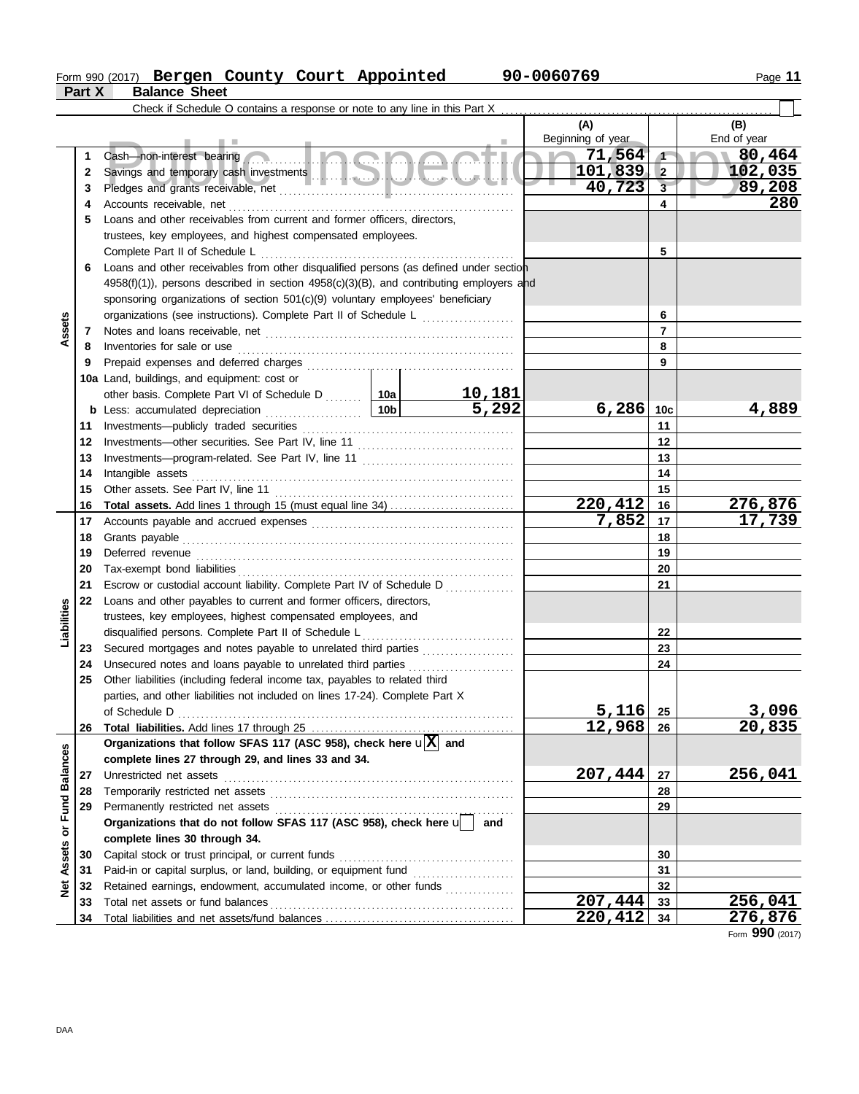## Form 990 (2017) Page **11 Bergen County Court Appointed 90-0060769**

|                  | Part X   | <b>Balance Sheet</b>                                                                                                                                                                                                                 |  |  |                     |                 |                     |
|------------------|----------|--------------------------------------------------------------------------------------------------------------------------------------------------------------------------------------------------------------------------------------|--|--|---------------------|-----------------|---------------------|
|                  |          |                                                                                                                                                                                                                                      |  |  |                     |                 |                     |
|                  |          |                                                                                                                                                                                                                                      |  |  | (A)                 |                 | (B)                 |
|                  |          |                                                                                                                                                                                                                                      |  |  | Beginning of year   |                 | End of year         |
|                  | 1        | Cash—non-interest bearing                                                                                                                                                                                                            |  |  | <b>In</b><br>71,564 | $\sqrt{ }$      | 80,464              |
|                  | 2        |                                                                                                                                                                                                                                      |  |  | $101,839$ 2         |                 | 102,035             |
|                  | 3        |                                                                                                                                                                                                                                      |  |  | 40,723              | $\overline{3}$  | 89,208              |
|                  | 4        |                                                                                                                                                                                                                                      |  |  |                     | 4               | 280                 |
|                  | 5        | Loans and other receivables from current and former officers, directors,                                                                                                                                                             |  |  |                     |                 |                     |
|                  |          | trustees, key employees, and highest compensated employees.                                                                                                                                                                          |  |  |                     |                 |                     |
|                  |          |                                                                                                                                                                                                                                      |  |  |                     | 5               |                     |
|                  | 6        | Loans and other receivables from other disqualified persons (as defined under section                                                                                                                                                |  |  |                     |                 |                     |
|                  |          | 4958(f)(1)), persons described in section 4958(c)(3)(B), and contributing employers and                                                                                                                                              |  |  |                     |                 |                     |
|                  |          | sponsoring organizations of section 501(c)(9) voluntary employees' beneficiary                                                                                                                                                       |  |  |                     |                 |                     |
|                  |          | organizations (see instructions). Complete Part II of Schedule L                                                                                                                                                                     |  |  |                     | 6               |                     |
| Assets           | 7        |                                                                                                                                                                                                                                      |  |  | $\overline{7}$      |                 |                     |
|                  | 8        | Inventories for sale or use <b>constant of the constant of the sale of the constant of the sale of the constant of the constant of the constant of the constant of the constant of the constant of the constant of the constant </b> |  |  |                     | 8               |                     |
|                  | 9        |                                                                                                                                                                                                                                      |  |  |                     | 9               |                     |
|                  |          | 10a Land, buildings, and equipment: cost or                                                                                                                                                                                          |  |  |                     |                 |                     |
|                  |          | other basis. Complete Part VI of Schedule D<br>b Less: accumulated depreciation<br>10b<br>5,292                                                                                                                                      |  |  |                     |                 |                     |
|                  |          |                                                                                                                                                                                                                                      |  |  | 6,286               | 10 <sub>c</sub> | 4,889               |
|                  | 11       |                                                                                                                                                                                                                                      |  |  |                     | 11              |                     |
|                  | 12       |                                                                                                                                                                                                                                      |  |  |                     | 12              |                     |
|                  | 13       |                                                                                                                                                                                                                                      |  |  |                     | 13              |                     |
|                  | 14       | Intangible assets                                                                                                                                                                                                                    |  |  |                     | 14              |                     |
|                  | 15       |                                                                                                                                                                                                                                      |  |  |                     | 15              |                     |
|                  | 16       |                                                                                                                                                                                                                                      |  |  | 220,412             | 16              | 276,876             |
|                  | 17       |                                                                                                                                                                                                                                      |  |  | 7,852               | 17              | 17,739              |
|                  | 18       |                                                                                                                                                                                                                                      |  |  | 18                  |                 |                     |
|                  | 19       |                                                                                                                                                                                                                                      |  |  | 19                  |                 |                     |
|                  | 20       |                                                                                                                                                                                                                                      |  |  |                     | 20              |                     |
|                  | 21       | Escrow or custodial account liability. Complete Part IV of Schedule D                                                                                                                                                                |  |  |                     | 21              |                     |
|                  | 22       | Loans and other payables to current and former officers, directors,                                                                                                                                                                  |  |  |                     |                 |                     |
| Liabilities      |          | trustees, key employees, highest compensated employees, and                                                                                                                                                                          |  |  |                     |                 |                     |
|                  |          | disqualified persons. Complete Part II of Schedule L <sub></sub>                                                                                                                                                                     |  |  |                     | 22<br>23        |                     |
|                  | 23<br>24 | Secured mortgages and notes payable to unrelated third parties [[[[[[[[[[[[[[[[[[[[[[[[[[[[[]]]]]]]]<br>Unsecured notes and loans payable to unrelated third parties                                                                 |  |  |                     | 24              |                     |
|                  | 25       | Other liabilities (including federal income tax, payables to related third                                                                                                                                                           |  |  |                     |                 |                     |
|                  |          | parties, and other liabilities not included on lines 17-24). Complete Part X                                                                                                                                                         |  |  |                     |                 |                     |
|                  |          |                                                                                                                                                                                                                                      |  |  | 5,116               | 25              | 3,096               |
|                  | 26       |                                                                                                                                                                                                                                      |  |  | 12,968              | 26              | $\overline{20,835}$ |
|                  |          | Organizations that follow SFAS 117 (ASC 958), check here $\mathbf{u}[\overline{X}]$ and                                                                                                                                              |  |  |                     |                 |                     |
| or Fund Balances |          | complete lines 27 through 29, and lines 33 and 34.                                                                                                                                                                                   |  |  |                     |                 |                     |
|                  | 27       | Unrestricted net assets                                                                                                                                                                                                              |  |  | 207,444             | 27              | 256,041             |
|                  | 28       |                                                                                                                                                                                                                                      |  |  |                     | 28              |                     |
|                  | 29       |                                                                                                                                                                                                                                      |  |  |                     | 29              |                     |
|                  |          | Organizations that do not follow SFAS 117 (ASC 958), check here union                                                                                                                                                                |  |  |                     |                 |                     |
|                  |          | complete lines 30 through 34.                                                                                                                                                                                                        |  |  |                     |                 |                     |
| Assets           | 30       |                                                                                                                                                                                                                                      |  |  |                     | 30              |                     |
|                  | 31       | Paid-in or capital surplus, or land, building, or equipment fund [[[[[[[[[[[[[[[[[[[[[[[[[[[[[[[[[[[                                                                                                                                 |  |  |                     | 31              |                     |
| ğ                | 32       | Retained earnings, endowment, accumulated income, or other funds                                                                                                                                                                     |  |  |                     | 32              |                     |
|                  | 33       |                                                                                                                                                                                                                                      |  |  | 207,444             | 33              | 256,041             |
|                  | 34       |                                                                                                                                                                                                                                      |  |  | 220,412             | 34              | 276,876             |

Form **990** (2017)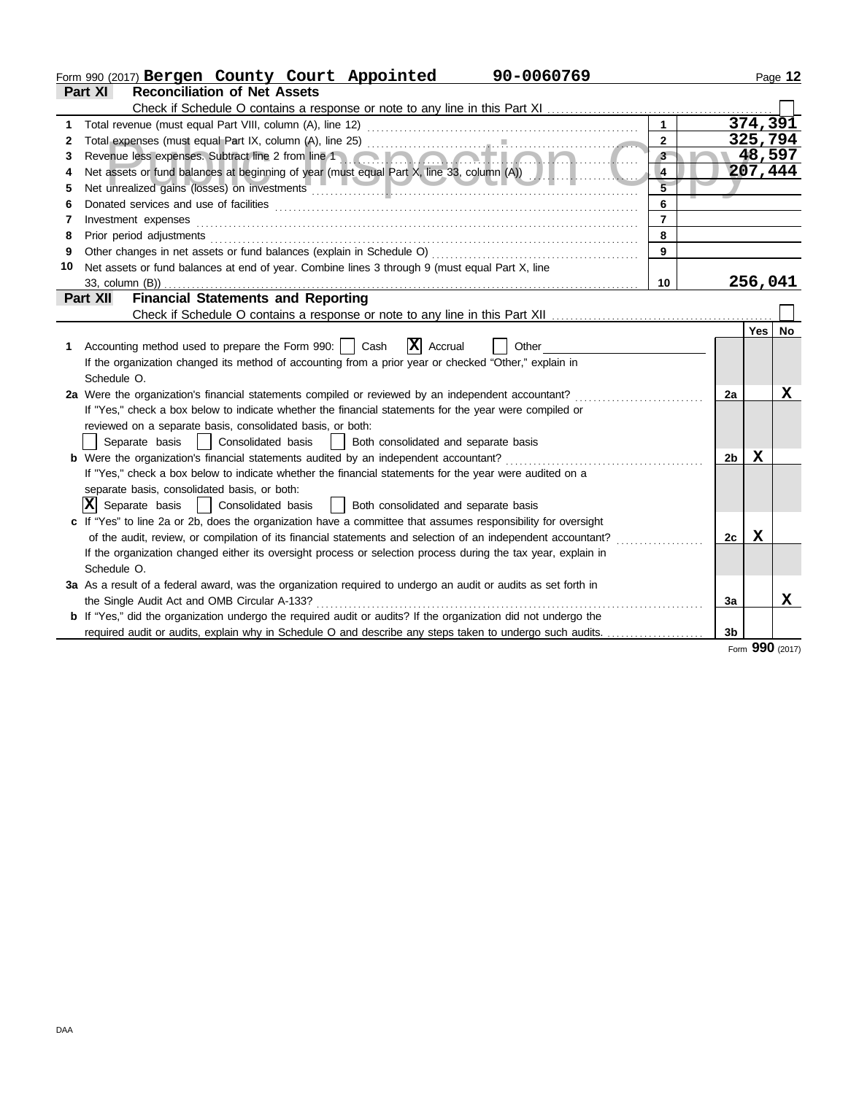|    | 90-0060769<br>Form 990 (2017) Bergen County Court Appointed                                                                                                                                                                         |                |    |          | Page 12  |
|----|-------------------------------------------------------------------------------------------------------------------------------------------------------------------------------------------------------------------------------------|----------------|----|----------|----------|
|    | <b>Reconciliation of Net Assets</b><br>Part XI                                                                                                                                                                                      |                |    |          |          |
|    |                                                                                                                                                                                                                                     |                |    |          |          |
| 1  |                                                                                                                                                                                                                                     | $\mathbf{1}$   |    |          | 374, 391 |
| 2  |                                                                                                                                                                                                                                     | $\overline{2}$ |    |          | 325,794  |
| 3  |                                                                                                                                                                                                                                     | $3 -$          |    |          | 48,597   |
|    |                                                                                                                                                                                                                                     | $\overline{4}$ |    |          | 207,444  |
| 5  | Net unrealized gains (losses) on investments [1999] Marian Marian Marian Marian Marian Marian Marian Marian Marian Marian Marian Marian Marian Marian Marian Marian Marian Marian Marian Marian Marian Marian Marian Marian Ma      |                |    |          |          |
| 6  |                                                                                                                                                                                                                                     | 6              |    |          |          |
| 7  | Investment expenses <b>construction and construction of the construction of the construction</b> of the construction of the construction of the construction of the construction of the construction of the construction of the con | $\overline{7}$ |    |          |          |
| 8  | Prior period adjustments [11, 12] and the contract of the contract of the contract of the contract of the contract of the contract of the contract of the contract of the contract of the contract of the contract of the cont      | 8              |    |          |          |
| 9  |                                                                                                                                                                                                                                     | 9              |    |          |          |
| 10 | Net assets or fund balances at end of year. Combine lines 3 through 9 (must equal Part X, line                                                                                                                                      |                |    |          |          |
|    | 33, column (B))                                                                                                                                                                                                                     | 10             |    |          | 256,041  |
|    | <b>Financial Statements and Reporting</b><br>Part XII                                                                                                                                                                               |                |    |          |          |
|    | Check if Schedule O contains a response or note to any line in this Part XII                                                                                                                                                        |                |    |          |          |
|    |                                                                                                                                                                                                                                     |                |    | Yes   No |          |
| 1. | $ \mathbf{X} $ Accrual<br>Accounting method used to prepare the Form 990:     Cash<br>Other                                                                                                                                         |                |    |          |          |
|    | If the organization changed its method of accounting from a prior year or checked "Other," explain in                                                                                                                               |                |    |          |          |
|    | Schedule O.                                                                                                                                                                                                                         |                |    |          |          |
|    | 2a Were the organization's financial statements compiled or reviewed by an independent accountant?                                                                                                                                  |                | 2a |          | x        |
|    | If "Yes," check a box below to indicate whether the financial statements for the year were compiled or                                                                                                                              |                |    |          |          |
|    | reviewed on a separate basis, consolidated basis, or both:                                                                                                                                                                          |                |    |          |          |
|    | Separate basis<br>Consolidated basis<br>Both consolidated and separate basis                                                                                                                                                        |                |    |          |          |
|    | <b>b</b> Were the organization's financial statements audited by an independent accountant?                                                                                                                                         |                | 2b | X        |          |
|    | If "Yes," check a box below to indicate whether the financial statements for the year were audited on a                                                                                                                             |                |    |          |          |
|    | separate basis, consolidated basis, or both:                                                                                                                                                                                        |                |    |          |          |
|    | $ \mathbf{X} $ Separate basis<br>Consolidated basis<br>Both consolidated and separate basis                                                                                                                                         |                |    |          |          |
|    | c If "Yes" to line 2a or 2b, does the organization have a committee that assumes responsibility for oversight                                                                                                                       |                |    |          |          |
|    | of the audit, review, or compilation of its financial statements and selection of an independent accountant?                                                                                                                        |                | 2c | x        |          |
|    | If the organization changed either its oversight process or selection process during the tax year, explain in                                                                                                                       |                |    |          |          |
|    | Schedule O.                                                                                                                                                                                                                         |                |    |          |          |
|    | 3a As a result of a federal award, was the organization required to undergo an audit or audits as set forth in                                                                                                                      |                |    |          |          |
|    | the Single Audit Act and OMB Circular A-133?                                                                                                                                                                                        |                | 3a |          | x        |
|    | <b>b</b> If "Yes," did the organization undergo the required audit or audits? If the organization did not undergo the                                                                                                               |                |    |          |          |
|    | required audit or audits, explain why in Schedule O and describe any steps taken to undergo such audits.                                                                                                                            |                | 3b |          |          |
|    |                                                                                                                                                                                                                                     |                |    | nnn.     |          |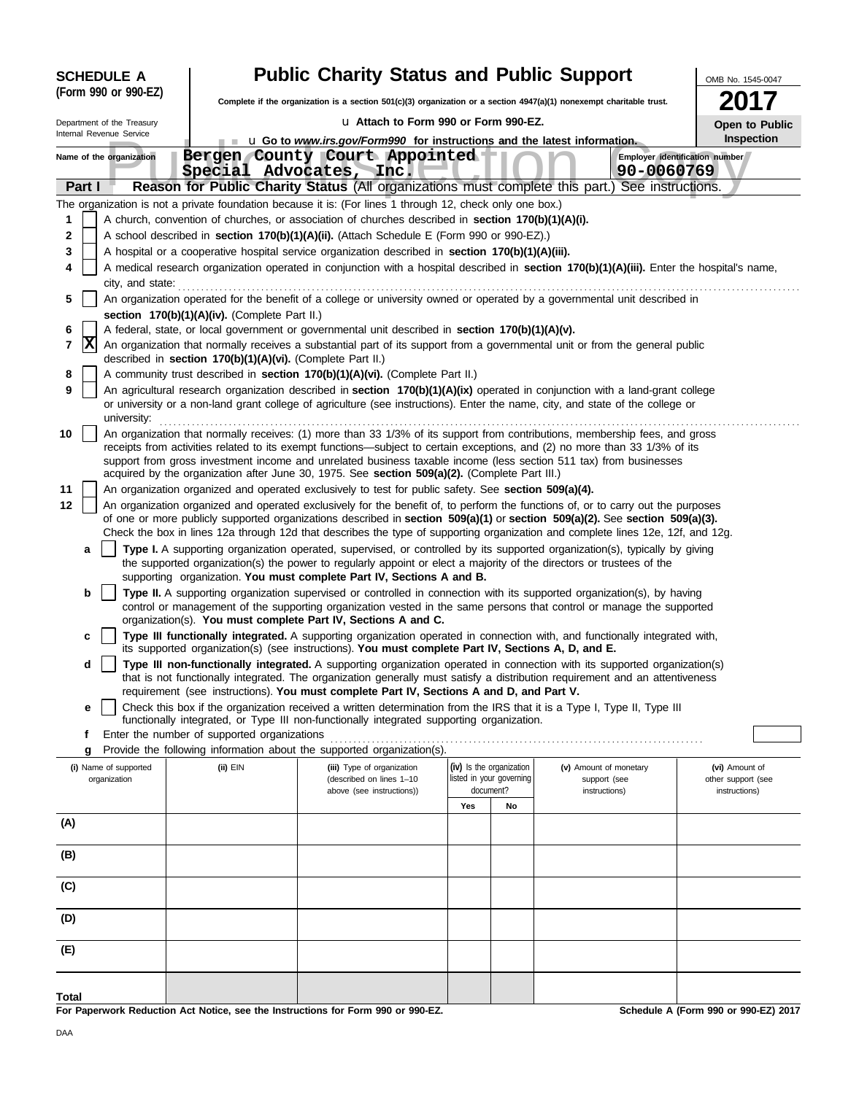| <b>Public Charity Status and Public Support</b><br><b>SCHEDULE A</b><br>OMB No. 1545-0047 |                                                            |                                                                                                                                                                                                                                                           |     |                                       |                               |                                     |
|-------------------------------------------------------------------------------------------|------------------------------------------------------------|-----------------------------------------------------------------------------------------------------------------------------------------------------------------------------------------------------------------------------------------------------------|-----|---------------------------------------|-------------------------------|-------------------------------------|
| (Form 990 or 990-EZ)                                                                      |                                                            | Complete if the organization is a section 501(c)(3) organization or a section $4947(a)(1)$ nonexempt charitable trust.                                                                                                                                    |     |                                       |                               |                                     |
| Department of the Treasury                                                                |                                                            | La Attach to Form 990 or Form 990-EZ.                                                                                                                                                                                                                     |     |                                       |                               | Open to Public                      |
| Internal Revenue Service                                                                  |                                                            | <b>u</b> Go to <i>www.irs.gov/Form990</i> for instructions and the latest information.                                                                                                                                                                    |     |                                       |                               | Inspection                          |
| Name of the organization                                                                  |                                                            | Bergen County Court Appointed<br>Special Advocates, Inc.                                                                                                                                                                                                  |     |                                       | 90-0060769                    | Employer identification number      |
| Part I                                                                                    |                                                            | Reason for Public Charity Status (All organizations must complete this part.)                                                                                                                                                                             |     |                                       | See instructions.             |                                     |
|                                                                                           |                                                            | The organization is not a private foundation because it is: (For lines 1 through 12, check only one box.)                                                                                                                                                 |     |                                       |                               |                                     |
| 1                                                                                         |                                                            | A church, convention of churches, or association of churches described in section 170(b)(1)(A)(i).                                                                                                                                                        |     |                                       |                               |                                     |
| 2                                                                                         |                                                            | A school described in section 170(b)(1)(A)(ii). (Attach Schedule E (Form 990 or 990-EZ).)                                                                                                                                                                 |     |                                       |                               |                                     |
| 3                                                                                         |                                                            | A hospital or a cooperative hospital service organization described in section 170(b)(1)(A)(iii).                                                                                                                                                         |     |                                       |                               |                                     |
| 4                                                                                         |                                                            | A medical research organization operated in conjunction with a hospital described in section 170(b)(1)(A)(iii). Enter the hospital's name,                                                                                                                |     |                                       |                               |                                     |
| city, and state:                                                                          |                                                            |                                                                                                                                                                                                                                                           |     |                                       |                               |                                     |
| 5                                                                                         |                                                            | An organization operated for the benefit of a college or university owned or operated by a governmental unit described in                                                                                                                                 |     |                                       |                               |                                     |
| 6                                                                                         | section 170(b)(1)(A)(iv). (Complete Part II.)              | A federal, state, or local government or governmental unit described in section 170(b)(1)(A)(v).                                                                                                                                                          |     |                                       |                               |                                     |
| $ {\bf X} $<br>7                                                                          |                                                            | An organization that normally receives a substantial part of its support from a governmental unit or from the general public                                                                                                                              |     |                                       |                               |                                     |
|                                                                                           | described in section 170(b)(1)(A)(vi). (Complete Part II.) |                                                                                                                                                                                                                                                           |     |                                       |                               |                                     |
| 8<br>9                                                                                    |                                                            | A community trust described in section 170(b)(1)(A)(vi). (Complete Part II.)<br>An agricultural research organization described in section 170(b)(1)(A)(ix) operated in conjunction with a land-grant college                                             |     |                                       |                               |                                     |
|                                                                                           |                                                            | or university or a non-land grant college of agriculture (see instructions). Enter the name, city, and state of the college or                                                                                                                            |     |                                       |                               |                                     |
| university:                                                                               |                                                            |                                                                                                                                                                                                                                                           |     |                                       |                               |                                     |
| 10                                                                                        |                                                            | An organization that normally receives: (1) more than 33 1/3% of its support from contributions, membership fees, and gross                                                                                                                               |     |                                       |                               |                                     |
|                                                                                           |                                                            | receipts from activities related to its exempt functions—subject to certain exceptions, and (2) no more than 33 1/3% of its                                                                                                                               |     |                                       |                               |                                     |
|                                                                                           |                                                            | support from gross investment income and unrelated business taxable income (less section 511 tax) from businesses                                                                                                                                         |     |                                       |                               |                                     |
| 11                                                                                        |                                                            | acquired by the organization after June 30, 1975. See section 509(a)(2). (Complete Part III.)                                                                                                                                                             |     |                                       |                               |                                     |
| 12                                                                                        |                                                            | An organization organized and operated exclusively to test for public safety. See section 509(a)(4).<br>An organization organized and operated exclusively for the benefit of, to perform the functions of, or to carry out the purposes                  |     |                                       |                               |                                     |
|                                                                                           |                                                            | of one or more publicly supported organizations described in section 509(a)(1) or section 509(a)(2). See section 509(a)(3).                                                                                                                               |     |                                       |                               |                                     |
|                                                                                           |                                                            | Check the box in lines 12a through 12d that describes the type of supporting organization and complete lines 12e, 12f, and 12g.                                                                                                                           |     |                                       |                               |                                     |
| a                                                                                         |                                                            | Type I. A supporting organization operated, supervised, or controlled by its supported organization(s), typically by giving                                                                                                                               |     |                                       |                               |                                     |
|                                                                                           |                                                            | the supported organization(s) the power to regularly appoint or elect a majority of the directors or trustees of the                                                                                                                                      |     |                                       |                               |                                     |
|                                                                                           |                                                            | supporting organization. You must complete Part IV, Sections A and B.                                                                                                                                                                                     |     |                                       |                               |                                     |
| b                                                                                         |                                                            | Type II. A supporting organization supervised or controlled in connection with its supported organization(s), by having                                                                                                                                   |     |                                       |                               |                                     |
|                                                                                           |                                                            | control or management of the supporting organization vested in the same persons that control or manage the supported<br>organization(s). You must complete Part IV, Sections A and C.                                                                     |     |                                       |                               |                                     |
| c                                                                                         |                                                            | Type III functionally integrated. A supporting organization operated in connection with, and functionally integrated with,                                                                                                                                |     |                                       |                               |                                     |
|                                                                                           |                                                            | its supported organization(s) (see instructions). You must complete Part IV, Sections A, D, and E.                                                                                                                                                        |     |                                       |                               |                                     |
| d                                                                                         |                                                            | Type III non-functionally integrated. A supporting organization operated in connection with its supported organization(s)<br>that is not functionally integrated. The organization generally must satisfy a distribution requirement and an attentiveness |     |                                       |                               |                                     |
|                                                                                           |                                                            | requirement (see instructions). You must complete Part IV, Sections A and D, and Part V.                                                                                                                                                                  |     |                                       |                               |                                     |
| e                                                                                         |                                                            | Check this box if the organization received a written determination from the IRS that it is a Type I, Type II, Type III                                                                                                                                   |     |                                       |                               |                                     |
|                                                                                           |                                                            | functionally integrated, or Type III non-functionally integrated supporting organization.                                                                                                                                                                 |     |                                       |                               |                                     |
| f                                                                                         | Enter the number of supported organizations                |                                                                                                                                                                                                                                                           |     |                                       |                               |                                     |
| g                                                                                         |                                                            | Provide the following information about the supported organization(s).                                                                                                                                                                                    |     |                                       |                               |                                     |
| (i) Name of supported                                                                     | (ii) EIN                                                   | (iii) Type of organization                                                                                                                                                                                                                                |     | (iv) Is the organization              | (v) Amount of monetary        | (vi) Amount of                      |
| organization                                                                              |                                                            | (described on lines 1-10<br>above (see instructions))                                                                                                                                                                                                     |     | listed in your governing<br>document? | support (see<br>instructions) | other support (see<br>instructions) |
|                                                                                           |                                                            |                                                                                                                                                                                                                                                           | Yes | No                                    |                               |                                     |
| (A)                                                                                       |                                                            |                                                                                                                                                                                                                                                           |     |                                       |                               |                                     |
|                                                                                           |                                                            |                                                                                                                                                                                                                                                           |     |                                       |                               |                                     |
| (B)                                                                                       |                                                            |                                                                                                                                                                                                                                                           |     |                                       |                               |                                     |

 $\equiv$ 

**Total**

**(E)**

**(D)**

**(C)**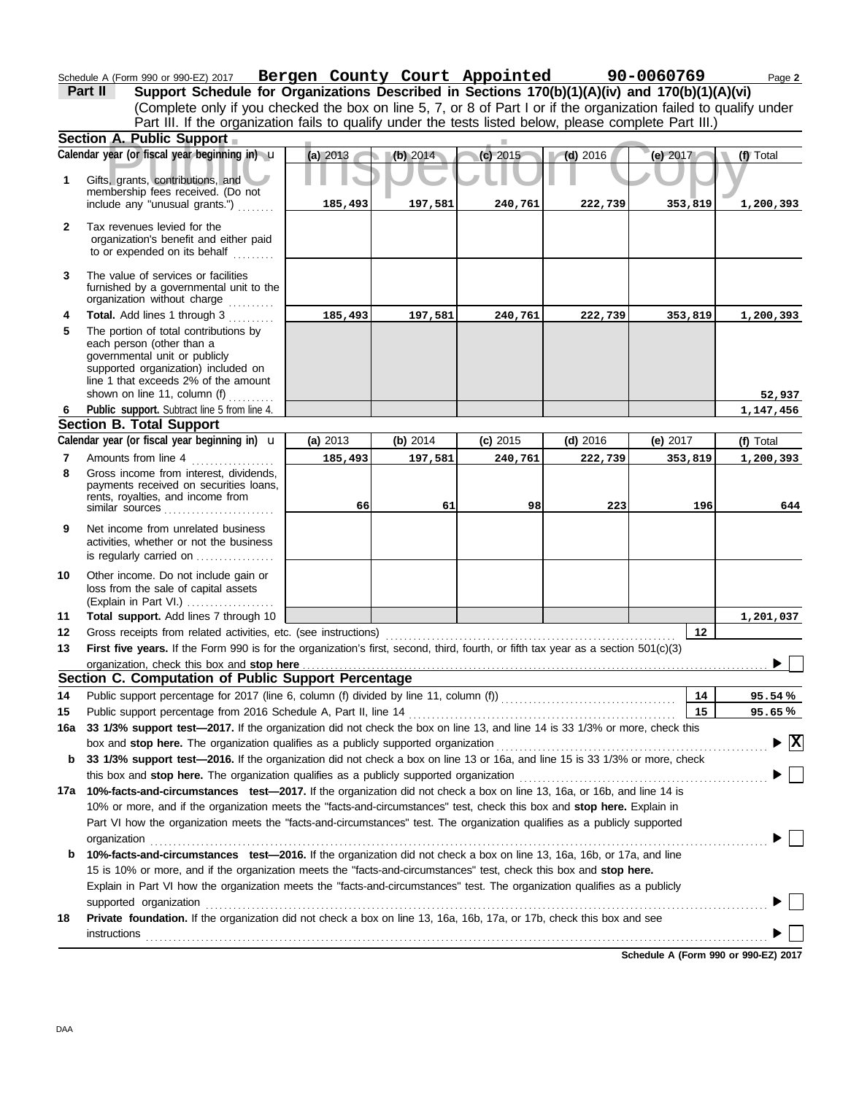Schedule A (Form 990 or 990-EZ) 2017 **Bergen County Court Appointed 90-0060769** Page 2

(Complete only if you checked the box on line 5, 7, or 8 of Part I or if the organization failed to qualify under **Part II** Support Schedule for Organizations Described in Sections 170(b)(1)(A)(iv) and 170(b)(1)(A)(vi) Part III. If the organization fails to qualify under the tests listed below, please complete Part III.)

|              | Section A. Public Support                                                                                                                                                                                                                   |          |          |            |            |            |                         |
|--------------|---------------------------------------------------------------------------------------------------------------------------------------------------------------------------------------------------------------------------------------------|----------|----------|------------|------------|------------|-------------------------|
|              | Calendar year (or fiscal year beginning in) u                                                                                                                                                                                               | (a) 2013 | (b) 2014 | (c) 2015   | $(d)$ 2016 | (e) 2017   | (f) Total               |
| 1            | Gifts, grants, contributions, and<br>membership fees received. (Do not                                                                                                                                                                      |          |          |            |            |            |                         |
|              | include any "unusual grants.")                                                                                                                                                                                                              | 185,493  | 197,581  | 240,761    | 222,739    | 353,819    | 1,200,393               |
| $\mathbf{2}$ | Tax revenues levied for the<br>organization's benefit and either paid<br>to or expended on its behalf                                                                                                                                       |          |          |            |            |            |                         |
| 3            | The value of services or facilities<br>furnished by a governmental unit to the<br>organization without charge                                                                                                                               |          |          |            |            |            |                         |
| 4            | Total. Add lines 1 through 3                                                                                                                                                                                                                | 185,493  | 197,581  | 240,761    | 222,739    | 353,819    | 1,200,393               |
| 5            | The portion of total contributions by<br>each person (other than a<br>governmental unit or publicly<br>supported organization) included on<br>line 1 that exceeds 2% of the amount                                                          |          |          |            |            |            |                         |
|              | shown on line 11, column (f)                                                                                                                                                                                                                |          |          |            |            |            | 52,937                  |
| 6            | Public support. Subtract line 5 from line 4.                                                                                                                                                                                                |          |          |            |            |            | 1,147,456               |
|              | <b>Section B. Total Support</b>                                                                                                                                                                                                             |          |          |            |            |            |                         |
|              | Calendar year (or fiscal year beginning in) <b>u</b>                                                                                                                                                                                        | (a) 2013 | (b) 2014 | $(c)$ 2015 | $(d)$ 2016 | (e) $2017$ | (f) Total               |
| 7            | Amounts from line 4                                                                                                                                                                                                                         | 185,493  | 197,581  | 240,761    | 222,739    | 353,819    | 1,200,393               |
| 8            | Gross income from interest, dividends,<br>payments received on securities loans,<br>rents, royalties, and income from                                                                                                                       | 66       | 61       | 98         | 223        | 196        | 644                     |
| 9            | Net income from unrelated business<br>activities, whether or not the business<br>is regularly carried on                                                                                                                                    |          |          |            |            |            |                         |
| 10           | Other income. Do not include gain or<br>loss from the sale of capital assets<br>$(Explain in Part VI.)$                                                                                                                                     |          |          |            |            |            |                         |
| 11           | Total support. Add lines 7 through 10                                                                                                                                                                                                       |          |          |            |            |            | 1,201,037               |
| 12           | Gross receipts from related activities, etc. (see instructions)                                                                                                                                                                             |          |          |            |            | 12         |                         |
| 13           | First five years. If the Form 990 is for the organization's first, second, third, fourth, or fifth tax year as a section 501(c)(3)                                                                                                          |          |          |            |            |            |                         |
|              | organization, check this box and stop here                                                                                                                                                                                                  |          |          |            |            |            |                         |
|              | Section C. Computation of Public Support Percentage                                                                                                                                                                                         |          |          |            |            |            |                         |
| 14           |                                                                                                                                                                                                                                             |          |          |            |            | 14         | 95.54%                  |
|              | 15 Public support percentage from 2016 Schedule A, Part II, line 14 <b>Constant Constant Constant Part 14</b> 16 33 1/3% or more, check this                                                                                                |          |          |            |            | 15         | 95.65%                  |
|              |                                                                                                                                                                                                                                             |          |          |            |            |            |                         |
|              | box and stop here. The organization qualifies as a publicly supported organization                                                                                                                                                          |          |          |            |            |            | $\overline{\mathbf{x}}$ |
| b            | 33 1/3% support test-2016. If the organization did not check a box on line 13 or 16a, and line 15 is 33 1/3% or more, check                                                                                                                 |          |          |            |            |            |                         |
|              | this box and stop here. The organization qualifies as a publicly supported organization                                                                                                                                                     |          |          |            |            |            |                         |
|              | 17a 10%-facts-and-circumstances test-2017. If the organization did not check a box on line 13, 16a, or 16b, and line 14 is                                                                                                                  |          |          |            |            |            |                         |
|              | 10% or more, and if the organization meets the "facts-and-circumstances" test, check this box and stop here. Explain in                                                                                                                     |          |          |            |            |            |                         |
|              | Part VI how the organization meets the "facts-and-circumstances" test. The organization qualifies as a publicly supported                                                                                                                   |          |          |            |            |            |                         |
|              | organization                                                                                                                                                                                                                                |          |          |            |            |            |                         |
| b            | 10%-facts-and-circumstances test-2016. If the organization did not check a box on line 13, 16a, 16b, or 17a, and line<br>15 is 10% or more, and if the organization meets the "facts-and-circumstances" test, check this box and stop here. |          |          |            |            |            |                         |
|              | Explain in Part VI how the organization meets the "facts-and-circumstances" test. The organization qualifies as a publicly                                                                                                                  |          |          |            |            |            |                         |
|              | supported organization                                                                                                                                                                                                                      |          |          |            |            |            |                         |
| 18           | Private foundation. If the organization did not check a box on line 13, 16a, 16b, 17a, or 17b, check this box and see<br>instructions                                                                                                       |          |          |            |            |            |                         |
|              |                                                                                                                                                                                                                                             |          |          |            |            |            |                         |

**Schedule A (Form 990 or 990-EZ) 2017**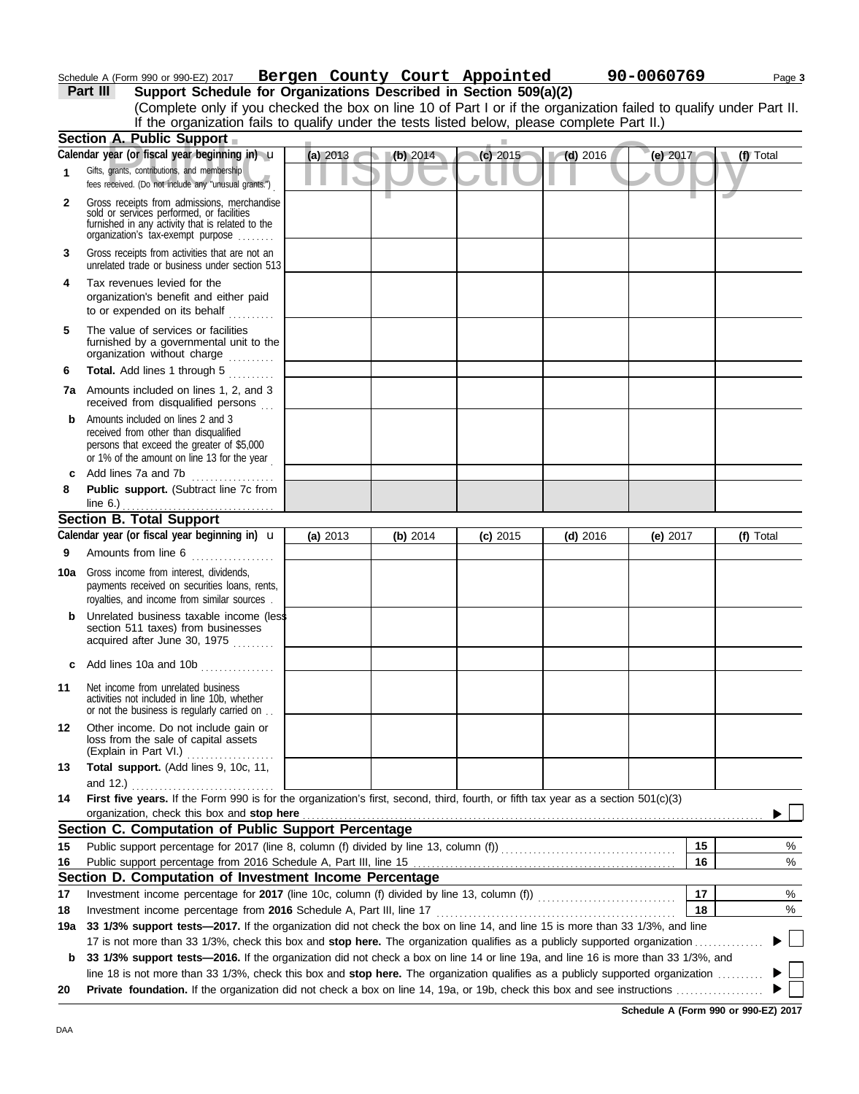### Schedule A (Form 990 or 990-EZ) 2017 **Bergen County Court Appointed 90-0060769** Page 3

**Part III Support Schedule for Organizations Described in Section 509(a)(2)**

|     | (Complete only if you checked the box on line 10 of Part I or if the organization failed to qualify under Part II.<br>If the organization fails to qualify under the tests listed below, please complete Part II.)                                              |          |          |            |                 |          |           |
|-----|-----------------------------------------------------------------------------------------------------------------------------------------------------------------------------------------------------------------------------------------------------------------|----------|----------|------------|-----------------|----------|-----------|
|     | Section A. Public Support                                                                                                                                                                                                                                       |          |          |            |                 |          |           |
|     | Calendar year (or fiscal year beginning in) u                                                                                                                                                                                                                   | (a) 2013 | (b) 2014 | $(c)$ 2015 | $\sqrt{d}$ 2016 | (e) 2017 | (f) Total |
| 1   | Gifts, grants, contributions, and membership<br>fees received. (Do not include any "unusual grants.")                                                                                                                                                           |          |          |            |                 |          |           |
| 2   | Gross receipts from admissions, merchandise<br>sold or services performed, or facilities<br>furnished in any activity that is related to the<br>organization's tax-exempt purpose                                                                               |          |          |            |                 |          |           |
| 3   | Gross receipts from activities that are not an<br>unrelated trade or business under section 513                                                                                                                                                                 |          |          |            |                 |          |           |
| 4   | Tax revenues levied for the<br>organization's benefit and either paid<br>to or expended on its behalf                                                                                                                                                           |          |          |            |                 |          |           |
| 5   | The value of services or facilities<br>furnished by a governmental unit to the<br>organization without charge                                                                                                                                                   |          |          |            |                 |          |           |
| 6   | Total. Add lines 1 through 5                                                                                                                                                                                                                                    |          |          |            |                 |          |           |
|     | 7a Amounts included on lines 1, 2, and 3<br>received from disqualified persons                                                                                                                                                                                  |          |          |            |                 |          |           |
| b   | Amounts included on lines 2 and 3<br>received from other than disqualified<br>persons that exceed the greater of \$5,000<br>or 1% of the amount on line 13 for the year                                                                                         |          |          |            |                 |          |           |
| c   | Add lines 7a and 7b<br>.                                                                                                                                                                                                                                        |          |          |            |                 |          |           |
| 8   | Public support. (Subtract line 7c from                                                                                                                                                                                                                          |          |          |            |                 |          |           |
|     | <b>Section B. Total Support</b>                                                                                                                                                                                                                                 |          |          |            |                 |          |           |
|     | Calendar year (or fiscal year beginning in) $\mathbf u$                                                                                                                                                                                                         | (a) 2013 | (b) 2014 | $(c)$ 2015 | $(d)$ 2016      | (e) 2017 | (f) Total |
| 9   | Amounts from line 6                                                                                                                                                                                                                                             |          |          |            |                 |          |           |
| 10a | Gross income from interest, dividends,<br>payments received on securities loans, rents,<br>royalties, and income from similar sources.                                                                                                                          |          |          |            |                 |          |           |
| b   | Unrelated business taxable income (less<br>section 511 taxes) from businesses<br>acquired after June 30, 1975                                                                                                                                                   |          |          |            |                 |          |           |
| c   | Add lines 10a and 10b                                                                                                                                                                                                                                           |          |          |            |                 |          |           |
| 11  | Net income from unrelated business<br>activities not included in line 10b, whether<br>or not the business is regularly carried on.                                                                                                                              |          |          |            |                 |          |           |
| 12  | Other income. Do not include gain or<br>loss from the sale of capital assets<br>(Explain in Part VI.)                                                                                                                                                           |          |          |            |                 |          |           |
| 13  | Total support. (Add lines 9, 10c, 11,<br>and 12.)                                                                                                                                                                                                               |          |          |            |                 |          |           |
| 14  | First five years. If the Form 990 is for the organization's first, second, third, fourth, or fifth tax year as a section 501(c)(3)<br>organization, check this box and stop here                                                                                |          |          |            |                 |          |           |
|     | Section C. Computation of Public Support Percentage                                                                                                                                                                                                             |          |          |            |                 |          |           |
| 15  | Public support percentage for 2017 (line 8, column (f) divided by line 13, column (f)) [[[[[[[[[[[[[[[[[[[[[[                                                                                                                                                   |          |          |            |                 | 15       | %         |
| 16  |                                                                                                                                                                                                                                                                 |          |          |            |                 | 16       | %         |
|     | Section D. Computation of Investment Income Percentage                                                                                                                                                                                                          |          |          |            |                 |          |           |
| 17  |                                                                                                                                                                                                                                                                 |          |          |            |                 | 17       | %         |
| 18  |                                                                                                                                                                                                                                                                 |          |          |            |                 | 18       | %         |
| 19a | 33 1/3% support tests-2017. If the organization did not check the box on line 14, and line 15 is more than 33 1/3%, and line                                                                                                                                    |          |          |            |                 |          |           |
| b   | 17 is not more than 33 1/3%, check this box and stop here. The organization qualifies as a publicly supported organization<br>33 1/3% support tests-2016. If the organization did not check a box on line 14 or line 19a, and line 16 is more than 33 1/3%, and |          |          |            |                 |          |           |
|     | line 18 is not more than 33 1/3%, check this box and stop here. The organization qualifies as a publicly supported organization                                                                                                                                 |          |          |            |                 |          |           |
| 20  |                                                                                                                                                                                                                                                                 |          |          |            |                 |          |           |

**Schedule A (Form 990 or 990-EZ) 2017**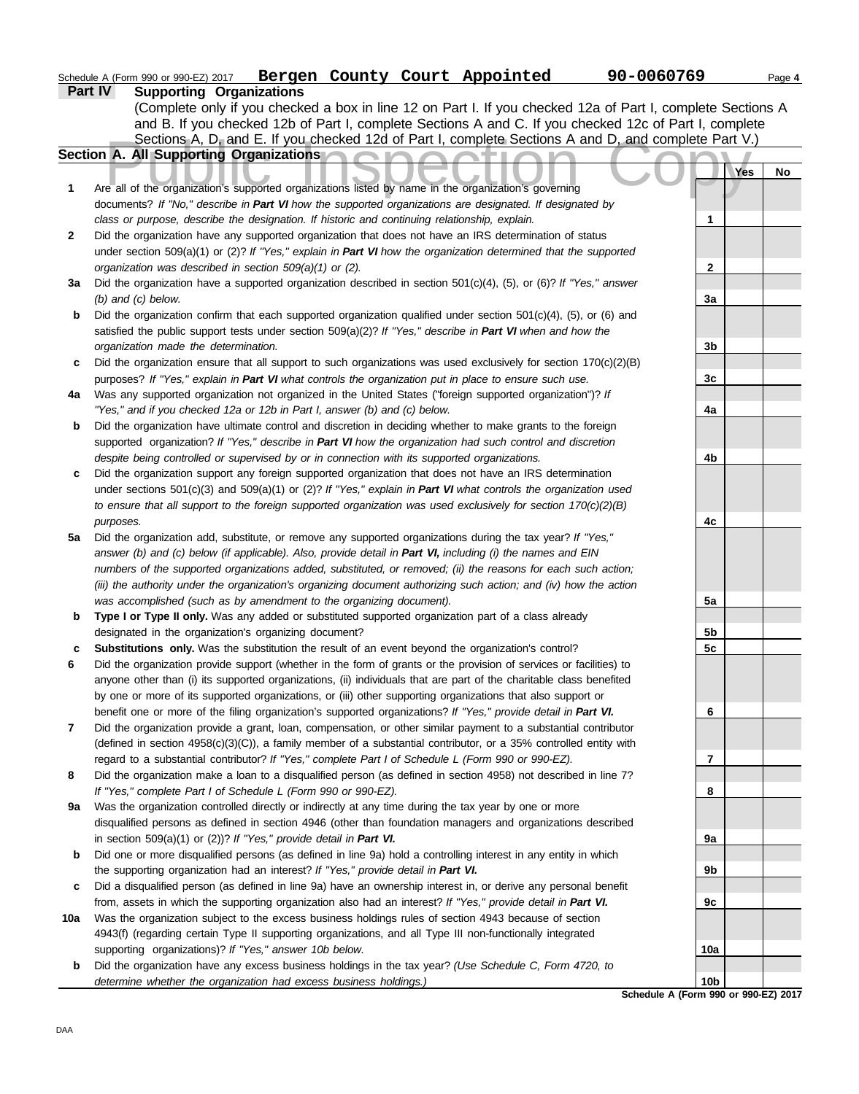|                | Schedule A (Form 990 or 990-EZ) 2017 |  | Bergen County Court Appointed | 90-0060769 | Page 4 |
|----------------|--------------------------------------|--|-------------------------------|------------|--------|
| <b>Part IV</b> | <b>Supporting Organizations</b>      |  |                               |            |        |

(Complete only if you checked a box in line 12 on Part I. If you checked 12a of Part I, complete Sections A and B. If you checked 12b of Part I, complete Sections A and C. If you checked 12c of Part I, complete

|              | Sections A, D, and E. If you checked 12d of Part I, complete Sections A and D, and complete Part V.)                   |                                      |    |
|--------------|------------------------------------------------------------------------------------------------------------------------|--------------------------------------|----|
|              | Section A. All Supporting Organizations                                                                                |                                      |    |
|              |                                                                                                                        | Yes                                  | No |
| 1            | Are all of the organization's supported organizations listed by name in the organization's governing                   |                                      |    |
|              | documents? If "No," describe in Part VI how the supported organizations are designated. If designated by               |                                      |    |
|              | class or purpose, describe the designation. If historic and continuing relationship, explain.                          | 1                                    |    |
| $\mathbf{2}$ | Did the organization have any supported organization that does not have an IRS determination of status                 |                                      |    |
|              | under section $509(a)(1)$ or (2)? If "Yes," explain in Part VI how the organization determined that the supported      |                                      |    |
|              | organization was described in section 509(a)(1) or (2).                                                                | 2                                    |    |
| За           | Did the organization have a supported organization described in section $501(c)(4)$ , (5), or (6)? If "Yes," answer    |                                      |    |
|              | $(b)$ and $(c)$ below.                                                                                                 | 3a                                   |    |
| b            | Did the organization confirm that each supported organization qualified under section $501(c)(4)$ , (5), or (6) and    |                                      |    |
|              | satisfied the public support tests under section $509(a)(2)$ ? If "Yes," describe in Part VI when and how the          |                                      |    |
|              | organization made the determination.                                                                                   | 3b                                   |    |
| c            | Did the organization ensure that all support to such organizations was used exclusively for section $170(c)(2)(B)$     |                                      |    |
|              | purposes? If "Yes," explain in Part VI what controls the organization put in place to ensure such use.                 | 3c                                   |    |
| 4a           | Was any supported organization not organized in the United States ("foreign supported organization")? If               |                                      |    |
|              | "Yes," and if you checked 12a or 12b in Part I, answer (b) and (c) below.                                              | 4a                                   |    |
| b            | Did the organization have ultimate control and discretion in deciding whether to make grants to the foreign            |                                      |    |
|              | supported organization? If "Yes," describe in Part VI how the organization had such control and discretion             |                                      |    |
|              | despite being controlled or supervised by or in connection with its supported organizations.                           | 4b                                   |    |
| c            | Did the organization support any foreign supported organization that does not have an IRS determination                |                                      |    |
|              | under sections $501(c)(3)$ and $509(a)(1)$ or $(2)$ ? If "Yes," explain in Part VI what controls the organization used |                                      |    |
|              | to ensure that all support to the foreign supported organization was used exclusively for section $170(c)(2)(B)$       |                                      |    |
|              | purposes.                                                                                                              | 4с                                   |    |
| 5a           | Did the organization add, substitute, or remove any supported organizations during the tax year? If "Yes,"             |                                      |    |
|              | answer (b) and (c) below (if applicable). Also, provide detail in Part VI, including (i) the names and EIN             |                                      |    |
|              | numbers of the supported organizations added, substituted, or removed; (ii) the reasons for each such action;          |                                      |    |
|              | (iii) the authority under the organization's organizing document authorizing such action; and (iv) how the action      |                                      |    |
|              | was accomplished (such as by amendment to the organizing document).                                                    | 5a                                   |    |
| b            | Type I or Type II only. Was any added or substituted supported organization part of a class already                    |                                      |    |
|              | designated in the organization's organizing document?                                                                  | 5 <sub>b</sub>                       |    |
| c            | Substitutions only. Was the substitution the result of an event beyond the organization's control?                     | 5c                                   |    |
| 6            | Did the organization provide support (whether in the form of grants or the provision of services or facilities) to     |                                      |    |
|              | anyone other than (i) its supported organizations, (ii) individuals that are part of the charitable class benefited    |                                      |    |
|              | by one or more of its supported organizations, or (iii) other supporting organizations that also support or            |                                      |    |
|              | benefit one or more of the filing organization's supported organizations? If "Yes," provide detail in Part VI.         | 6                                    |    |
|              | Did the organization provide a grant, loan, compensation, or other similar payment to a substantial contributor        |                                      |    |
|              | (defined in section 4958(c)(3)(C)), a family member of a substantial contributor, or a 35% controlled entity with      |                                      |    |
|              | regard to a substantial contributor? If "Yes," complete Part I of Schedule L (Form 990 or 990-EZ).                     | 7                                    |    |
| 8            | Did the organization make a loan to a disqualified person (as defined in section 4958) not described in line 7?        |                                      |    |
|              | If "Yes," complete Part I of Schedule L (Form 990 or 990-EZ).                                                          | 8                                    |    |
| 9а           | Was the organization controlled directly or indirectly at any time during the tax year by one or more                  |                                      |    |
|              | disqualified persons as defined in section 4946 (other than foundation managers and organizations described            |                                      |    |
|              | in section 509(a)(1) or (2))? If "Yes," provide detail in Part VI.                                                     | 9a                                   |    |
| b            | Did one or more disqualified persons (as defined in line 9a) hold a controlling interest in any entity in which        |                                      |    |
|              | the supporting organization had an interest? If "Yes," provide detail in Part VI.                                      | 9b                                   |    |
| c            | Did a disqualified person (as defined in line 9a) have an ownership interest in, or derive any personal benefit        |                                      |    |
|              | from, assets in which the supporting organization also had an interest? If "Yes," provide detail in Part VI.           | 9c                                   |    |
| 10a          | Was the organization subject to the excess business holdings rules of section 4943 because of section                  |                                      |    |
|              | 4943(f) (regarding certain Type II supporting organizations, and all Type III non-functionally integrated              |                                      |    |
|              | supporting organizations)? If "Yes," answer 10b below.                                                                 | 10a                                  |    |
| b            | Did the organization have any excess business holdings in the tax year? (Use Schedule C, Form 4720, to                 |                                      |    |
|              | determine whether the organization had excess business holdings.)                                                      | 10 <sub>b</sub>                      |    |
|              |                                                                                                                        | Schedule A (Form 990 or 990-EZ) 2017 |    |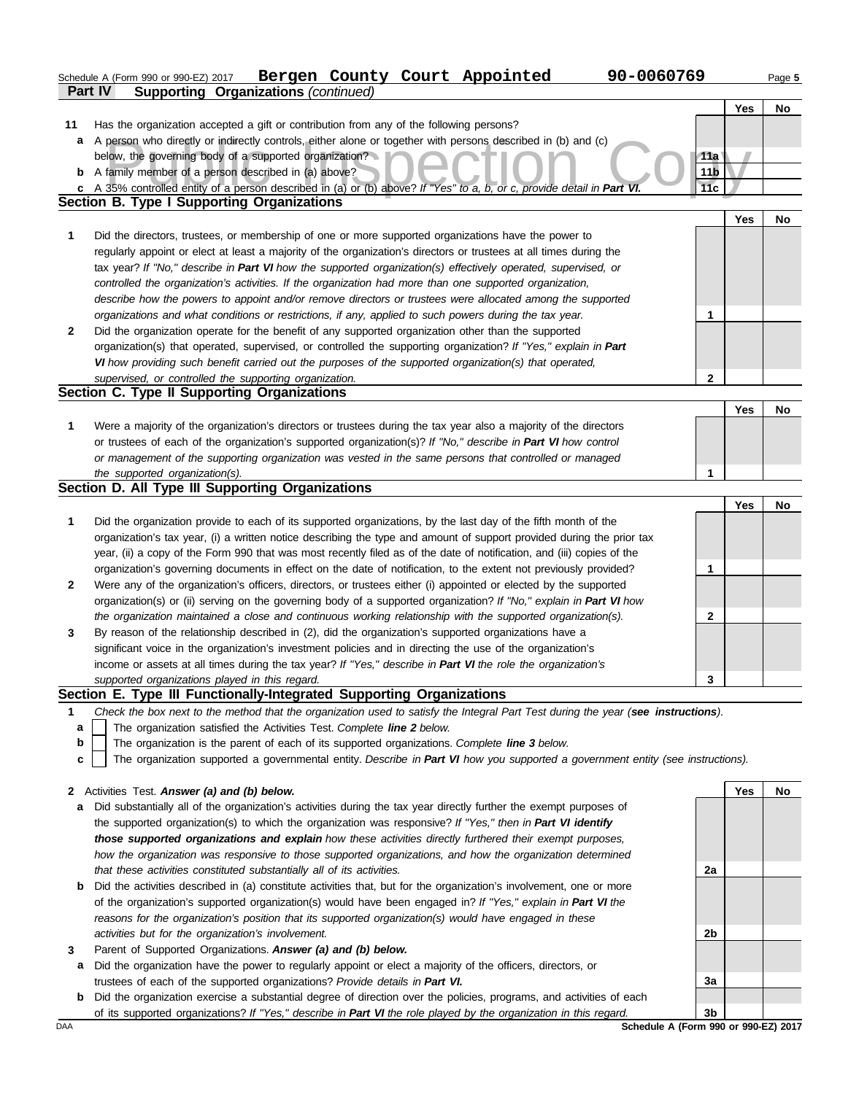|    | 90-0060769<br>Bergen County Court Appointed<br>Schedule A (Form 990 or 990-EZ) 2017                                               |                 |            | Page 5    |
|----|-----------------------------------------------------------------------------------------------------------------------------------|-----------------|------------|-----------|
|    | Part IV<br><b>Supporting Organizations (continued)</b>                                                                            |                 |            |           |
|    |                                                                                                                                   |                 | <b>Yes</b> | No        |
| 11 | Has the organization accepted a gift or contribution from any of the following persons?                                           |                 |            |           |
|    | a A person who directly or indirectly controls, either alone or together with persons described in (b) and (c)                    |                 |            |           |
|    | below, the governing body of a supported organization?                                                                            | 11a             |            |           |
|    | <b>b</b> A family member of a person described in (a) above?                                                                      | 11 <sub>b</sub> |            |           |
| c  | A 35% controlled entity of a person described in (a) or (b) above? If "Yes" to a, b, or c, provide detail in Part VI.             | 11c             |            |           |
|    | Section B. Type I Supporting Organizations                                                                                        |                 |            |           |
|    |                                                                                                                                   |                 | <b>Yes</b> | No        |
| 1  | Did the directors, trustees, or membership of one or more supported organizations have the power to                               |                 |            |           |
|    | regularly appoint or elect at least a majority of the organization's directors or trustees at all times during the                |                 |            |           |
|    | tax year? If "No," describe in Part VI how the supported organization(s) effectively operated, supervised, or                     |                 |            |           |
|    | controlled the organization's activities. If the organization had more than one supported organization,                           |                 |            |           |
|    | describe how the powers to appoint and/or remove directors or trustees were allocated among the supported                         |                 |            |           |
|    | organizations and what conditions or restrictions, if any, applied to such powers during the tax year.                            | 1               |            |           |
| 2  | Did the organization operate for the benefit of any supported organization other than the supported                               |                 |            |           |
|    | organization(s) that operated, supervised, or controlled the supporting organization? If "Yes," explain in Part                   |                 |            |           |
|    | VI how providing such benefit carried out the purposes of the supported organization(s) that operated,                            |                 |            |           |
|    | supervised, or controlled the supporting organization.                                                                            | $\mathbf{2}$    |            |           |
|    | Section C. Type II Supporting Organizations                                                                                       |                 |            |           |
|    |                                                                                                                                   |                 | Yes        | No        |
| 1  | Were a majority of the organization's directors or trustees during the tax year also a majority of the directors                  |                 |            |           |
|    | or trustees of each of the organization's supported organization(s)? If "No," describe in Part VI how control                     |                 |            |           |
|    | or management of the supporting organization was vested in the same persons that controlled or managed                            |                 |            |           |
|    | the supported organization(s).                                                                                                    | 1               |            |           |
|    | Section D. All Type III Supporting Organizations                                                                                  |                 |            |           |
|    |                                                                                                                                   |                 | Yes        | No.       |
| 1  | Did the organization provide to each of its supported organizations, by the last day of the fifth month of the                    |                 |            |           |
|    | organization's tax year, (i) a written notice describing the type and amount of support provided during the prior tax             |                 |            |           |
|    | year, (ii) a copy of the Form 990 that was most recently filed as of the date of notification, and (iii) copies of the            |                 |            |           |
|    | organization's governing documents in effect on the date of notification, to the extent not previously provided?                  | 1               |            |           |
| 2  | Were any of the organization's officers, directors, or trustees either (i) appointed or elected by the supported                  |                 |            |           |
|    | organization(s) or (ii) serving on the governing body of a supported organization? If "No," explain in Part VI how                |                 |            |           |
|    | the organization maintained a close and continuous working relationship with the supported organization(s).                       | 2               |            |           |
| 3  | By reason of the relationship described in (2), did the organization's supported organizations have a                             |                 |            |           |
|    | significant voice in the organization's investment policies and in directing the use of the organization's                        |                 |            |           |
|    | income or assets at all times during the tax year? If "Yes," describe in Part VI the role the organization's                      |                 |            |           |
|    | supported organizations played in this regard.                                                                                    | 3               |            |           |
|    | Section E. Type III Functionally-Integrated Supporting Organizations                                                              |                 |            |           |
| 1  | Check the box next to the method that the organization used to satisfy the Integral Part Test during the year (see instructions). |                 |            |           |
| a  | The organization satisfied the Activities Test. Complete line 2 below.                                                            |                 |            |           |
| b  | The organization is the parent of each of its supported organizations. Complete line 3 below.                                     |                 |            |           |
| c  | The organization supported a governmental entity. Describe in Part VI how you supported a government entity (see instructions).   |                 |            |           |
|    |                                                                                                                                   |                 |            |           |
| 2  | Activities Test. Answer (a) and (b) below.                                                                                        |                 | Yes        | <b>No</b> |
| a  | Did substantially all of the organization's activities during the tax year directly further the exempt purposes of                |                 |            |           |
|    | the supported organization(s) to which the organization was responsive? If "Yes," then in Part VI identify                        |                 |            |           |
|    | those supported organizations and explain how these activities directly furthered their exempt purposes,                          |                 |            |           |
|    | how the organization was responsive to those supported organizations, and how the organization determined                         |                 |            |           |
|    | that these activities constituted substantially all of its activities.                                                            | 2a              |            |           |
| b  | Did the activities described in (a) constitute activities that, but for the organization's involvement, one or more               |                 |            |           |
|    | of the organization's supported organization(s) would have been engaged in? If "Yes," explain in Part VI the                      |                 |            |           |
|    | reasons for the organization's position that its supported organization(s) would have engaged in these                            |                 |            |           |
|    | activities but for the organization's involvement.                                                                                | 2b              |            |           |
| 3  | Parent of Supported Organizations. Answer (a) and (b) below.                                                                      |                 |            |           |
| a  | Did the organization have the power to regularly appoint or elect a majority of the officers, directors, or                       |                 |            |           |

trustees of each of the supported organizations? *Provide details in Part VI.*

**b** Did the organization exercise a substantial degree of direction over the policies, programs, and activities of each of its supported organizations? *If "Yes," describe in Part VI the role played by the organization in this regard.* **3b**

DAA **Schedule A (Form 990 or 990-EZ) 2017**

**3a**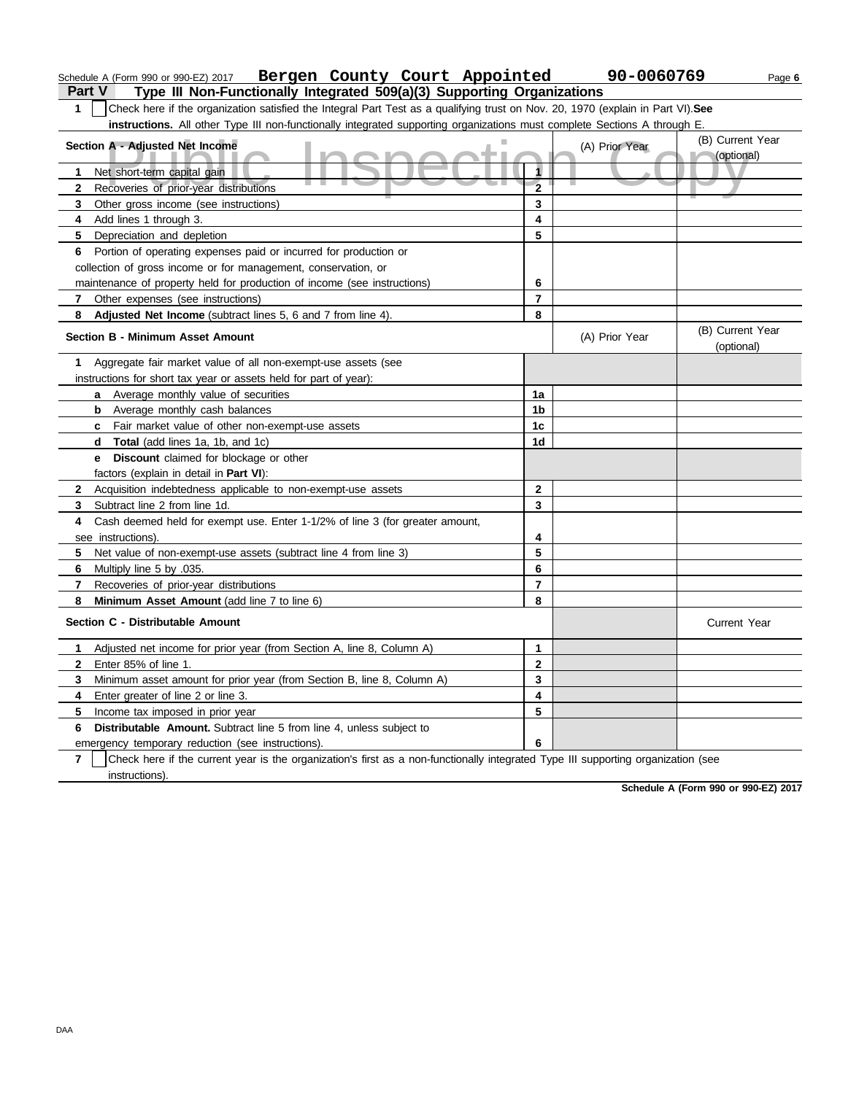|              | Bergen County Court Appointed<br>Schedule A (Form 990 or 990-EZ) 2017                                                             |                | 90-0060769     |                                | Page 6 |
|--------------|-----------------------------------------------------------------------------------------------------------------------------------|----------------|----------------|--------------------------------|--------|
| Part V       | Type III Non-Functionally Integrated 509(a)(3) Supporting Organizations                                                           |                |                |                                |        |
| 1            | Check here if the organization satisfied the Integral Part Test as a qualifying trust on Nov. 20, 1970 (explain in Part VI). See  |                |                |                                |        |
|              | instructions. All other Type III non-functionally integrated supporting organizations must complete Sections A through E.         |                |                |                                |        |
|              | Section A - Adjusted Net Income                                                                                                   |                | (A) Prior Year | (B) Current Year               |        |
|              |                                                                                                                                   |                |                | (optional)                     |        |
| 1            | Net short-term capital gain                                                                                                       | 1              |                |                                |        |
| $\mathbf{2}$ | Recoveries of prior-year distributions                                                                                            | $\overline{2}$ |                |                                |        |
| 3            | Other gross income (see instructions)                                                                                             | 3              |                |                                |        |
| 4            | Add lines 1 through 3.                                                                                                            | 4              |                |                                |        |
| 5            | Depreciation and depletion                                                                                                        | 5              |                |                                |        |
|              | 6 Portion of operating expenses paid or incurred for production or                                                                |                |                |                                |        |
|              | collection of gross income or for management, conservation, or                                                                    |                |                |                                |        |
|              | maintenance of property held for production of income (see instructions)                                                          | 6              |                |                                |        |
| 7            | Other expenses (see instructions)                                                                                                 | $\overline{7}$ |                |                                |        |
| 8            | Adjusted Net Income (subtract lines 5, 6 and 7 from line 4).                                                                      | 8              |                |                                |        |
|              | Section B - Minimum Asset Amount                                                                                                  |                | (A) Prior Year | (B) Current Year<br>(optional) |        |
| 1            | Aggregate fair market value of all non-exempt-use assets (see                                                                     |                |                |                                |        |
|              | instructions for short tax year or assets held for part of year):                                                                 |                |                |                                |        |
|              | a Average monthly value of securities                                                                                             | 1a             |                |                                |        |
|              | <b>b</b> Average monthly cash balances                                                                                            | 1b             |                |                                |        |
|              | c Fair market value of other non-exempt-use assets                                                                                | 1c             |                |                                |        |
|              | d Total (add lines 1a, 1b, and 1c)                                                                                                | 1d             |                |                                |        |
|              | Discount claimed for blockage or other<br>e                                                                                       |                |                |                                |        |
|              | factors (explain in detail in Part VI):                                                                                           |                |                |                                |        |
| $\mathbf{2}$ | Acquisition indebtedness applicable to non-exempt-use assets                                                                      | $\overline{2}$ |                |                                |        |
| 3            | Subtract line 2 from line 1d.                                                                                                     | 3              |                |                                |        |
| 4            | Cash deemed held for exempt use. Enter 1-1/2% of line 3 (for greater amount,                                                      |                |                |                                |        |
|              | see instructions).                                                                                                                | 4              |                |                                |        |
| 5.           | Net value of non-exempt-use assets (subtract line 4 from line 3)                                                                  | 5              |                |                                |        |
| 6            | Multiply line 5 by .035.                                                                                                          | 6              |                |                                |        |
| 7            | Recoveries of prior-year distributions                                                                                            | $\overline{7}$ |                |                                |        |
| 8            | Minimum Asset Amount (add line 7 to line 6)                                                                                       | 8              |                |                                |        |
|              | Section C - Distributable Amount                                                                                                  |                |                | <b>Current Year</b>            |        |
| 1            | Adjusted net income for prior year (from Section A, line 8, Column A)                                                             | 1              |                |                                |        |
| 2            | Enter 85% of line 1.                                                                                                              | 2              |                |                                |        |
| 3.           | Minimum asset amount for prior year (from Section B, line 8, Column A)                                                            | 3              |                |                                |        |
| 4            | Enter greater of line 2 or line 3.                                                                                                | 4              |                |                                |        |
| 5.           | Income tax imposed in prior year                                                                                                  | 5              |                |                                |        |
| 6            | Distributable Amount. Subtract line 5 from line 4, unless subject to                                                              |                |                |                                |        |
|              | emergency temporary reduction (see instructions).                                                                                 | 6              |                |                                |        |
| 7            | Check here if the current year is the organization's first as a non-functionally integrated Type III supporting organization (see |                |                |                                |        |
|              | instructions).                                                                                                                    |                |                |                                |        |

**Schedule A (Form 990 or 990-EZ) 2017**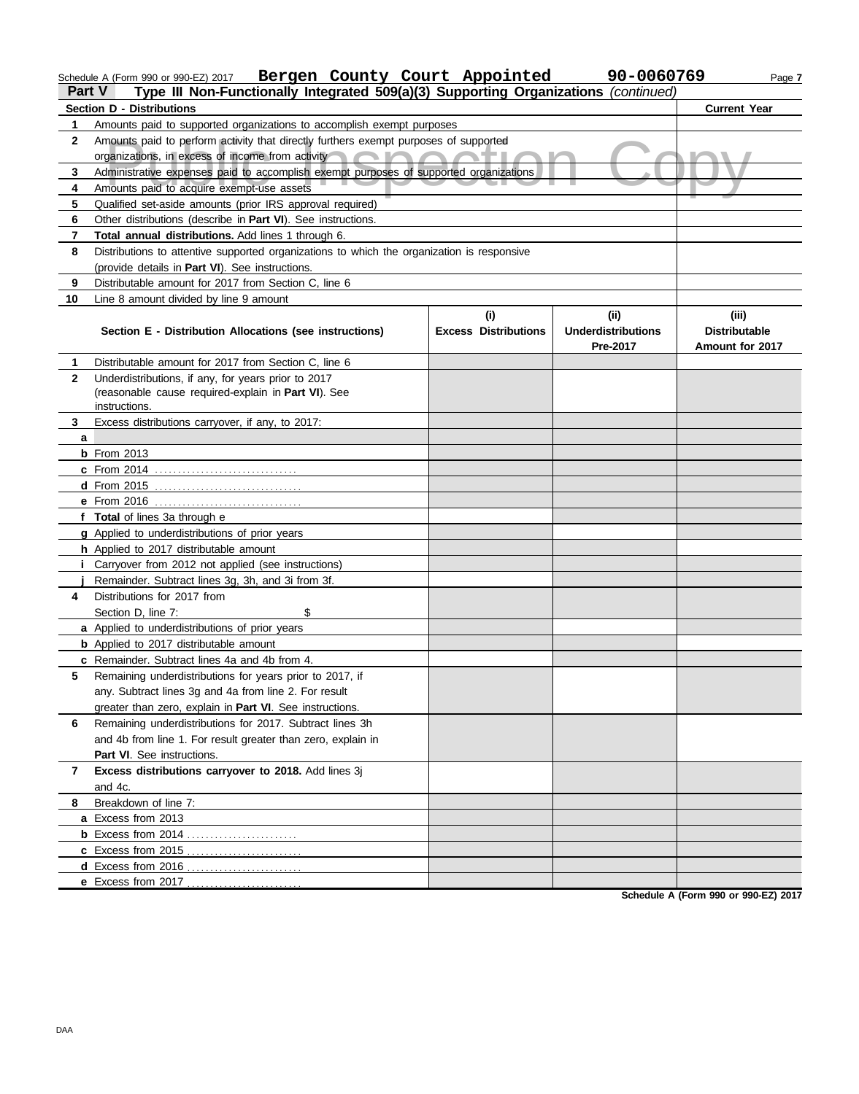|                | Schedule A (Form 990 or 990-EZ) 2017 Bergen County Court Appointed                         |                                    | 90-0060769                        | Page 7                        |
|----------------|--------------------------------------------------------------------------------------------|------------------------------------|-----------------------------------|-------------------------------|
| Part V         | Type III Non-Functionally Integrated 509(a)(3) Supporting Organizations (continued)        |                                    |                                   |                               |
|                | <b>Section D - Distributions</b>                                                           |                                    |                                   | <b>Current Year</b>           |
| 1              | Amounts paid to supported organizations to accomplish exempt purposes                      |                                    |                                   |                               |
| $\mathbf{2}$   | Amounts paid to perform activity that directly furthers exempt purposes of supported       |                                    |                                   |                               |
|                | organizations, in excess of income from activity                                           |                                    |                                   |                               |
| 3              | Administrative expenses paid to accomplish exempt purposes of supported organizations      |                                    |                                   |                               |
| 4              | Amounts paid to acquire exempt-use assets                                                  |                                    |                                   |                               |
| 5              | Qualified set-aside amounts (prior IRS approval required)                                  |                                    |                                   |                               |
| 6              | Other distributions (describe in Part VI). See instructions.                               |                                    |                                   |                               |
| 7              | Total annual distributions. Add lines 1 through 6.                                         |                                    |                                   |                               |
| 8              | Distributions to attentive supported organizations to which the organization is responsive |                                    |                                   |                               |
|                | (provide details in Part VI). See instructions.                                            |                                    |                                   |                               |
| 9              | Distributable amount for 2017 from Section C, line 6                                       |                                    |                                   |                               |
| 10             | Line 8 amount divided by line 9 amount                                                     |                                    |                                   |                               |
|                | Section E - Distribution Allocations (see instructions)                                    | (i)<br><b>Excess Distributions</b> | (ii)<br><b>Underdistributions</b> | (iii)<br><b>Distributable</b> |
|                |                                                                                            |                                    | Pre-2017                          | Amount for 2017               |
| 1              | Distributable amount for 2017 from Section C, line 6                                       |                                    |                                   |                               |
| $\mathbf{2}$   | Underdistributions, if any, for years prior to 2017                                        |                                    |                                   |                               |
|                | (reasonable cause required-explain in Part VI). See                                        |                                    |                                   |                               |
|                | instructions.                                                                              |                                    |                                   |                               |
| 3              | Excess distributions carryover, if any, to 2017:                                           |                                    |                                   |                               |
| a              |                                                                                            |                                    |                                   |                               |
|                | $b$ From 2013                                                                              |                                    |                                   |                               |
|                | <b>c</b> From 2014                                                                         |                                    |                                   |                               |
|                |                                                                                            |                                    |                                   |                               |
|                |                                                                                            |                                    |                                   |                               |
|                | f Total of lines 3a through e                                                              |                                    |                                   |                               |
|                | g Applied to underdistributions of prior years                                             |                                    |                                   |                               |
|                | h Applied to 2017 distributable amount                                                     |                                    |                                   |                               |
|                | <i>i</i> Carryover from 2012 not applied (see instructions)                                |                                    |                                   |                               |
|                | Remainder. Subtract lines 3g, 3h, and 3i from 3f.                                          |                                    |                                   |                               |
| 4              | Distributions for 2017 from                                                                |                                    |                                   |                               |
|                | Section D, line 7:<br>\$<br>a Applied to underdistributions of prior years                 |                                    |                                   |                               |
|                | <b>b</b> Applied to 2017 distributable amount                                              |                                    |                                   |                               |
|                | c Remainder. Subtract lines 4a and 4b from 4.                                              |                                    |                                   |                               |
| 5              | Remaining underdistributions for years prior to 2017, if                                   |                                    |                                   |                               |
|                | any. Subtract lines 3g and 4a from line 2. For result                                      |                                    |                                   |                               |
|                | greater than zero, explain in Part VI. See instructions.                                   |                                    |                                   |                               |
| 6              | Remaining underdistributions for 2017. Subtract lines 3h                                   |                                    |                                   |                               |
|                | and 4b from line 1. For result greater than zero, explain in                               |                                    |                                   |                               |
|                | Part VI. See instructions.                                                                 |                                    |                                   |                               |
| $\overline{7}$ | Excess distributions carryover to 2018. Add lines 3j                                       |                                    |                                   |                               |
|                | and 4c.                                                                                    |                                    |                                   |                               |
| 8              | Breakdown of line 7:                                                                       |                                    |                                   |                               |
|                | a Excess from 2013                                                                         |                                    |                                   |                               |
|                |                                                                                            |                                    |                                   |                               |
|                |                                                                                            |                                    |                                   |                               |
|                |                                                                                            |                                    |                                   |                               |
|                |                                                                                            |                                    |                                   |                               |

**Schedule A (Form 990 or 990-EZ) 2017**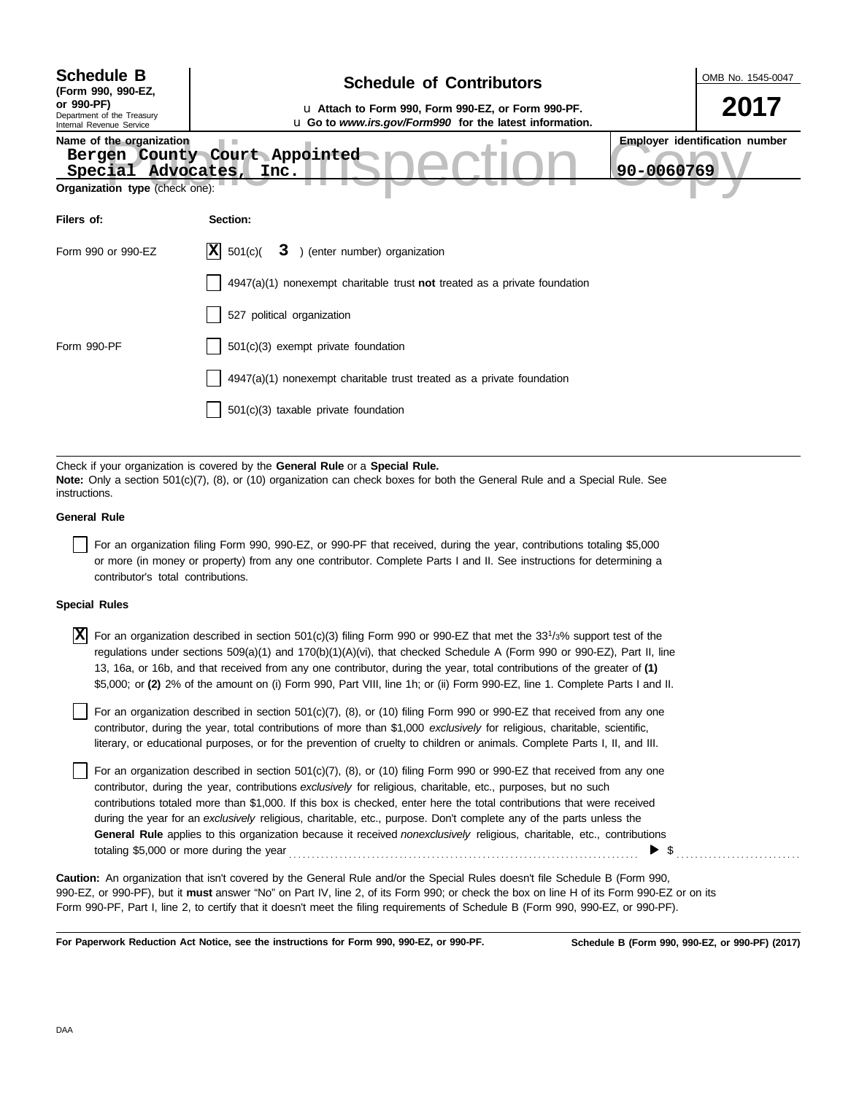| u Attach to Form 990, Form 990-EZ, or Form 990-PF.<br>u Go to www.irs.gov/Form990 for the latest information.<br>Bergen County Court Appointed<br>Inc. | 2017<br><b>Employer identification number</b><br>90-0060769                                                                                            |
|--------------------------------------------------------------------------------------------------------------------------------------------------------|--------------------------------------------------------------------------------------------------------------------------------------------------------|
|                                                                                                                                                        |                                                                                                                                                        |
|                                                                                                                                                        |                                                                                                                                                        |
|                                                                                                                                                        |                                                                                                                                                        |
| ) (enter number) organization<br>3                                                                                                                     |                                                                                                                                                        |
| $4947(a)(1)$ nonexempt charitable trust <b>not</b> treated as a private foundation                                                                     |                                                                                                                                                        |
| 527 political organization                                                                                                                             |                                                                                                                                                        |
|                                                                                                                                                        |                                                                                                                                                        |
|                                                                                                                                                        |                                                                                                                                                        |
|                                                                                                                                                        |                                                                                                                                                        |
|                                                                                                                                                        |                                                                                                                                                        |
|                                                                                                                                                        | 501(c)(3) exempt private foundation<br>$4947(a)(1)$ nonexempt charitable trust treated as a private foundation<br>501(c)(3) taxable private foundation |

**Note:** Only a section 501(c)(7), (8), or (10) organization can check boxes for both the General Rule and a Special Rule. See **instructions** 

#### **General Rule**

For an organization filing Form 990, 990-EZ, or 990-PF that received, during the year, contributions totaling \$5,000 or more (in money or property) from any one contributor. Complete Parts I and II. See instructions for determining a contributor's total contributions.

#### **Special Rules**

 $\overline{X}$  For an organization described in section 501(c)(3) filing Form 990 or 990-EZ that met the 33<sup>1</sup>/3% support test of the regulations under sections 509(a)(1) and 170(b)(1)(A)(vi), that checked Schedule A (Form 990 or 990-EZ), Part II, line 13, 16a, or 16b, and that received from any one contributor, during the year, total contributions of the greater of **(1)** \$5,000; or **(2)** 2% of the amount on (i) Form 990, Part VIII, line 1h; or (ii) Form 990-EZ, line 1. Complete Parts I and II.

literary, or educational purposes, or for the prevention of cruelty to children or animals. Complete Parts I, II, and III. For an organization described in section 501(c)(7), (8), or (10) filing Form 990 or 990-EZ that received from any one contributor, during the year, total contributions of more than \$1,000 *exclusively* for religious, charitable, scientific,

For an organization described in section  $501(c)(7)$ ,  $(8)$ , or  $(10)$  filing Form 990 or 990-EZ that received from any one contributor, during the year, contributions *exclusively* for religious, charitable, etc., purposes, but no such contributions totaled more than \$1,000. If this box is checked, enter here the total contributions that were received during the year for an *exclusively* religious, charitable, etc., purpose. Don't complete any of the parts unless the **General Rule** applies to this organization because it received *nonexclusively* religious, charitable, etc., contributions totaling \$5,000 or more during the year . . . . . . . . . . . . . . . . . . . . . . . . . . . . . . . . . . . . . . . . . . . . . . . . . . . . . . . . . . . . . . . . . . . . . . . . . . . .  $\triangleright$  \$

990-EZ, or 990-PF), but it **must** answer "No" on Part IV, line 2, of its Form 990; or check the box on line H of its Form 990-EZ or on its Form 990-PF, Part I, line 2, to certify that it doesn't meet the filing requirements of Schedule B (Form 990, 990-EZ, or 990-PF). **Caution:** An organization that isn't covered by the General Rule and/or the Special Rules doesn't file Schedule B (Form 990,

**For Paperwork Reduction Act Notice, see the instructions for Form 990, 990-EZ, or 990-PF.**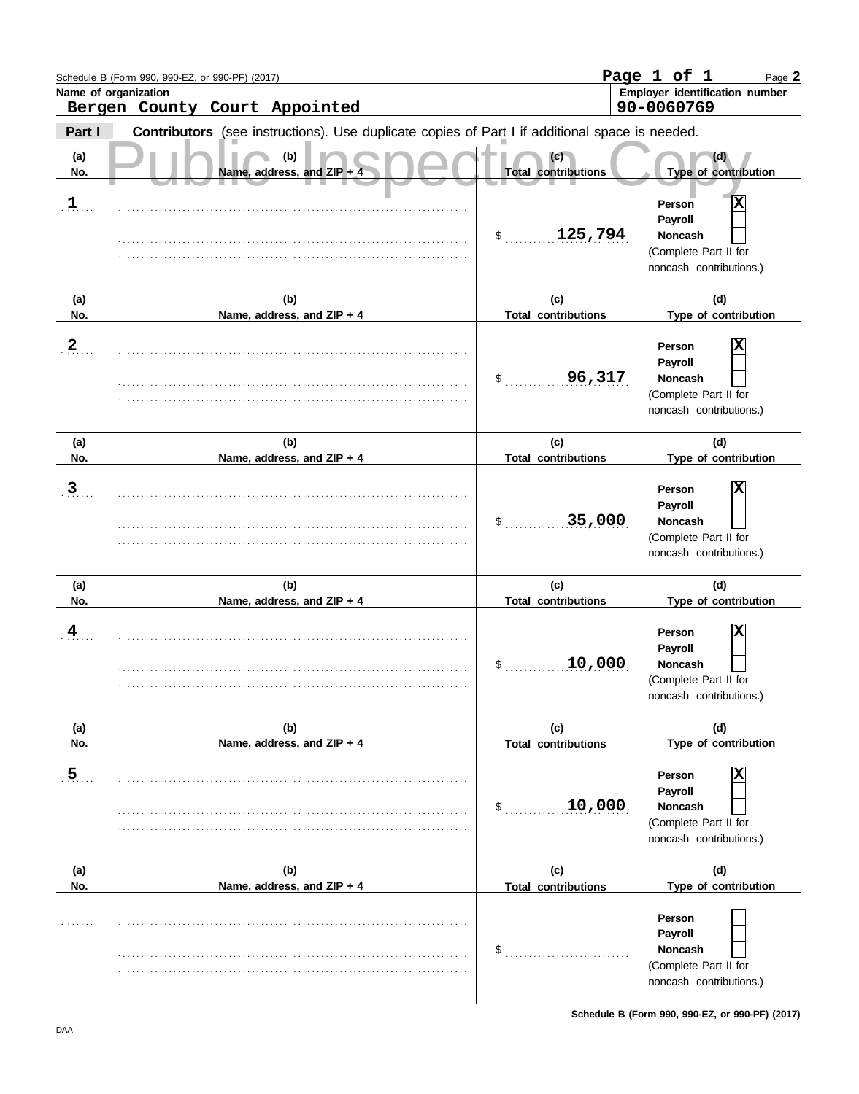|                | Schedule B (Form 990, 990-EZ, or 990-PF) (2017)<br>Name of organization                        |                                   | Page 1 of 1<br>Page 2<br>Employer identification number                                                            |
|----------------|------------------------------------------------------------------------------------------------|-----------------------------------|--------------------------------------------------------------------------------------------------------------------|
|                | Bergen County Court Appointed                                                                  |                                   | 90-0060769                                                                                                         |
| Part I         | Contributors (see instructions). Use duplicate copies of Part I if additional space is needed. |                                   |                                                                                                                    |
| (a)<br>No.     | (b)<br>Name, address, and ZIP                                                                  | (c)<br><b>Total contributions</b> | (d)<br>Type of contribution                                                                                        |
| $1$ .          |                                                                                                | 125,794<br>$\frac{1}{2}$          | $\overline{\mathbf{x}}$<br>Person<br>Payroll<br><b>Noncash</b><br>(Complete Part II for<br>noncash contributions.) |
| (a)            | (b)                                                                                            | (c)                               | (d)                                                                                                                |
| No.            | Name, address, and ZIP + 4                                                                     | <b>Total contributions</b>        | Type of contribution                                                                                               |
| 2 <sub>1</sub> |                                                                                                | 96,317<br>\$                      | Person<br>Payroll<br><b>Noncash</b><br>(Complete Part II for<br>noncash contributions.)                            |
| (a)<br>No.     | (b)<br>Name, address, and ZIP + 4                                                              | (c)<br><b>Total contributions</b> | (d)<br>Type of contribution                                                                                        |
| 3 <sub>1</sub> |                                                                                                | 35,000<br>\$                      | Person<br>Payroll<br><b>Noncash</b><br>(Complete Part II for<br>noncash contributions.)                            |
| (a)<br>No.     | (b)<br>Name, address, and ZIP + 4                                                              | (c)<br><b>Total contributions</b> | (d)<br>Type of contribution                                                                                        |
| 4              |                                                                                                | 10,000<br>$\mathsf{\$}$           | Person<br>Payroll<br><b>Noncash</b><br>(Complete Part II for<br>noncash contributions.)                            |
| (a)            | (b)                                                                                            | (c)                               | (d)                                                                                                                |
| No.            | Name, address, and ZIP + 4                                                                     | <b>Total contributions</b>        | Type of contribution                                                                                               |
| 5 <sub>1</sub> |                                                                                                | 10,000<br>$\mathsf{S}$            | Person<br>Payroll<br><b>Noncash</b><br>(Complete Part II for<br>noncash contributions.)                            |
| (a)<br>No.     | (b)<br>Name, address, and ZIP + 4                                                              | (c)<br><b>Total contributions</b> | (d)<br>Type of contribution                                                                                        |
| .              |                                                                                                | \$                                | Person<br>Payroll<br><b>Noncash</b><br>(Complete Part II for<br>noncash contributions.)                            |

**Schedule B (Form 990, 990-EZ, or 990-PF) (2017)**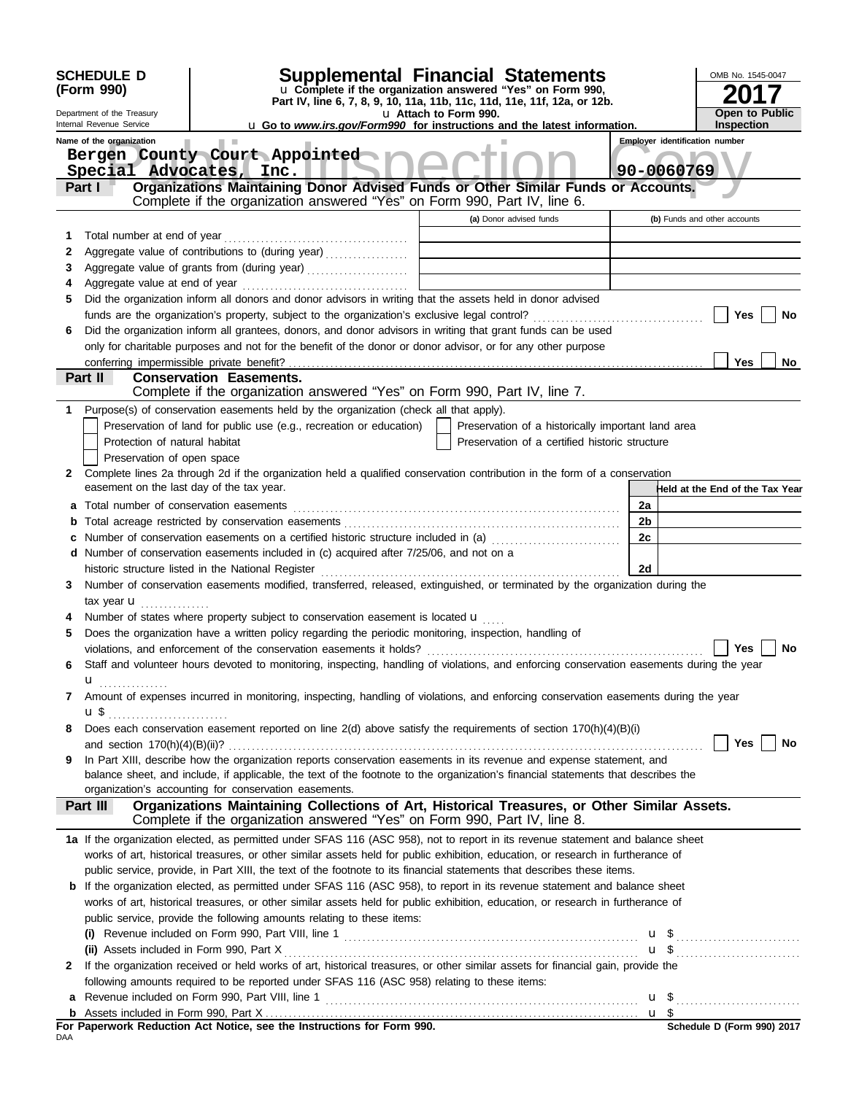|     | <b>SCHEDULE D</b><br>(Form 990)<br>Department of the Treasury<br>Internal Revenue Service | Supplemental Financial Statements<br>u Complete if the organization answered "Yes" on Form 990,<br>Part IV, line 6, 7, 8, 9, 10, 11a, 11b, 11c, 11d, 11e, 11f, 12a, or 12b.<br>u Go to www.irs.gov/Form990 for instructions and the latest information. | u Attach to Form 990. |                                                    |                 | OMB No. 1545-0047<br><b>Open to Public</b><br><b>Inspection</b> |
|-----|-------------------------------------------------------------------------------------------|---------------------------------------------------------------------------------------------------------------------------------------------------------------------------------------------------------------------------------------------------------|-----------------------|----------------------------------------------------|-----------------|-----------------------------------------------------------------|
|     | Name of the organization                                                                  | Bergen County Court Appointed                                                                                                                                                                                                                           |                       |                                                    |                 | <b>Employer identification number</b>                           |
|     |                                                                                           | Special Advocates, Inc.                                                                                                                                                                                                                                 |                       |                                                    |                 | 90-0060769                                                      |
|     | Part I                                                                                    | Organizations Maintaining Donor Advised Funds or Other Similar Funds or Accounts.                                                                                                                                                                       |                       |                                                    |                 |                                                                 |
|     |                                                                                           | Complete if the organization answered "Yes" on Form 990, Part IV, line 6.                                                                                                                                                                               |                       |                                                    |                 |                                                                 |
|     |                                                                                           |                                                                                                                                                                                                                                                         |                       | (a) Donor advised funds                            |                 | (b) Funds and other accounts                                    |
| 1   | Total number at end of year                                                               |                                                                                                                                                                                                                                                         |                       |                                                    |                 |                                                                 |
| 2   |                                                                                           | Aggregate value of contributions to (during year)                                                                                                                                                                                                       |                       |                                                    |                 |                                                                 |
| 3   |                                                                                           |                                                                                                                                                                                                                                                         |                       |                                                    |                 |                                                                 |
| 4   |                                                                                           |                                                                                                                                                                                                                                                         |                       |                                                    |                 |                                                                 |
| 5   |                                                                                           | Did the organization inform all donors and donor advisors in writing that the assets held in donor advised                                                                                                                                              |                       |                                                    |                 |                                                                 |
|     |                                                                                           |                                                                                                                                                                                                                                                         |                       |                                                    |                 | Yes<br>No                                                       |
| 6   |                                                                                           | Did the organization inform all grantees, donors, and donor advisors in writing that grant funds can be used                                                                                                                                            |                       |                                                    |                 |                                                                 |
|     |                                                                                           | only for charitable purposes and not for the benefit of the donor or donor advisor, or for any other purpose                                                                                                                                            |                       |                                                    |                 | Yes                                                             |
|     | Part II                                                                                   | <b>Conservation Easements.</b>                                                                                                                                                                                                                          |                       |                                                    |                 | No                                                              |
|     |                                                                                           | Complete if the organization answered "Yes" on Form 990, Part IV, line 7.                                                                                                                                                                               |                       |                                                    |                 |                                                                 |
|     |                                                                                           | 1 Purpose(s) of conservation easements held by the organization (check all that apply).                                                                                                                                                                 |                       |                                                    |                 |                                                                 |
|     |                                                                                           | Preservation of land for public use (e.g., recreation or education)                                                                                                                                                                                     |                       | Preservation of a historically important land area |                 |                                                                 |
|     | Protection of natural habitat                                                             |                                                                                                                                                                                                                                                         |                       | Preservation of a certified historic structure     |                 |                                                                 |
|     | Preservation of open space                                                                |                                                                                                                                                                                                                                                         |                       |                                                    |                 |                                                                 |
| 2   |                                                                                           | Complete lines 2a through 2d if the organization held a qualified conservation contribution in the form of a conservation                                                                                                                               |                       |                                                    |                 |                                                                 |
|     | easement on the last day of the tax year.                                                 |                                                                                                                                                                                                                                                         |                       |                                                    |                 | Held at the End of the Tax Year                                 |
| a   |                                                                                           |                                                                                                                                                                                                                                                         |                       |                                                    | 2a              |                                                                 |
| b   |                                                                                           |                                                                                                                                                                                                                                                         |                       |                                                    | 2b              |                                                                 |
|     |                                                                                           | Number of conservation easements on a certified historic structure included in (a)                                                                                                                                                                      |                       |                                                    | 2c              |                                                                 |
|     |                                                                                           | d Number of conservation easements included in (c) acquired after 7/25/06, and not on a                                                                                                                                                                 |                       |                                                    |                 |                                                                 |
|     |                                                                                           |                                                                                                                                                                                                                                                         |                       |                                                    | 2d              |                                                                 |
| 3   |                                                                                           | Number of conservation easements modified, transferred, released, extinguished, or terminated by the organization during the                                                                                                                            |                       |                                                    |                 |                                                                 |
|     | tax year <b>u</b>                                                                         |                                                                                                                                                                                                                                                         |                       |                                                    |                 |                                                                 |
|     |                                                                                           | Number of states where property subject to conservation easement is located u                                                                                                                                                                           |                       |                                                    |                 |                                                                 |
| 5   |                                                                                           | Does the organization have a written policy regarding the periodic monitoring, inspection, handling of                                                                                                                                                  |                       |                                                    |                 |                                                                 |
|     |                                                                                           | violations, and enforcement of the conservation easements it holds?                                                                                                                                                                                     |                       |                                                    |                 | Yes $\Box$<br>No                                                |
| 6   |                                                                                           | Staff and volunteer hours devoted to monitoring, inspecting, handling of violations, and enforcing conservation easements during the year                                                                                                               |                       |                                                    |                 |                                                                 |
|     | u <sub></sub>                                                                             |                                                                                                                                                                                                                                                         |                       |                                                    |                 |                                                                 |
| 7   |                                                                                           | Amount of expenses incurred in monitoring, inspecting, handling of violations, and enforcing conservation easements during the year                                                                                                                     |                       |                                                    |                 |                                                                 |
|     | <b>u</b> \$                                                                               | Does each conservation easement reported on line 2(d) above satisfy the requirements of section 170(h)(4)(B)(i)                                                                                                                                         |                       |                                                    |                 |                                                                 |
| 8   |                                                                                           |                                                                                                                                                                                                                                                         |                       |                                                    |                 | Yes  <br>No                                                     |
| 9   |                                                                                           | In Part XIII, describe how the organization reports conservation easements in its revenue and expense statement, and                                                                                                                                    |                       |                                                    |                 |                                                                 |
|     |                                                                                           | balance sheet, and include, if applicable, the text of the footnote to the organization's financial statements that describes the                                                                                                                       |                       |                                                    |                 |                                                                 |
|     |                                                                                           | organization's accounting for conservation easements.                                                                                                                                                                                                   |                       |                                                    |                 |                                                                 |
|     | Part III                                                                                  | Organizations Maintaining Collections of Art, Historical Treasures, or Other Similar Assets.                                                                                                                                                            |                       |                                                    |                 |                                                                 |
|     |                                                                                           | Complete if the organization answered "Yes" on Form 990, Part IV, line 8.                                                                                                                                                                               |                       |                                                    |                 |                                                                 |
|     |                                                                                           | 1a If the organization elected, as permitted under SFAS 116 (ASC 958), not to report in its revenue statement and balance sheet                                                                                                                         |                       |                                                    |                 |                                                                 |
|     |                                                                                           | works of art, historical treasures, or other similar assets held for public exhibition, education, or research in furtherance of                                                                                                                        |                       |                                                    |                 |                                                                 |
|     |                                                                                           | public service, provide, in Part XIII, the text of the footnote to its financial statements that describes these items.                                                                                                                                 |                       |                                                    |                 |                                                                 |
|     |                                                                                           | <b>b</b> If the organization elected, as permitted under SFAS 116 (ASC 958), to report in its revenue statement and balance sheet                                                                                                                       |                       |                                                    |                 |                                                                 |
|     |                                                                                           | works of art, historical treasures, or other similar assets held for public exhibition, education, or research in furtherance of                                                                                                                        |                       |                                                    |                 |                                                                 |
|     |                                                                                           | public service, provide the following amounts relating to these items:                                                                                                                                                                                  |                       |                                                    |                 |                                                                 |
|     |                                                                                           |                                                                                                                                                                                                                                                         |                       |                                                    |                 | $\mathbf{u}$ \$                                                 |
|     |                                                                                           |                                                                                                                                                                                                                                                         |                       |                                                    |                 |                                                                 |
|     |                                                                                           | 2 If the organization received or held works of art, historical treasures, or other similar assets for financial gain, provide the                                                                                                                      |                       |                                                    |                 |                                                                 |
|     |                                                                                           | following amounts required to be reported under SFAS 116 (ASC 958) relating to these items:                                                                                                                                                             |                       |                                                    |                 |                                                                 |
|     |                                                                                           |                                                                                                                                                                                                                                                         |                       |                                                    |                 |                                                                 |
|     |                                                                                           | For Paperwork Reduction Act Notice, see the Instructions for Form 990.                                                                                                                                                                                  |                       |                                                    | $\mathbf{u}$ \$ | Schedule D (Form 990) 2017                                      |
| DAA |                                                                                           |                                                                                                                                                                                                                                                         |                       |                                                    |                 |                                                                 |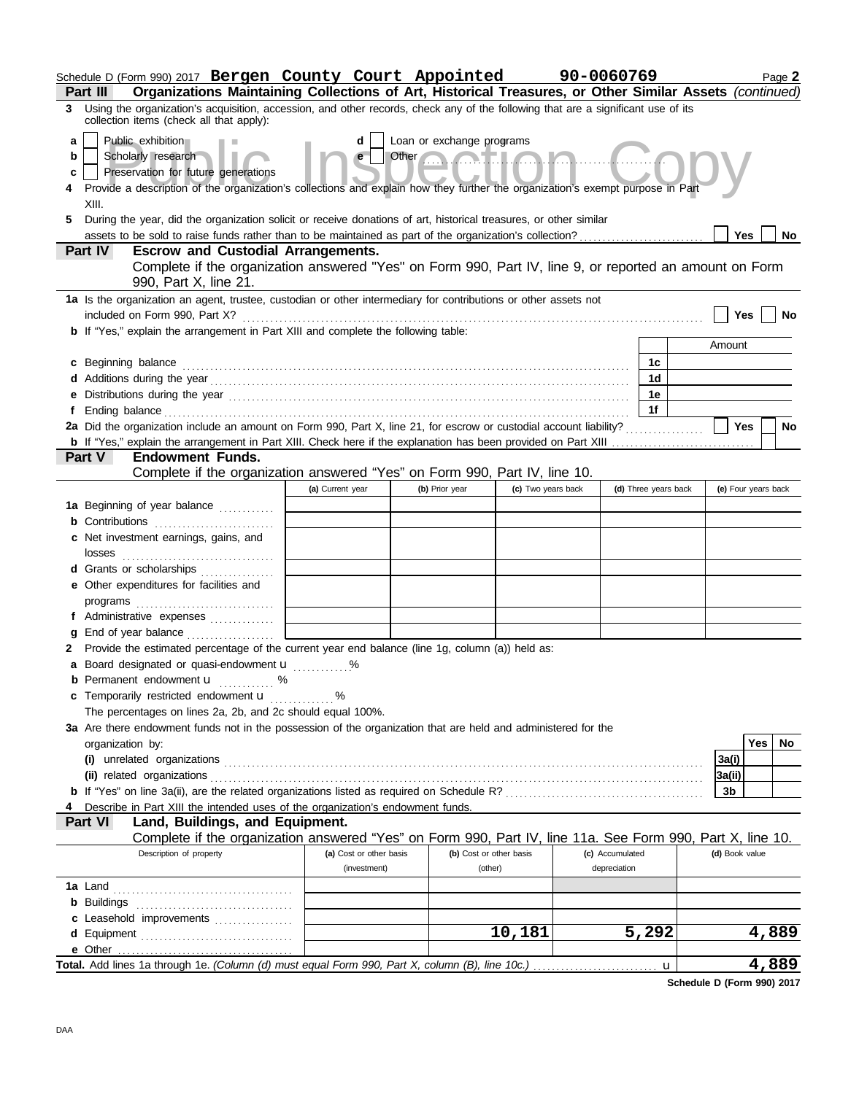|                | Schedule D (Form 990) 2017 Bergen County Court Appointed                                                                                                                       |                         |                           |                         | 90-0060769      |                      |                 | Page 2              |
|----------------|--------------------------------------------------------------------------------------------------------------------------------------------------------------------------------|-------------------------|---------------------------|-------------------------|-----------------|----------------------|-----------------|---------------------|
| Part III       | Organizations Maintaining Collections of Art, Historical Treasures, or Other Similar Assets (continued)                                                                        |                         |                           |                         |                 |                      |                 |                     |
|                | 3 Using the organization's acquisition, accession, and other records, check any of the following that are a significant use of its<br>collection items (check all that apply): |                         |                           |                         |                 |                      |                 |                     |
| a              | Public exhibition                                                                                                                                                              | d                       | Loan or exchange programs |                         |                 |                      |                 |                     |
| b              | Scholarly research                                                                                                                                                             | e                       | Other <b>Company</b>      | <b>DELLA</b>            |                 |                      |                 |                     |
| c              | Preservation for future generations                                                                                                                                            |                         |                           |                         |                 |                      |                 |                     |
|                | Provide a description of the organization's collections and explain how they further the organization's exempt purpose in Part                                                 |                         |                           |                         |                 |                      |                 |                     |
|                | XIII.                                                                                                                                                                          |                         |                           |                         |                 |                      |                 |                     |
| 5              | During the year, did the organization solicit or receive donations of art, historical treasures, or other similar                                                              |                         |                           |                         |                 |                      |                 |                     |
|                |                                                                                                                                                                                |                         |                           |                         |                 |                      | <b>Yes</b>      | No.                 |
| <b>Part IV</b> | <b>Escrow and Custodial Arrangements.</b><br>Complete if the organization answered "Yes" on Form 990, Part IV, line 9, or reported an amount on Form                           |                         |                           |                         |                 |                      |                 |                     |
|                | 990, Part X, line 21.                                                                                                                                                          |                         |                           |                         |                 |                      |                 |                     |
|                | 1a Is the organization an agent, trustee, custodian or other intermediary for contributions or other assets not                                                                |                         |                           |                         |                 |                      |                 |                     |
|                | included on Form 990, Part X?<br>b If "Yes," explain the arrangement in Part XIII and complete the following table:                                                            |                         |                           |                         |                 |                      | Yes             | No                  |
|                |                                                                                                                                                                                |                         |                           |                         |                 |                      | Amount          |                     |
|                | c Beginning balance                                                                                                                                                            |                         |                           |                         |                 | 1с                   |                 |                     |
|                |                                                                                                                                                                                |                         |                           |                         |                 | 1 <sub>d</sub>       |                 |                     |
|                |                                                                                                                                                                                |                         |                           |                         |                 | 1е                   |                 |                     |
|                | f Ending balance                                                                                                                                                               |                         |                           |                         |                 | 1f                   |                 |                     |
|                | 2a Did the organization include an amount on Form 990, Part X, line 21, for escrow or custodial account liability?                                                             |                         |                           |                         |                 |                      | <b>Yes</b>      | No                  |
|                |                                                                                                                                                                                |                         |                           |                         |                 |                      |                 |                     |
| <b>Part V</b>  | <b>Endowment Funds.</b>                                                                                                                                                        |                         |                           |                         |                 |                      |                 |                     |
|                | Complete if the organization answered "Yes" on Form 990, Part IV, line 10.                                                                                                     |                         |                           |                         |                 |                      |                 |                     |
|                |                                                                                                                                                                                | (a) Current year        | (b) Prior year            | (c) Two years back      |                 | (d) Three years back |                 | (e) Four years back |
|                | 1a Beginning of year balance                                                                                                                                                   |                         |                           |                         |                 |                      |                 |                     |
|                |                                                                                                                                                                                |                         |                           |                         |                 |                      |                 |                     |
|                | c Net investment earnings, gains, and<br>losses                                                                                                                                |                         |                           |                         |                 |                      |                 |                     |
|                | <b>d</b> Grants or scholarships<br>.                                                                                                                                           |                         |                           |                         |                 |                      |                 |                     |
|                | e Other expenditures for facilities and                                                                                                                                        |                         |                           |                         |                 |                      |                 |                     |
|                | programs                                                                                                                                                                       |                         |                           |                         |                 |                      |                 |                     |
|                | f Administrative expenses                                                                                                                                                      |                         |                           |                         |                 |                      |                 |                     |
|                | End of year balance                                                                                                                                                            |                         |                           |                         |                 |                      |                 |                     |
|                | 2 Provide the estimated percentage of the current year end balance (line 1g, column (a)) held as:                                                                              |                         |                           |                         |                 |                      |                 |                     |
|                | a Board designated or quasi-endowment u                                                                                                                                        |                         |                           |                         |                 |                      |                 |                     |
| b              | Permanent endowment <b>u</b> %                                                                                                                                                 |                         |                           |                         |                 |                      |                 |                     |
|                | c Temporarily restricted endowment u                                                                                                                                           | $\sim$ %                |                           |                         |                 |                      |                 |                     |
|                | The percentages on lines 2a, 2b, and 2c should equal 100%.                                                                                                                     |                         |                           |                         |                 |                      |                 |                     |
|                | 3a Are there endowment funds not in the possession of the organization that are held and administered for the                                                                  |                         |                           |                         |                 |                      |                 |                     |
|                | organization by:<br>(i) unrelated organizations                                                                                                                                |                         |                           |                         |                 |                      |                 | Yes<br>No           |
|                | (ii) related organizations                                                                                                                                                     |                         |                           |                         |                 |                      | 3a(i)<br>3a(ii) |                     |
|                |                                                                                                                                                                                |                         |                           |                         |                 |                      | 3b              |                     |
|                | Describe in Part XIII the intended uses of the organization's endowment funds.                                                                                                 |                         |                           |                         |                 |                      |                 |                     |
| Part VI        | Land, Buildings, and Equipment.                                                                                                                                                |                         |                           |                         |                 |                      |                 |                     |
|                | Complete if the organization answered "Yes" on Form 990, Part IV, line 11a. See Form 990, Part X, line 10.                                                                     |                         |                           |                         |                 |                      |                 |                     |
|                | Description of property                                                                                                                                                        | (a) Cost or other basis |                           | (b) Cost or other basis | (c) Accumulated |                      | (d) Book value  |                     |
|                |                                                                                                                                                                                | (investment)            |                           | (other)                 | depreciation    |                      |                 |                     |
|                |                                                                                                                                                                                |                         |                           |                         |                 |                      |                 |                     |
|                | <b>b</b> Buildings                                                                                                                                                             |                         |                           |                         |                 |                      |                 |                     |
|                | c Leasehold improvements                                                                                                                                                       |                         |                           |                         |                 |                      |                 |                     |
|                |                                                                                                                                                                                |                         |                           | 10,181                  |                 | 5,292                |                 | 4,889               |
|                |                                                                                                                                                                                |                         |                           |                         |                 |                      |                 |                     |
|                |                                                                                                                                                                                |                         |                           |                         |                 |                      |                 | 4,889               |

**Schedule D (Form 990) 2017**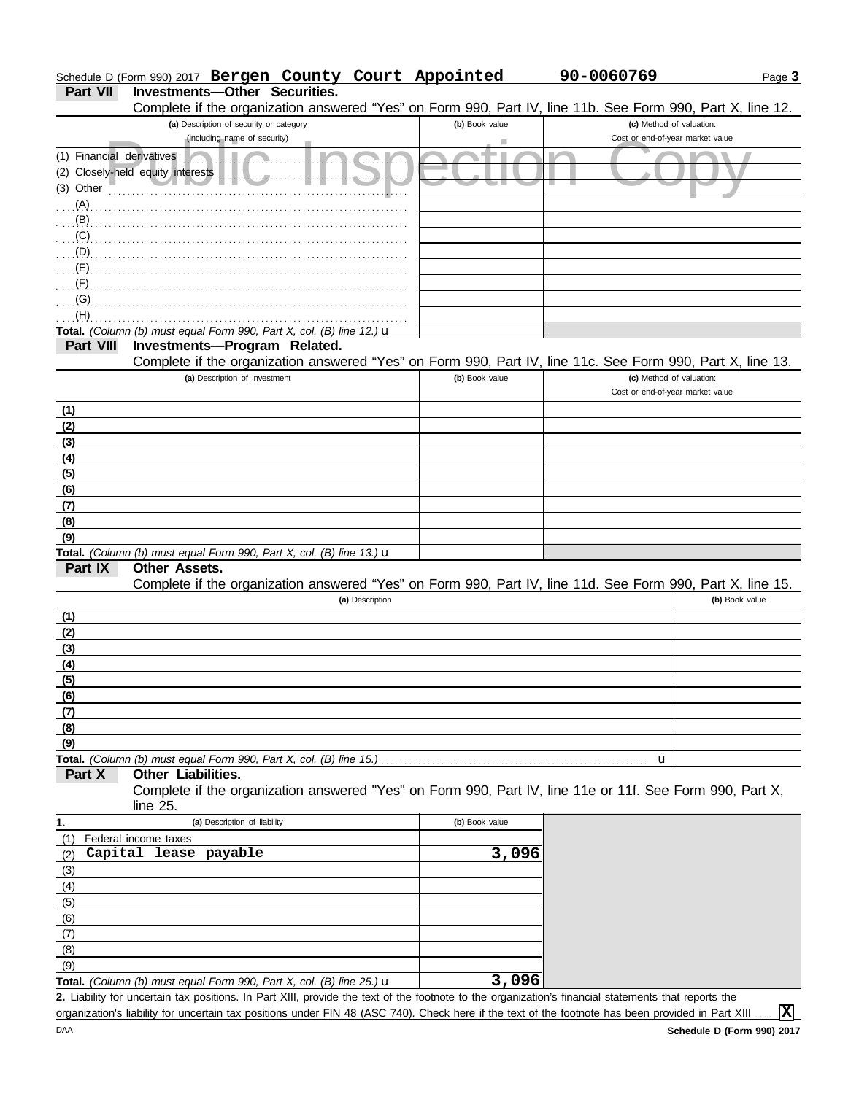#### Page **3** Schedule D (Form 990) 2017 **Bergen County Court Appointed 90-0060769**

**Part VII Investments—Other Securities.**<br>Complete if the organization answer

|                           | Complete if the organization answered "Yes" on Form 990, Part IV, line 11b. See Form 990, Part X, line 12.                                         |                |                                  |
|---------------------------|----------------------------------------------------------------------------------------------------------------------------------------------------|----------------|----------------------------------|
|                           | (a) Description of security or category                                                                                                            | (b) Book value | (c) Method of valuation:         |
|                           | (including name of security)                                                                                                                       | ٠              | Cost or end-of-year market value |
| (1) Financial derivatives |                                                                                                                                                    |                |                                  |
|                           | (2) Closely-held equity interests<br>$\mathbf{u}$ . $\mathbf{v}$                                                                                   |                |                                  |
| (3) Other                 |                                                                                                                                                    |                |                                  |
| $(A)$ .                   |                                                                                                                                                    |                |                                  |
| $(B)$ .                   |                                                                                                                                                    |                |                                  |
| (C)                       |                                                                                                                                                    |                |                                  |
| $(D)$                     |                                                                                                                                                    |                |                                  |
|                           |                                                                                                                                                    |                |                                  |
| (F)                       |                                                                                                                                                    |                |                                  |
| (G)                       |                                                                                                                                                    |                |                                  |
| (H)                       |                                                                                                                                                    |                |                                  |
|                           | Total. (Column (b) must equal Form 990, Part X, col. (B) line 12.) u                                                                               |                |                                  |
| Part VIII                 | Investments-Program Related.                                                                                                                       |                |                                  |
|                           | Complete if the organization answered "Yes" on Form 990, Part IV, line 11c. See Form 990, Part X, line 13.                                         |                |                                  |
|                           | (a) Description of investment                                                                                                                      | (b) Book value | (c) Method of valuation:         |
|                           |                                                                                                                                                    |                | Cost or end-of-year market value |
|                           |                                                                                                                                                    |                |                                  |
| (1)                       |                                                                                                                                                    |                |                                  |
| (2)                       |                                                                                                                                                    |                |                                  |
| (3)                       |                                                                                                                                                    |                |                                  |
| (4)                       |                                                                                                                                                    |                |                                  |
| (5)                       |                                                                                                                                                    |                |                                  |
| (6)                       |                                                                                                                                                    |                |                                  |
| (7)                       |                                                                                                                                                    |                |                                  |
| (8)                       |                                                                                                                                                    |                |                                  |
| (9)                       |                                                                                                                                                    |                |                                  |
|                           | Total. (Column (b) must equal Form 990, Part X, col. (B) line 13.) u                                                                               |                |                                  |
| Part IX                   | <b>Other Assets.</b>                                                                                                                               |                |                                  |
|                           | Complete if the organization answered "Yes" on Form 990, Part IV, line 11d. See Form 990, Part X, line 15.                                         |                |                                  |
|                           | (a) Description                                                                                                                                    |                | (b) Book value                   |
| (1)                       |                                                                                                                                                    |                |                                  |
| (2)                       |                                                                                                                                                    |                |                                  |
| (3)                       |                                                                                                                                                    |                |                                  |
| (4)                       |                                                                                                                                                    |                |                                  |
| (5)                       |                                                                                                                                                    |                |                                  |
| (6)                       |                                                                                                                                                    |                |                                  |
| (7)                       |                                                                                                                                                    |                |                                  |
| (8)                       |                                                                                                                                                    |                |                                  |
| (9)                       |                                                                                                                                                    |                |                                  |
|                           | Total. (Column (b) must equal Form 990, Part X, col. (B) line 15.)                                                                                 |                | u                                |
| Part X                    | Other Liabilities.                                                                                                                                 |                |                                  |
|                           | Complete if the organization answered "Yes" on Form 990, Part IV, line 11e or 11f. See Form 990, Part X,                                           |                |                                  |
|                           | line $25$ .                                                                                                                                        |                |                                  |
| 1.                        | (a) Description of liability                                                                                                                       | (b) Book value |                                  |
| (1)                       | Federal income taxes                                                                                                                               |                |                                  |
| (2)                       | Capital lease payable                                                                                                                              | 3,096          |                                  |
| (3)                       |                                                                                                                                                    |                |                                  |
| (4)                       |                                                                                                                                                    |                |                                  |
| (5)                       |                                                                                                                                                    |                |                                  |
| (6)                       |                                                                                                                                                    |                |                                  |
| (7)                       |                                                                                                                                                    |                |                                  |
| (8)                       |                                                                                                                                                    |                |                                  |
| (9)                       |                                                                                                                                                    |                |                                  |
|                           | Total. (Column (b) must equal Form 990, Part X, col. (B) line 25.) $\mathbf u$                                                                     | 3,096          |                                  |
|                           | 2. Lipbility for uppertain tax positions. In Part VIII, provide the text of the feature to the examization's financial etatements that reports the |                |                                  |

Liability for uncertain tax positions. In Part XIII, provide the text of the footnote to the organization's financial statements that reports the **2.** organization's liability for uncertain tax positions under FIN 48 (ASC 740). Check here if the text of the footnote has been provided in Part XIII.

**X**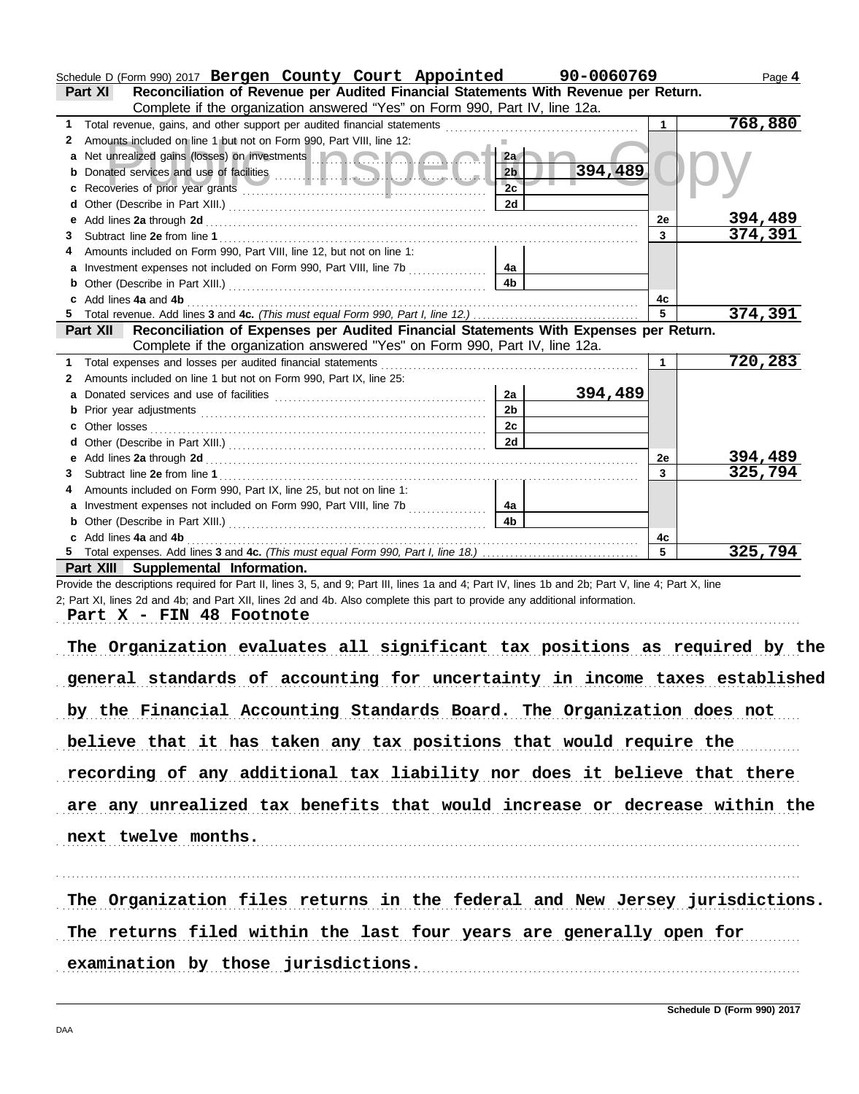|              | Schedule D (Form 990) 2017 Bergen County Court Appointed 90-0060769                                                                                                                                                                  |                |         |                | Page 4         |
|--------------|--------------------------------------------------------------------------------------------------------------------------------------------------------------------------------------------------------------------------------------|----------------|---------|----------------|----------------|
|              | Reconciliation of Revenue per Audited Financial Statements With Revenue per Return.<br>Part XI                                                                                                                                       |                |         |                |                |
|              | Complete if the organization answered "Yes" on Form 990, Part IV, line 12a.                                                                                                                                                          |                |         |                |                |
| 1.           |                                                                                                                                                                                                                                      |                |         | 1              | 768,880        |
| $\mathbf{2}$ | Amounts included on line 1 but not on Form 990, Part VIII, line 12:                                                                                                                                                                  |                |         |                |                |
|              | a Net unrealized gains (losses) on investments <b>and a state of the state of the state of the state of the state of the state of the state of the state of the state of the state of the state of the state of the state of the</b> | 2a             |         |                |                |
|              |                                                                                                                                                                                                                                      | 2 <sub>b</sub> | 394,489 |                |                |
|              |                                                                                                                                                                                                                                      | 2c             |         |                |                |
|              | d Other (Describe in Part XIII.) [11] [2010] [2010] [2010] [2010] [2010] [2010] [2010] [2010] [2010] [2010] [2010] [2010] [2010] [2010] [2010] [2010] [2010] [2010] [2010] [2010] [2010] [2010] [2010] [2010] [2010] [2010] [2       | 2d             |         |                |                |
|              |                                                                                                                                                                                                                                      |                |         | <b>2e</b>      | <u>394,489</u> |
|              |                                                                                                                                                                                                                                      |                |         | $\overline{3}$ | 374,391        |
|              | Amounts included on Form 990, Part VIII, line 12, but not on line 1:                                                                                                                                                                 |                |         |                |                |
|              |                                                                                                                                                                                                                                      | 4a             |         |                |                |
|              |                                                                                                                                                                                                                                      | 4b             |         |                |                |
|              | c Add lines 4a and 4b (a) and the contract of the contract of the contract of the contract of the contract of the contract of the contract of the contract of the contract of the contract of the contract of the contract of        |                |         | 4c             |                |
|              |                                                                                                                                                                                                                                      |                |         | 5              | 374,391        |
|              | Part XII   Reconciliation of Expenses per Audited Financial Statements With Expenses per Return.                                                                                                                                     |                |         |                |                |
|              | Complete if the organization answered "Yes" on Form 990, Part IV, line 12a.                                                                                                                                                          |                |         |                |                |
| 1.           |                                                                                                                                                                                                                                      |                |         | $\mathbf 1$    | 720,283        |
| 2            | Amounts included on line 1 but not on Form 990, Part IX, line 25:                                                                                                                                                                    |                |         |                |                |
|              |                                                                                                                                                                                                                                      | 2a             | 394,489 |                |                |
|              |                                                                                                                                                                                                                                      | 2 <sub>b</sub> |         |                |                |
|              |                                                                                                                                                                                                                                      | 2c             |         |                |                |
|              |                                                                                                                                                                                                                                      | 2d             |         |                |                |
|              |                                                                                                                                                                                                                                      |                |         | <b>2e</b>      | 394,489        |
| 3.           |                                                                                                                                                                                                                                      |                |         | $\mathbf{3}$   | 325,794        |
|              | Amounts included on Form 990, Part IX, line 25, but not on line 1:                                                                                                                                                                   |                |         |                |                |
|              | a Investment expenses not included on Form 990, Part VIII, line 7b                                                                                                                                                                   | 4a             |         |                |                |
|              | <b>b</b> Other (Describe in Part XIII.) <b>CONSIDENT DESCRIPTION DESCRIPTION DESCRIPTION DESCRIPTION DESCRIPTION DESCRIPTION DESCRIPTION DESCRIPTION DESCRIPTION DESCRIPTION DESCRIPTION DESCRIPTION DESCRI</b>                      | 4 <sub>b</sub> |         |                |                |
|              | c Add lines 4a and 4b                                                                                                                                                                                                                |                |         | 4с             |                |
|              |                                                                                                                                                                                                                                      |                |         | 5              | 325,794        |
|              | Part XIII Supplemental Information.                                                                                                                                                                                                  |                |         |                |                |
|              | Provide the descriptions required for Part II, lines 3, 5, and 9; Part III, lines 1a and 4; Part IV, lines 1b and 2b; Part V, line 4; Part X, line                                                                                   |                |         |                |                |
|              | 2; Part XI, lines 2d and 4b; and Part XII, lines 2d and 4b. Also complete this part to provide any additional information.                                                                                                           |                |         |                |                |
|              | Part X - FIN 48 Footnote                                                                                                                                                                                                             |                |         |                |                |
|              |                                                                                                                                                                                                                                      |                |         |                |                |
|              | The Organization evaluates all significant tax positions as required by the                                                                                                                                                          |                |         |                |                |
|              |                                                                                                                                                                                                                                      |                |         |                |                |
|              | general standards of accounting for uncertainty in income taxes established                                                                                                                                                          |                |         |                |                |
|              |                                                                                                                                                                                                                                      |                |         |                |                |
|              | by the Financial Accounting Standards Board. The Organization does not                                                                                                                                                               |                |         |                |                |
|              |                                                                                                                                                                                                                                      |                |         |                |                |
|              | believe that it has taken any tax positions that would require the                                                                                                                                                                   |                |         |                |                |
|              |                                                                                                                                                                                                                                      |                |         |                |                |
|              | recording of any additional tax liability nor does it believe that there                                                                                                                                                             |                |         |                |                |
|              |                                                                                                                                                                                                                                      |                |         |                |                |
|              | are any unrealized tax benefits that would increase or decrease within the                                                                                                                                                           |                |         |                |                |
|              |                                                                                                                                                                                                                                      |                |         |                |                |
|              | next twelve months.                                                                                                                                                                                                                  |                |         |                |                |
|              |                                                                                                                                                                                                                                      |                |         |                |                |
|              |                                                                                                                                                                                                                                      |                |         |                |                |
|              |                                                                                                                                                                                                                                      |                |         |                |                |
|              | The Organization files returns in the federal and New Jersey jurisdictions.                                                                                                                                                          |                |         |                |                |
|              |                                                                                                                                                                                                                                      |                |         |                |                |
|              | The returns filed within the last four years are generally open for                                                                                                                                                                  |                |         |                |                |
|              |                                                                                                                                                                                                                                      |                |         |                |                |
|              | examination by those jurisdictions.                                                                                                                                                                                                  |                |         |                |                |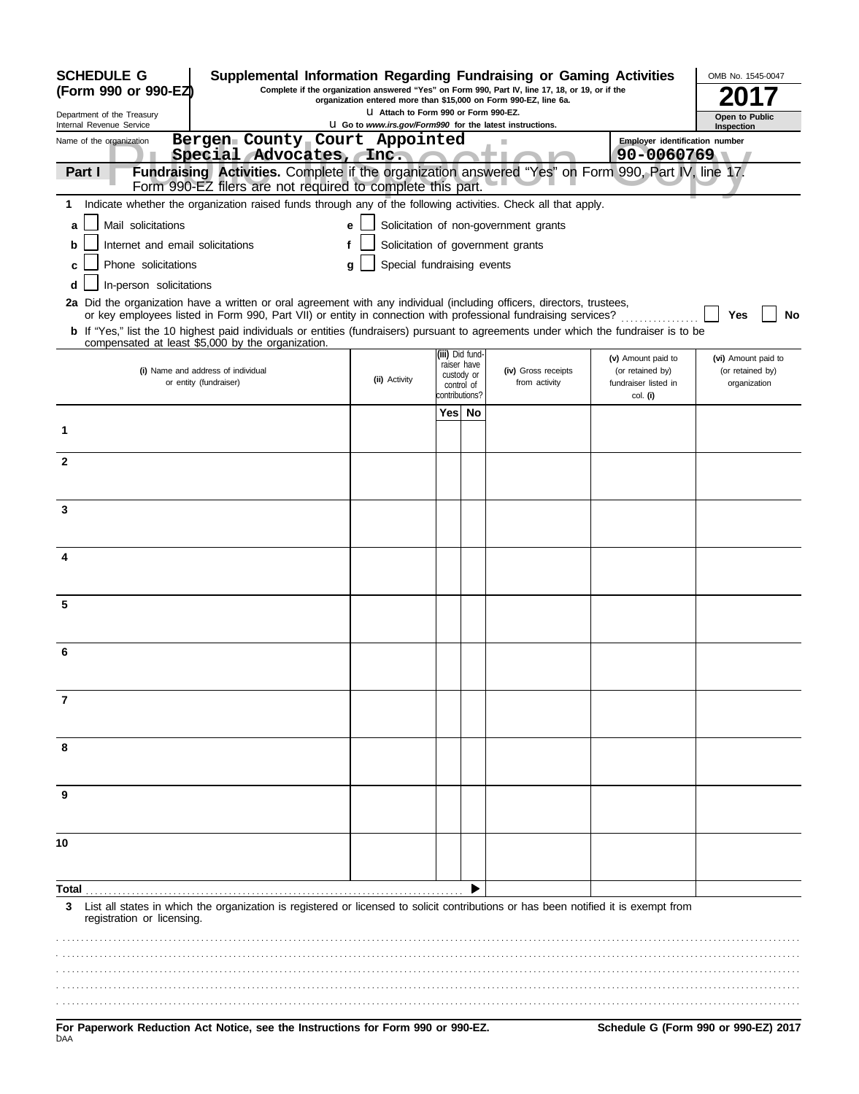| <b>SCHEDULE G</b><br>Supplemental Information Regarding Fundraising or Gaming Activities                                                                                                                                                 |                                 |                              |                                       |                                        | OMB No. 1545-0047                       |
|------------------------------------------------------------------------------------------------------------------------------------------------------------------------------------------------------------------------------------------|---------------------------------|------------------------------|---------------------------------------|----------------------------------------|-----------------------------------------|
| Complete if the organization answered "Yes" on Form 990, Part IV, line 17, 18, or 19, or if the<br>(Form 990 or 990-EZ)<br>organization entered more than \$15,000 on Form 990-EZ, line 6a.                                              |                                 |                              |                                       |                                        |                                         |
| Department of the Treasury<br>Internal Revenue Service<br><b>U</b> Go to www.irs.gov/Form990 for the latest instructions.                                                                                                                | Open to Public<br>Inspection    |                              |                                       |                                        |                                         |
| Bergen County Court Appointed<br>Name of the organization                                                                                                                                                                                |                                 |                              |                                       | <b>Employer identification number</b>  |                                         |
| Special Advocates, Inc.<br>Fundraising Activities. Complete if the organization answered "Yes" on Form 990, Part IV, line 17.<br>Part I                                                                                                  |                                 |                              |                                       | 90-0060769                             |                                         |
| Form 990-EZ filers are not required to complete this part.                                                                                                                                                                               |                                 |                              |                                       |                                        |                                         |
| Indicate whether the organization raised funds through any of the following activities. Check all that apply.<br>1                                                                                                                       |                                 |                              |                                       |                                        |                                         |
| Mail solicitations<br>a                                                                                                                                                                                                                  | е                               |                              | Solicitation of non-government grants |                                        |                                         |
| Internet and email solicitations<br>b                                                                                                                                                                                                    |                                 |                              | Solicitation of government grants     |                                        |                                         |
| Phone solicitations<br>c                                                                                                                                                                                                                 | Special fundraising events<br>a |                              |                                       |                                        |                                         |
| In-person solicitations<br>d                                                                                                                                                                                                             |                                 |                              |                                       |                                        |                                         |
| 2a Did the organization have a written or oral agreement with any individual (including officers, directors, trustees,<br>or key employees listed in Form 990, Part VII) or entity in connection with professional fundraising services? |                                 |                              |                                       |                                        | Yes<br>No                               |
| <b>b</b> If "Yes," list the 10 highest paid individuals or entities (fundraisers) pursuant to agreements under which the fundraiser is to be                                                                                             |                                 |                              |                                       |                                        |                                         |
| compensated at least \$5,000 by the organization.                                                                                                                                                                                        |                                 | iii) Did fund-               |                                       |                                        |                                         |
| (i) Name and address of individual                                                                                                                                                                                                       |                                 | raiser have<br>custody or    | (iv) Gross receipts                   | (v) Amount paid to<br>(or retained by) | (vi) Amount paid to<br>(or retained by) |
| or entity (fundraiser)                                                                                                                                                                                                                   | (ii) Activity                   | control of<br>contributions? | from activity                         | fundraiser listed in<br>col. (i)       | organization                            |
|                                                                                                                                                                                                                                          |                                 | Yes  No                      |                                       |                                        |                                         |
| 1                                                                                                                                                                                                                                        |                                 |                              |                                       |                                        |                                         |
|                                                                                                                                                                                                                                          |                                 |                              |                                       |                                        |                                         |
| $\mathbf{2}$                                                                                                                                                                                                                             |                                 |                              |                                       |                                        |                                         |
|                                                                                                                                                                                                                                          |                                 |                              |                                       |                                        |                                         |
| 3                                                                                                                                                                                                                                        |                                 |                              |                                       |                                        |                                         |
|                                                                                                                                                                                                                                          |                                 |                              |                                       |                                        |                                         |
| 4                                                                                                                                                                                                                                        |                                 |                              |                                       |                                        |                                         |
|                                                                                                                                                                                                                                          |                                 |                              |                                       |                                        |                                         |
|                                                                                                                                                                                                                                          |                                 |                              |                                       |                                        |                                         |
| 5                                                                                                                                                                                                                                        |                                 |                              |                                       |                                        |                                         |
|                                                                                                                                                                                                                                          |                                 |                              |                                       |                                        |                                         |
| 6                                                                                                                                                                                                                                        |                                 |                              |                                       |                                        |                                         |
|                                                                                                                                                                                                                                          |                                 |                              |                                       |                                        |                                         |
| 7                                                                                                                                                                                                                                        |                                 |                              |                                       |                                        |                                         |
|                                                                                                                                                                                                                                          |                                 |                              |                                       |                                        |                                         |
|                                                                                                                                                                                                                                          |                                 |                              |                                       |                                        |                                         |
| 8                                                                                                                                                                                                                                        |                                 |                              |                                       |                                        |                                         |
|                                                                                                                                                                                                                                          |                                 |                              |                                       |                                        |                                         |
| 9                                                                                                                                                                                                                                        |                                 |                              |                                       |                                        |                                         |
|                                                                                                                                                                                                                                          |                                 |                              |                                       |                                        |                                         |
| 10                                                                                                                                                                                                                                       |                                 |                              |                                       |                                        |                                         |
|                                                                                                                                                                                                                                          |                                 |                              |                                       |                                        |                                         |
| Total                                                                                                                                                                                                                                    |                                 |                              |                                       |                                        |                                         |
| List all states in which the organization is registered or licensed to solicit contributions or has been notified it is exempt from<br>3<br>registration or licensing.                                                                   |                                 |                              |                                       |                                        |                                         |
|                                                                                                                                                                                                                                          |                                 |                              |                                       |                                        |                                         |
|                                                                                                                                                                                                                                          |                                 |                              |                                       |                                        |                                         |
|                                                                                                                                                                                                                                          |                                 |                              |                                       |                                        |                                         |
|                                                                                                                                                                                                                                          |                                 |                              |                                       |                                        |                                         |
|                                                                                                                                                                                                                                          |                                 |                              |                                       |                                        |                                         |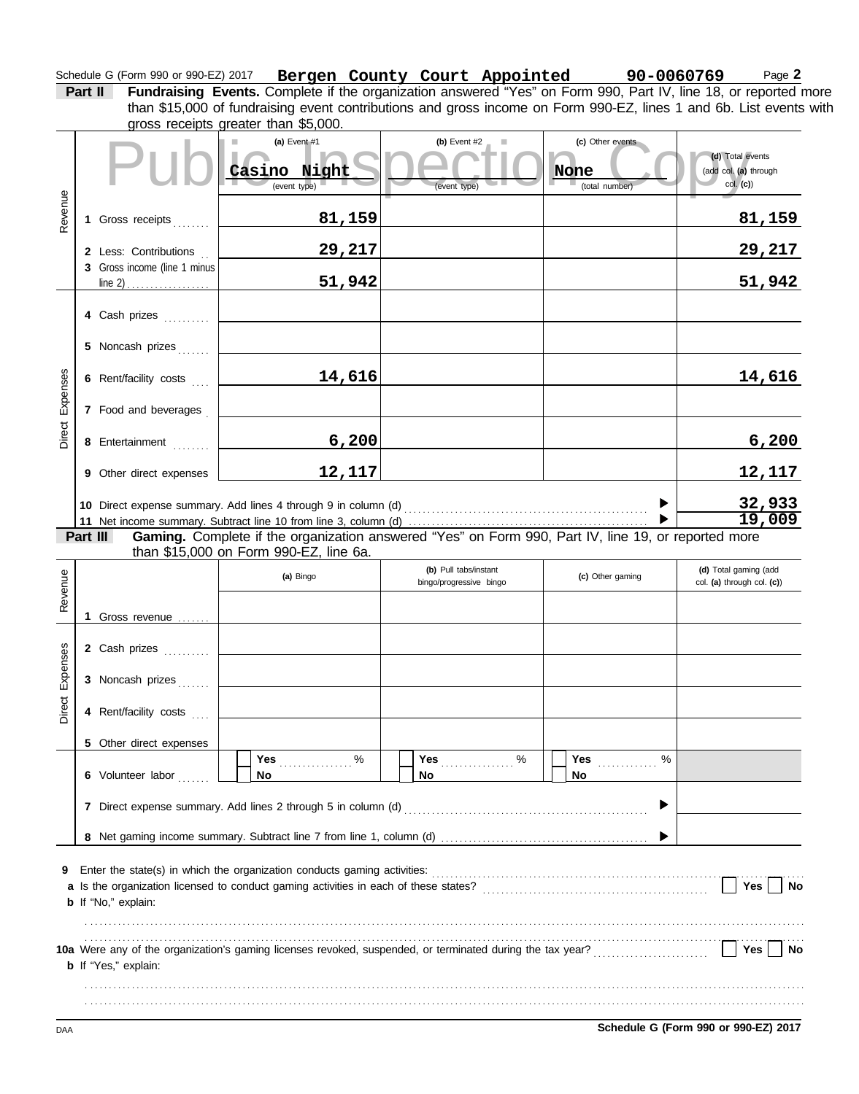#### Schedule G (Form 990 or 990-EZ) 2017 **Bergen County Court Appointed 90-0060769** Page **2**

**Bergen County Court Appointed 90-0060769**

than \$15,000 of fundraising event contributions and gross income on Form 990-EZ, lines 1 and 6b. List events with

**Part II Fundraising Events.** Complete if the organization answered "Yes" on Form 990, Part IV, line 18, or reported more

|                 |                              | gross receipts greater than \$5,000.                                                                |                                                  |                                            |                                                          |
|-----------------|------------------------------|-----------------------------------------------------------------------------------------------------|--------------------------------------------------|--------------------------------------------|----------------------------------------------------------|
|                 |                              | (a) Event $#1$<br>Casino Night<br>(event type)                                                      | (b) Event $#2$<br>(event type)                   | (c) Other events<br>None<br>(total number) | (d) Total events<br>(add col. (a) through<br>$col.$ (c)) |
| Revenue         | 1 Gross receipts             | <u>81,159</u>                                                                                       |                                                  |                                            | <u>81,159</u>                                            |
|                 | 2 Less: Contributions        | 29,217                                                                                              |                                                  |                                            | 29,217                                                   |
|                 | 3 Gross income (line 1 minus | 51,942                                                                                              |                                                  |                                            | 51,942                                                   |
|                 |                              |                                                                                                     |                                                  |                                            |                                                          |
|                 | 4 Cash prizes                |                                                                                                     |                                                  |                                            |                                                          |
|                 | 5 Noncash prizes             |                                                                                                     |                                                  |                                            |                                                          |
| Direct Expenses | 6 Rent/facility costs        | 14,616                                                                                              |                                                  |                                            | 14,616                                                   |
|                 | 7 Food and beverages         |                                                                                                     |                                                  |                                            |                                                          |
|                 | 8 Entertainment              | 6,200                                                                                               |                                                  |                                            | 6,200                                                    |
|                 | 9 Other direct expenses      | 12,117                                                                                              |                                                  |                                            | 12,117                                                   |
|                 |                              |                                                                                                     |                                                  |                                            | 32,933                                                   |
|                 | Part III                     | Gaming. Complete if the organization answered "Yes" on Form 990, Part IV, line 19, or reported more |                                                  |                                            | 19,009                                                   |
|                 |                              | than \$15,000 on Form 990-EZ, line 6a.                                                              |                                                  |                                            |                                                          |
| Revenue         |                              | (a) Bingo                                                                                           | (b) Pull tabs/instant<br>bingo/progressive bingo | (c) Other gaming                           | (d) Total gaming (add<br>col. (a) through col. (c))      |
|                 | 1 Gross revenue              |                                                                                                     |                                                  |                                            |                                                          |
|                 | 2 Cash prizes                |                                                                                                     |                                                  |                                            |                                                          |
| Expenses        |                              |                                                                                                     |                                                  |                                            |                                                          |
|                 | 3 Noncash prizes             |                                                                                                     |                                                  |                                            |                                                          |
| Direct          | 4 Rent/facility costs        |                                                                                                     |                                                  |                                            |                                                          |
|                 | 5 Other direct expenses      | Yes $%$                                                                                             | Yes 2000                                         | $\%$<br>Yes                                |                                                          |
|                 | 6 Volunteer labor            | <b>No</b>                                                                                           | No                                               | No                                         |                                                          |
|                 |                              | 7 Direct expense summary. Add lines 2 through 5 in column (d)                                       |                                                  |                                            |                                                          |
|                 |                              |                                                                                                     |                                                  |                                            |                                                          |
| 9               | b If "No," explain:          |                                                                                                     |                                                  |                                            | Yes<br>No                                                |
|                 | <b>b</b> If "Yes," explain:  |                                                                                                     |                                                  |                                            | Yes<br>No                                                |
|                 |                              |                                                                                                     |                                                  |                                            |                                                          |
| DAA             |                              |                                                                                                     |                                                  |                                            | Schedule G (Form 990 or 990-EZ) 2017                     |
|                 |                              |                                                                                                     |                                                  |                                            |                                                          |
|                 |                              |                                                                                                     |                                                  |                                            |                                                          |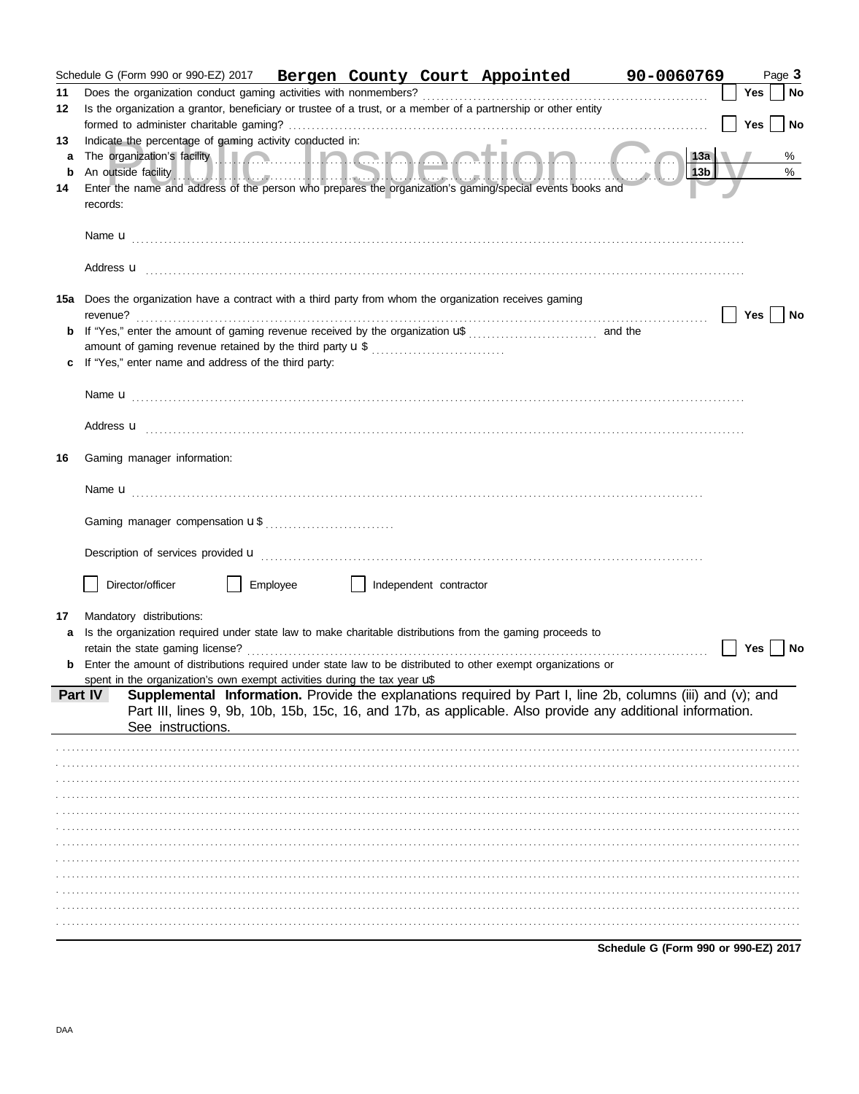|         |          |                                                                          |          |                        | Schedule G (Form 990 or 990-EZ) 2017   Bergen County Court Appointed                                           | 90-0060769                                                                                                                                                                                                                                                                                                                                                                                                                                                                                                                                               |     | Page 3    |
|---------|----------|--------------------------------------------------------------------------|----------|------------------------|----------------------------------------------------------------------------------------------------------------|----------------------------------------------------------------------------------------------------------------------------------------------------------------------------------------------------------------------------------------------------------------------------------------------------------------------------------------------------------------------------------------------------------------------------------------------------------------------------------------------------------------------------------------------------------|-----|-----------|
| 11      |          |                                                                          |          |                        |                                                                                                                |                                                                                                                                                                                                                                                                                                                                                                                                                                                                                                                                                          | Yes | No        |
| 12      |          |                                                                          |          |                        | Is the organization a grantor, beneficiary or trustee of a trust, or a member of a partnership or other entity |                                                                                                                                                                                                                                                                                                                                                                                                                                                                                                                                                          |     |           |
|         |          |                                                                          |          |                        |                                                                                                                |                                                                                                                                                                                                                                                                                                                                                                                                                                                                                                                                                          | Yes | No        |
| 13      |          | Indicate the percentage of gaming activity conducted in:                 |          |                        |                                                                                                                |                                                                                                                                                                                                                                                                                                                                                                                                                                                                                                                                                          |     |           |
| a       |          |                                                                          |          |                        |                                                                                                                | 13a<br>$\vert$ 13b $\vert$                                                                                                                                                                                                                                                                                                                                                                                                                                                                                                                               |     | %<br>$\%$ |
| b<br>14 |          |                                                                          |          |                        | Enter the name and address of the person who prepares the organization's gaming/special events books and       |                                                                                                                                                                                                                                                                                                                                                                                                                                                                                                                                                          |     |           |
|         | records: |                                                                          |          |                        |                                                                                                                |                                                                                                                                                                                                                                                                                                                                                                                                                                                                                                                                                          |     |           |
|         |          |                                                                          |          |                        |                                                                                                                |                                                                                                                                                                                                                                                                                                                                                                                                                                                                                                                                                          |     |           |
|         |          |                                                                          |          |                        |                                                                                                                |                                                                                                                                                                                                                                                                                                                                                                                                                                                                                                                                                          |     |           |
|         |          |                                                                          |          |                        |                                                                                                                | Address <b>u</b> <u>decree and the contract of the contract of the contract of the contract of the contract of the contract of the contract of the contract of the contract of the contract of the contract of the contract of the co</u>                                                                                                                                                                                                                                                                                                                |     |           |
|         |          |                                                                          |          |                        | 15a Does the organization have a contract with a third party from whom the organization receives gaming        |                                                                                                                                                                                                                                                                                                                                                                                                                                                                                                                                                          |     |           |
|         |          |                                                                          |          |                        |                                                                                                                | $\begin{minipage}{0.5\textwidth} \centering \textbf{reverse} \end{minipage} \begin{minipage}{0.5\textwidth} \centering \begin{minipage}{0.5\textwidth} \centering \textbf{user} \end{minipage} \begin{minipage}{0.5\textwidth} \centering \textbf{user} \end{minipage} \begin{minipage}{0.5\textwidth} \centering \textbf{user} \end{minipage} \begin{minipage}{0.5\textwidth} \centering \textbf{user} \end{minipage} \begin{minipage}{0.5\textwidth} \centering \textbf{user} \end{minipage} \begin{minipage}{0.5\textwidth} \centering \textbf{user}$ | Yes | No        |
|         |          |                                                                          |          |                        |                                                                                                                |                                                                                                                                                                                                                                                                                                                                                                                                                                                                                                                                                          |     |           |
|         |          |                                                                          |          |                        |                                                                                                                |                                                                                                                                                                                                                                                                                                                                                                                                                                                                                                                                                          |     |           |
|         |          | If "Yes," enter name and address of the third party:                     |          |                        |                                                                                                                |                                                                                                                                                                                                                                                                                                                                                                                                                                                                                                                                                          |     |           |
|         |          |                                                                          |          |                        |                                                                                                                |                                                                                                                                                                                                                                                                                                                                                                                                                                                                                                                                                          |     |           |
|         |          |                                                                          |          |                        |                                                                                                                | Address <b>u</b>                                                                                                                                                                                                                                                                                                                                                                                                                                                                                                                                         |     |           |
| 16      |          | Gaming manager information:                                              |          |                        |                                                                                                                |                                                                                                                                                                                                                                                                                                                                                                                                                                                                                                                                                          |     |           |
|         |          |                                                                          |          |                        |                                                                                                                |                                                                                                                                                                                                                                                                                                                                                                                                                                                                                                                                                          |     |           |
|         |          |                                                                          |          |                        |                                                                                                                |                                                                                                                                                                                                                                                                                                                                                                                                                                                                                                                                                          |     |           |
|         |          |                                                                          |          |                        |                                                                                                                |                                                                                                                                                                                                                                                                                                                                                                                                                                                                                                                                                          |     |           |
|         |          |                                                                          |          |                        |                                                                                                                |                                                                                                                                                                                                                                                                                                                                                                                                                                                                                                                                                          |     |           |
|         |          |                                                                          |          |                        |                                                                                                                |                                                                                                                                                                                                                                                                                                                                                                                                                                                                                                                                                          |     |           |
|         |          | Director/officer                                                         |          |                        |                                                                                                                |                                                                                                                                                                                                                                                                                                                                                                                                                                                                                                                                                          |     |           |
|         |          |                                                                          | Employee | Independent contractor |                                                                                                                |                                                                                                                                                                                                                                                                                                                                                                                                                                                                                                                                                          |     |           |
| 17      |          | Mandatory distributions:                                                 |          |                        |                                                                                                                |                                                                                                                                                                                                                                                                                                                                                                                                                                                                                                                                                          |     |           |
| a       |          |                                                                          |          |                        | Is the organization required under state law to make charitable distributions from the gaming proceeds to      |                                                                                                                                                                                                                                                                                                                                                                                                                                                                                                                                                          |     |           |
|         |          |                                                                          |          |                        |                                                                                                                |                                                                                                                                                                                                                                                                                                                                                                                                                                                                                                                                                          | Yes | No        |
| b       |          |                                                                          |          |                        | Enter the amount of distributions required under state law to be distributed to other exempt organizations or  |                                                                                                                                                                                                                                                                                                                                                                                                                                                                                                                                                          |     |           |
|         |          | spent in the organization's own exempt activities during the tax year uß |          |                        |                                                                                                                |                                                                                                                                                                                                                                                                                                                                                                                                                                                                                                                                                          |     |           |
|         | Part IV  |                                                                          |          |                        |                                                                                                                | Supplemental Information. Provide the explanations required by Part I, line 2b, columns (iii) and (v); and                                                                                                                                                                                                                                                                                                                                                                                                                                               |     |           |
|         |          |                                                                          |          |                        |                                                                                                                | Part III, lines 9, 9b, 10b, 15b, 15c, 16, and 17b, as applicable. Also provide any additional information.                                                                                                                                                                                                                                                                                                                                                                                                                                               |     |           |
|         |          | See instructions.                                                        |          |                        |                                                                                                                |                                                                                                                                                                                                                                                                                                                                                                                                                                                                                                                                                          |     |           |
|         |          |                                                                          |          |                        |                                                                                                                |                                                                                                                                                                                                                                                                                                                                                                                                                                                                                                                                                          |     |           |
|         |          |                                                                          |          |                        |                                                                                                                |                                                                                                                                                                                                                                                                                                                                                                                                                                                                                                                                                          |     |           |
|         |          |                                                                          |          |                        |                                                                                                                |                                                                                                                                                                                                                                                                                                                                                                                                                                                                                                                                                          |     |           |
|         |          |                                                                          |          |                        |                                                                                                                |                                                                                                                                                                                                                                                                                                                                                                                                                                                                                                                                                          |     |           |
|         |          |                                                                          |          |                        |                                                                                                                |                                                                                                                                                                                                                                                                                                                                                                                                                                                                                                                                                          |     |           |
|         |          |                                                                          |          |                        |                                                                                                                |                                                                                                                                                                                                                                                                                                                                                                                                                                                                                                                                                          |     |           |
|         |          |                                                                          |          |                        |                                                                                                                |                                                                                                                                                                                                                                                                                                                                                                                                                                                                                                                                                          |     |           |
|         |          |                                                                          |          |                        |                                                                                                                |                                                                                                                                                                                                                                                                                                                                                                                                                                                                                                                                                          |     |           |
|         |          |                                                                          |          |                        |                                                                                                                |                                                                                                                                                                                                                                                                                                                                                                                                                                                                                                                                                          |     |           |
|         |          |                                                                          |          |                        |                                                                                                                |                                                                                                                                                                                                                                                                                                                                                                                                                                                                                                                                                          |     |           |
|         |          |                                                                          |          |                        |                                                                                                                |                                                                                                                                                                                                                                                                                                                                                                                                                                                                                                                                                          |     |           |
|         |          |                                                                          |          |                        |                                                                                                                |                                                                                                                                                                                                                                                                                                                                                                                                                                                                                                                                                          |     |           |

Schedule G (Form 990 or 990-EZ) 2017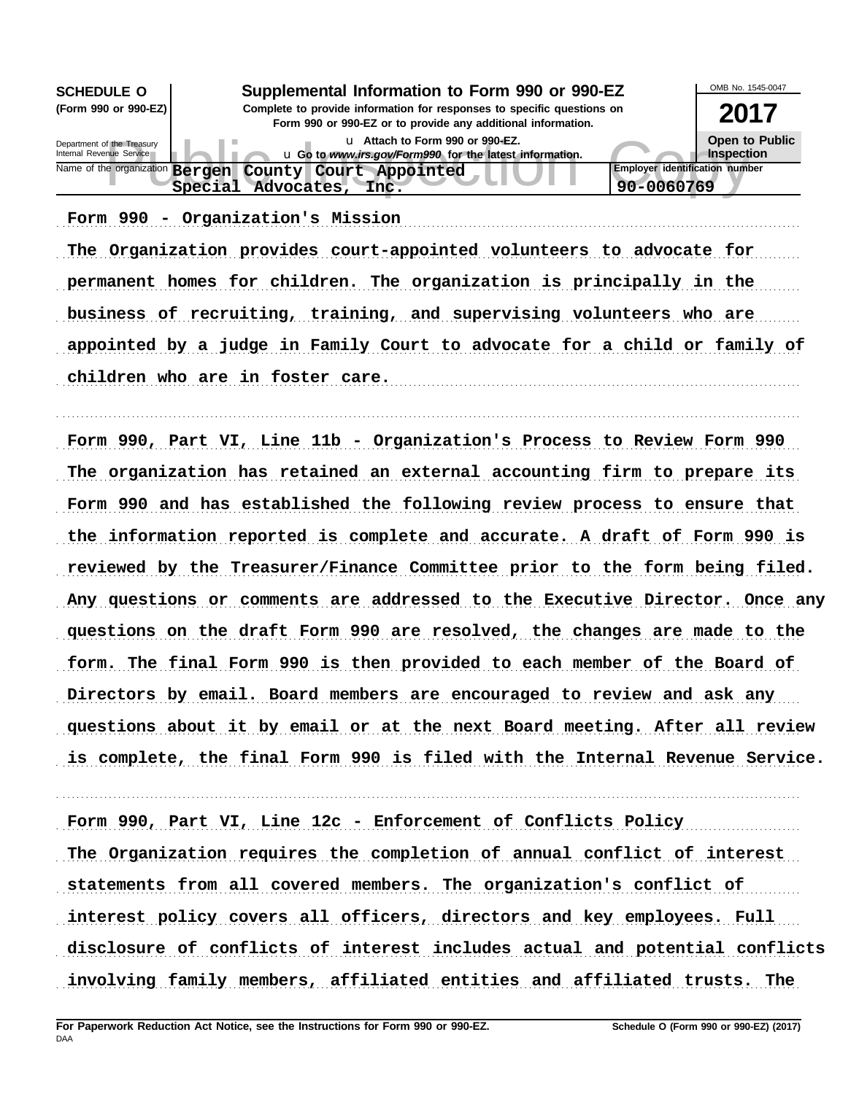| <b>SCHEDULE O</b>                                      | OMB No. 1545-0047                                                                                                                                                                        |                                                     |
|--------------------------------------------------------|------------------------------------------------------------------------------------------------------------------------------------------------------------------------------------------|-----------------------------------------------------|
| (Form 990 or 990-EZ)                                   | Supplemental Information to Form 990 or 990-EZ<br>Complete to provide information for responses to specific questions on<br>Form 990 or 990-EZ or to provide any additional information. | 2017                                                |
| Department of the Treasury<br>Internal Revenue Service | u Attach to Form 990 or 990-EZ.<br>u Go to www.irs.gov/Form990 for the latest information.                                                                                               | Open to Public<br>Inspection                        |
| Name of the organization <b>Bergen</b>                 | County Court Appointed<br>Special Advocates,<br>Inc.                                                                                                                                     | <b>Employer identification number</b><br>90-0060769 |

Form 990 - Organization's Mission (1998) (1999) - Cornelis Mission (1999 - Cornelis Mission (1999) - Cornelis

The Organization provides court-appointed volunteers to advocate for permanent homes for children. The organization is principally in the business of recruiting, training, and supervising volunteers who are appointed by a judge in Family Court to advocate for a child or family of children who are in foster care.

. . . . . . . . . . . . . . . . . . . . . . . . . . . . . . . . . . . . . . . . . . . . . . . . . . . . . . . . . . . . . . . . . . . . . . . . . . . . . . . . . . . . . . . . . . . . . . . . . . . . . . . . . . . . . . . . . . . . . . . . . . . . . . . . . . . . . . . . . . . . . . . . . . . . . . . . . . . . . . . . .

Form 990, Part VI, Line 11b - Organization's Process to Review Form 990 The organization has retained an external accounting firm to prepare its Form 990 and has established the following review process to ensure that the information reported is complete and accurate. A draft of Form 990 is reviewed by the Treasurer/Finance Committee prior to the form being filed. Any questions or comments are addressed to the Executive Director. Once any questions on the draft Form 990 are resolved, the changes are made to the form. The final Form 990 is then provided to each member of the Board of Directors by email. Board members are encouraged to review and ask any questions about it by email or at the next Board meeting. After all review is complete, the final Form 990 is filed with the Internal Revenue Service.

Form 990, Part VI, Line 12c - Enforcement of Conflicts Policy

The Organization requires the completion of annual conflict of interest

. . . . . . . . . . . . . . . . . . . . . . . . . . . . . . . . . . . . . . . . . . . . . . . . . . . . . . . . . . . . . . . . . . . . . . . . . . . . . . . . . . . . . . . . . . . . . . . . . . . . . . . . . . . . . . . . . . . . . . . . . . . . . . . . . . . . . . . . . . . . . . . . . . . . . . . . . . . . . . . . .

statements from all covered members. The organization's conflict of

interest policy covers all officers, directors and key employees. Full

disclosure of conflicts of interest includes actual and potential conflicts

involving family members, affiliated entities and affiliated trusts. The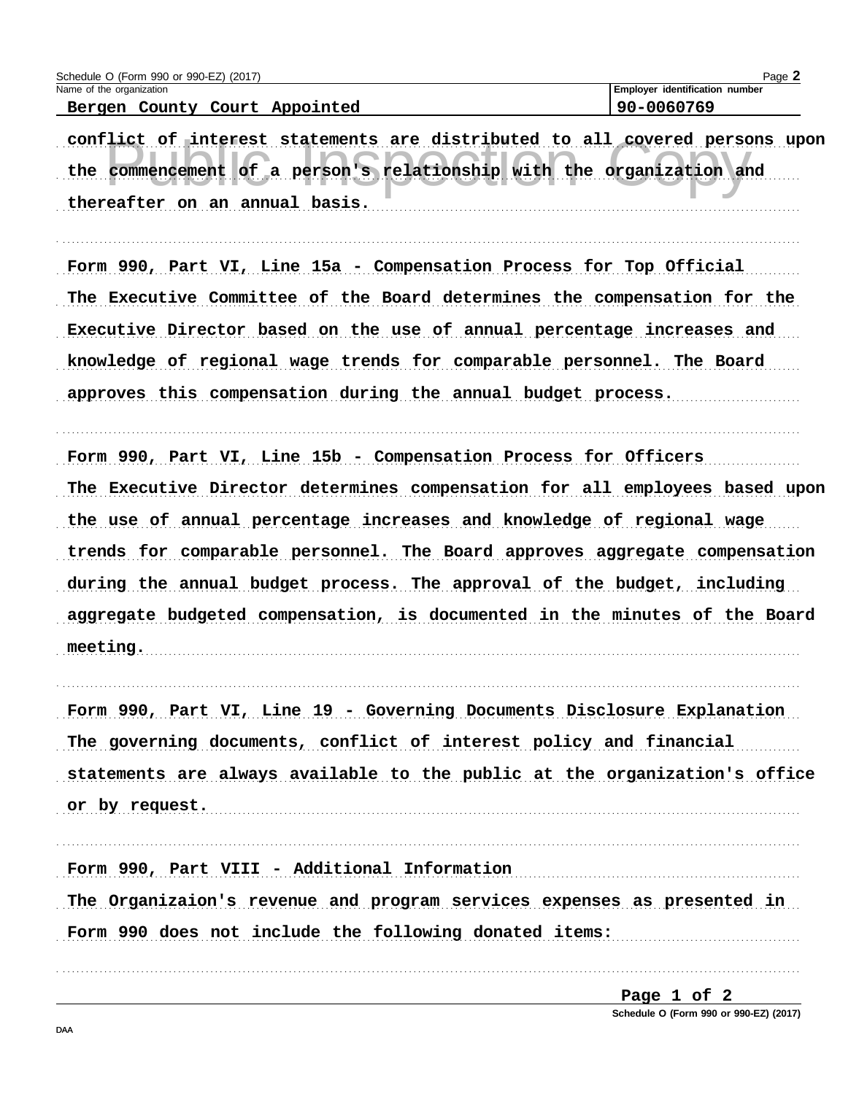| Schedule O (Form 990 or 990-EZ) (2017)                                                                                                                                                                                                                                                                                                                                                                                                                                     | Page 2                                              |
|----------------------------------------------------------------------------------------------------------------------------------------------------------------------------------------------------------------------------------------------------------------------------------------------------------------------------------------------------------------------------------------------------------------------------------------------------------------------------|-----------------------------------------------------|
| Name of the organization<br>Bergen County Court Appointed                                                                                                                                                                                                                                                                                                                                                                                                                  | <b>Employer identification number</b><br>90-0060769 |
| conflict of interest statements are distributed to all covered persons upon<br>the commencement of a person's relationship with the organization and<br>thereafter on an annual basis.                                                                                                                                                                                                                                                                                     |                                                     |
| Form 990, Part VI, Line 15a - Compensation Process for Top Official<br>The Executive Committee of the Board determines the compensation for the<br>Executive Director based on the use of annual percentage increases and<br>knowledge of regional wage trends for comparable personnel. The Board<br>approves this compensation during the annual budget process.                                                                                                         |                                                     |
| Form 990, Part VI, Line 15b - Compensation Process for Officers<br>The Executive Director determines compensation for all employees based upon<br>the use of annual percentage increases and knowledge of regional wage<br>trends for comparable personnel. The Board approves aggregate compensation<br>during the annual budget process. The approval of the budget, including<br>aggregate budgeted compensation, is documented in the minutes of the Board<br>meeting. |                                                     |
| Form 990, Part VI, Line 19 - Governing Documents Disclosure Explanation<br>The governing documents, conflict of interest policy and financial<br>statements are always available to the public at the organization's office<br>or by request.                                                                                                                                                                                                                              |                                                     |
| Form 990, Part VIII - Additional Information<br>The Organizaion's revenue and program services expenses as presented in<br>Form 990 does not include the following donated items:                                                                                                                                                                                                                                                                                          |                                                     |

Page 1 of 2 Schedule O (Form 990 or 990-EZ) (2017)